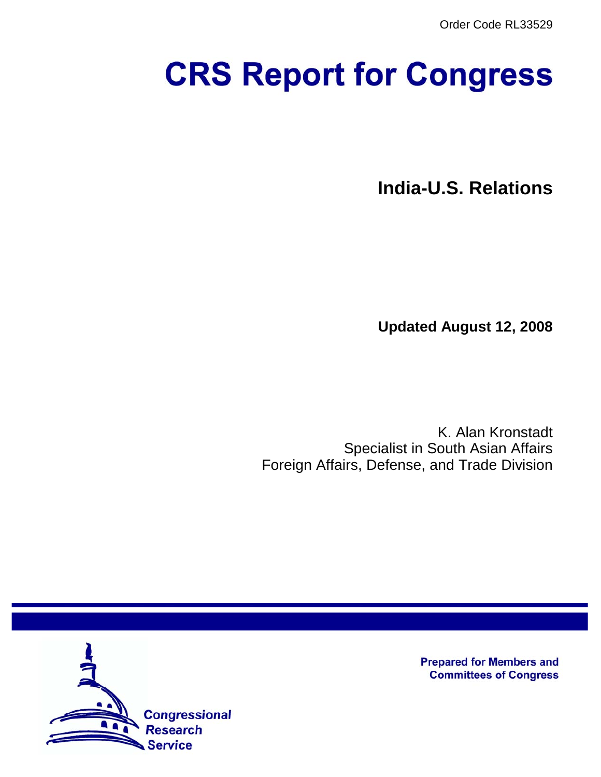Order Code RL33529

# **CRS Report for Congress**

**India-U.S. Relations**

**Updated August 12, 2008**

K. Alan Kronstadt Specialist in South Asian Affairs Foreign Affairs, Defense, and Trade Division



**Prepared for Members and Committees of Congress**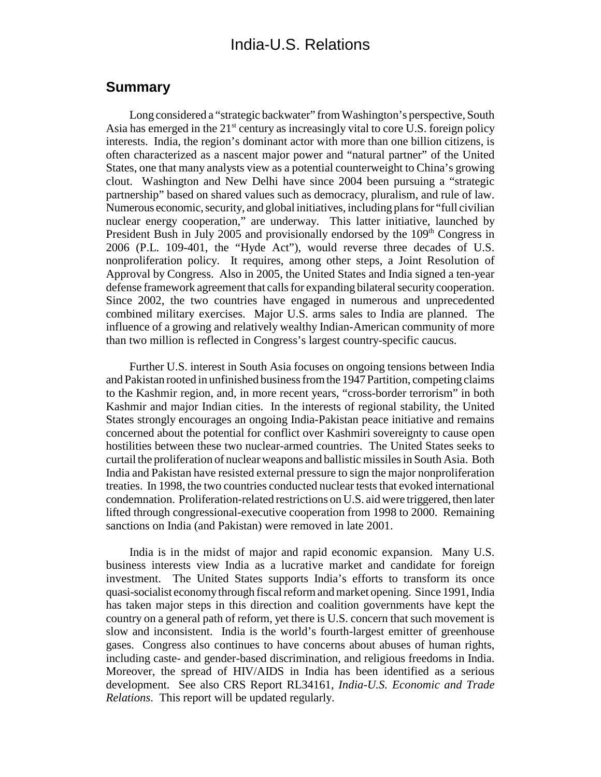## India-U.S. Relations

#### **Summary**

Long considered a "strategic backwater" from Washington's perspective, South Asia has emerged in the 21<sup>st</sup> century as increasingly vital to core U.S. foreign policy interests. India, the region's dominant actor with more than one billion citizens, is often characterized as a nascent major power and "natural partner" of the United States, one that many analysts view as a potential counterweight to China's growing clout. Washington and New Delhi have since 2004 been pursuing a "strategic partnership" based on shared values such as democracy, pluralism, and rule of law. Numerous economic, security, and global initiatives, including plans for "full civilian nuclear energy cooperation," are underway. This latter initiative, launched by President Bush in July 2005 and provisionally endorsed by the  $109<sup>th</sup>$  Congress in 2006 (P.L. 109-401, the "Hyde Act"), would reverse three decades of U.S. nonproliferation policy. It requires, among other steps, a Joint Resolution of Approval by Congress. Also in 2005, the United States and India signed a ten-year defense framework agreement that calls for expanding bilateral security cooperation. Since 2002, the two countries have engaged in numerous and unprecedented combined military exercises. Major U.S. arms sales to India are planned. The influence of a growing and relatively wealthy Indian-American community of more than two million is reflected in Congress's largest country-specific caucus.

Further U.S. interest in South Asia focuses on ongoing tensions between India and Pakistan rooted in unfinished business from the 1947 Partition, competing claims to the Kashmir region, and, in more recent years, "cross-border terrorism" in both Kashmir and major Indian cities. In the interests of regional stability, the United States strongly encourages an ongoing India-Pakistan peace initiative and remains concerned about the potential for conflict over Kashmiri sovereignty to cause open hostilities between these two nuclear-armed countries. The United States seeks to curtail the proliferation of nuclear weapons and ballistic missiles in South Asia. Both India and Pakistan have resisted external pressure to sign the major nonproliferation treaties. In 1998, the two countries conducted nuclear tests that evoked international condemnation. Proliferation-related restrictions on U.S. aid were triggered, then later lifted through congressional-executive cooperation from 1998 to 2000. Remaining sanctions on India (and Pakistan) were removed in late 2001.

India is in the midst of major and rapid economic expansion. Many U.S. business interests view India as a lucrative market and candidate for foreign investment. The United States supports India's efforts to transform its once quasi-socialist economy through fiscal reform and market opening. Since 1991, India has taken major steps in this direction and coalition governments have kept the country on a general path of reform, yet there is U.S. concern that such movement is slow and inconsistent. India is the world's fourth-largest emitter of greenhouse gases. Congress also continues to have concerns about abuses of human rights, including caste- and gender-based discrimination, and religious freedoms in India. Moreover, the spread of HIV/AIDS in India has been identified as a serious development. See also CRS Report RL34161, *India-U.S. Economic and Trade Relations*. This report will be updated regularly.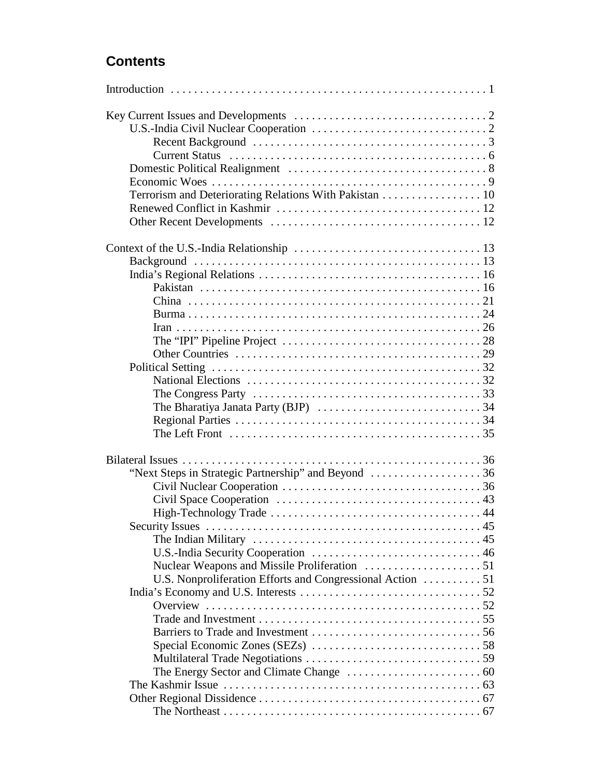## **Contents**

| Terrorism and Deteriorating Relations With Pakistan 10                                                   |  |
|----------------------------------------------------------------------------------------------------------|--|
|                                                                                                          |  |
|                                                                                                          |  |
|                                                                                                          |  |
|                                                                                                          |  |
|                                                                                                          |  |
|                                                                                                          |  |
|                                                                                                          |  |
|                                                                                                          |  |
| The Congress Party $\ldots \ldots \ldots \ldots \ldots \ldots \ldots \ldots \ldots \ldots \ldots \ldots$ |  |
|                                                                                                          |  |
| The Left Front $\dots\dots\dots\dots\dots\dots\dots\dots\dots\dots\dots\dots35$                          |  |
|                                                                                                          |  |
|                                                                                                          |  |
| "Next Steps in Strategic Partnership" and Beyond 36                                                      |  |
|                                                                                                          |  |
|                                                                                                          |  |
|                                                                                                          |  |
|                                                                                                          |  |
| The Indian Military $\dots \dots \dots \dots \dots \dots \dots \dots \dots \dots \dots \dots \dots 45$   |  |
|                                                                                                          |  |
| U.S. Nonproliferation Efforts and Congressional Action  51                                               |  |
|                                                                                                          |  |
|                                                                                                          |  |
|                                                                                                          |  |
|                                                                                                          |  |
|                                                                                                          |  |
|                                                                                                          |  |
|                                                                                                          |  |
|                                                                                                          |  |
|                                                                                                          |  |
|                                                                                                          |  |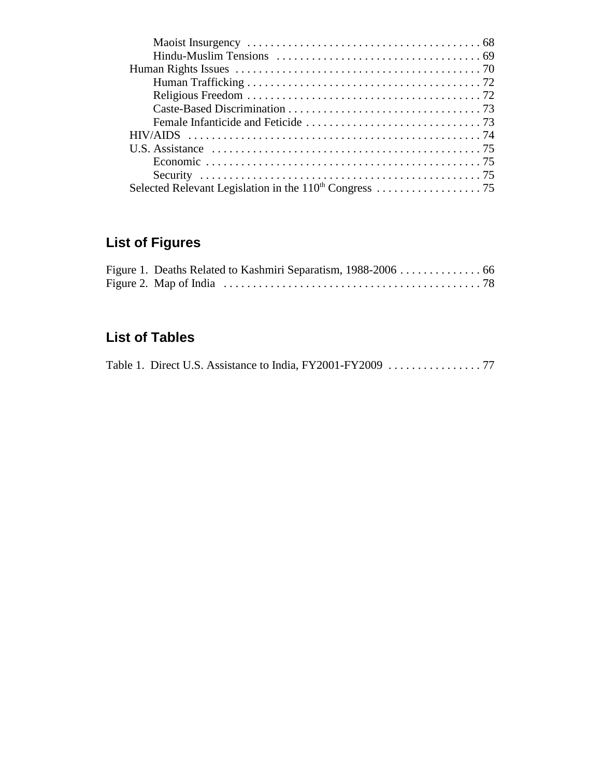# **List of Figures**

| Figure 1. Deaths Related to Kashmiri Separatism, 1988-2006 66 |  |
|---------------------------------------------------------------|--|
|                                                               |  |

# **List of Tables**

|--|--|--|--|--|--|--|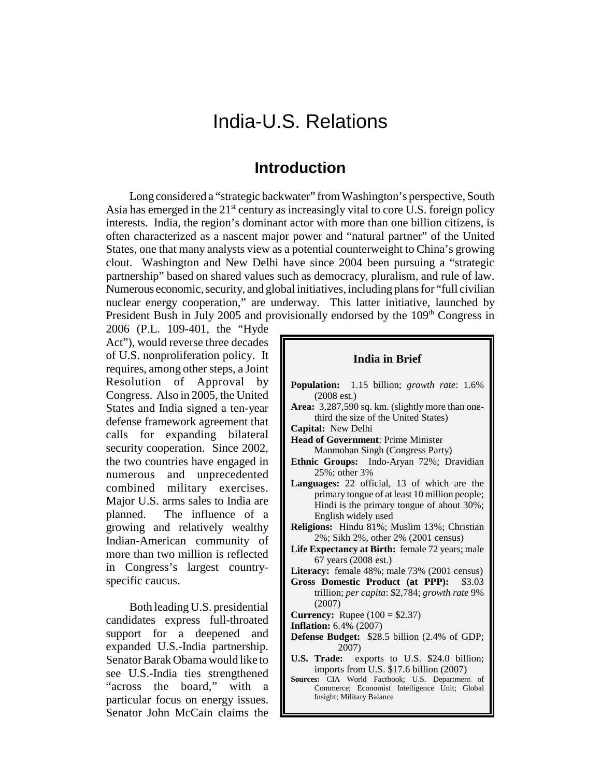# India-U.S. Relations

## **Introduction**

Long considered a "strategic backwater" from Washington's perspective, South Asia has emerged in the  $21<sup>st</sup>$  century as increasingly vital to core U.S. foreign policy interests. India, the region's dominant actor with more than one billion citizens, is often characterized as a nascent major power and "natural partner" of the United States, one that many analysts view as a potential counterweight to China's growing clout. Washington and New Delhi have since 2004 been pursuing a "strategic partnership" based on shared values such as democracy, pluralism, and rule of law. Numerous economic, security, and global initiatives, including plans for "full civilian nuclear energy cooperation," are underway. This latter initiative, launched by President Bush in July 2005 and provisionally endorsed by the  $109<sup>th</sup>$  Congress in

2006 (P.L. 109-401, the "Hyde Act"), would reverse three decades of U.S. nonproliferation policy. It requires, among other steps, a Joint Resolution of Approval by Congress. Also in 2005, the United States and India signed a ten-year defense framework agreement that calls for expanding bilateral security cooperation. Since 2002, the two countries have engaged in numerous and unprecedented combined military exercises. Major U.S. arms sales to India are planned. The influence of a growing and relatively wealthy Indian-American community of more than two million is reflected in Congress's largest countryspecific caucus.

Both leading U.S. presidential candidates express full-throated support for a deepened and expanded U.S.-India partnership. Senator Barak Obama would like to see U.S.-India ties strengthened "across the board," with a particular focus on energy issues. Senator John McCain claims the

| <b>India in Brief</b>                                     |  |  |  |  |  |
|-----------------------------------------------------------|--|--|--|--|--|
| Population: 1.15 billion; growth rate: 1.6%<br>(2008est.) |  |  |  |  |  |
| Area: 3,287,590 sq. km. (slightly more than one-          |  |  |  |  |  |
| third the size of the United States)                      |  |  |  |  |  |
| Capital: New Delhi                                        |  |  |  |  |  |
| <b>Head of Government: Prime Minister</b>                 |  |  |  |  |  |
| Manmohan Singh (Congress Party)                           |  |  |  |  |  |
| Ethnic Groups: Indo-Aryan 72%; Dravidian                  |  |  |  |  |  |
| 25%; other 3%                                             |  |  |  |  |  |
| Languages: 22 official, 13 of which are the               |  |  |  |  |  |
| primary tongue of at least 10 million people;             |  |  |  |  |  |
| Hindi is the primary tongue of about 30%;                 |  |  |  |  |  |
| English widely used                                       |  |  |  |  |  |
| Religions: Hindu 81%; Muslim 13%; Christian               |  |  |  |  |  |
| 2%; Sikh 2%, other 2% (2001 census)                       |  |  |  |  |  |
| Life Expectancy at Birth: female 72 years; male           |  |  |  |  |  |
| 67 years (2008 est.)                                      |  |  |  |  |  |
| Literacy: female 48%; male 73% (2001 census)              |  |  |  |  |  |
| Gross Domestic Product (at PPP): \$3.03                   |  |  |  |  |  |
| trillion; per capita: \$2,784; growth rate 9%             |  |  |  |  |  |
| (2007)                                                    |  |  |  |  |  |
| <b>Currency:</b> Rupee $(100 = $2.37)$                    |  |  |  |  |  |
| <b>Inflation:</b> 6.4% (2007)                             |  |  |  |  |  |
| Defense Budget: \$28.5 billion (2.4% of GDP;              |  |  |  |  |  |
| 2007)                                                     |  |  |  |  |  |
| U.S. Trade:<br>exports to U.S. \$24.0 billion;            |  |  |  |  |  |
| imports from U.S. \$17.6 billion (2007)                   |  |  |  |  |  |
| Sources: CIA World Factbook; U.S. Department of           |  |  |  |  |  |
| Commerce; Economist Intelligence Unit; Global             |  |  |  |  |  |
| Insight; Military Balance                                 |  |  |  |  |  |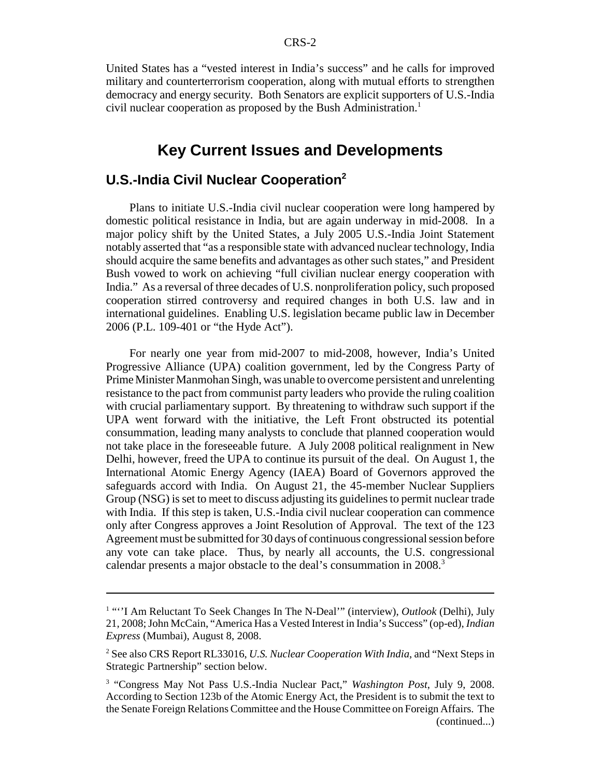United States has a "vested interest in India's success" and he calls for improved military and counterterrorism cooperation, along with mutual efforts to strengthen democracy and energy security. Both Senators are explicit supporters of U.S.-India civil nuclear cooperation as proposed by the Bush Administration.<sup>1</sup>

## **Key Current Issues and Developments**

#### **U.S.-India Civil Nuclear Cooperation2**

Plans to initiate U.S.-India civil nuclear cooperation were long hampered by domestic political resistance in India, but are again underway in mid-2008. In a major policy shift by the United States, a July 2005 U.S.-India Joint Statement notably asserted that "as a responsible state with advanced nuclear technology, India should acquire the same benefits and advantages as other such states," and President Bush vowed to work on achieving "full civilian nuclear energy cooperation with India." As a reversal of three decades of U.S. nonproliferation policy, such proposed cooperation stirred controversy and required changes in both U.S. law and in international guidelines. Enabling U.S. legislation became public law in December 2006 (P.L. 109-401 or "the Hyde Act").

For nearly one year from mid-2007 to mid-2008, however, India's United Progressive Alliance (UPA) coalition government, led by the Congress Party of Prime Minister Manmohan Singh, was unable to overcome persistent and unrelenting resistance to the pact from communist party leaders who provide the ruling coalition with crucial parliamentary support. By threatening to withdraw such support if the UPA went forward with the initiative, the Left Front obstructed its potential consummation, leading many analysts to conclude that planned cooperation would not take place in the foreseeable future. A July 2008 political realignment in New Delhi, however, freed the UPA to continue its pursuit of the deal. On August 1, the International Atomic Energy Agency (IAEA) Board of Governors approved the safeguards accord with India. On August 21, the 45-member Nuclear Suppliers Group (NSG) is set to meet to discuss adjusting its guidelines to permit nuclear trade with India. If this step is taken, U.S.-India civil nuclear cooperation can commence only after Congress approves a Joint Resolution of Approval. The text of the 123 Agreement must be submitted for 30 days of continuous congressional session before any vote can take place. Thus, by nearly all accounts, the U.S. congressional calendar presents a major obstacle to the deal's consummation in 2008.<sup>3</sup>

<sup>&</sup>lt;sup>1</sup> ""I Am Reluctant To Seek Changes In The N-Deal" (interview), Outlook (Delhi), July 21, 2008; John McCain, "America Has a Vested Interest in India's Success" (op-ed), *Indian Express* (Mumbai), August 8, 2008.

<sup>2</sup> See also CRS Report RL33016, *U.S. Nuclear Cooperation With India*, and "Next Steps in Strategic Partnership" section below.

<sup>3</sup> "Congress May Not Pass U.S.-India Nuclear Pact," *Washington Post*, July 9, 2008. According to Section 123b of the Atomic Energy Act, the President is to submit the text to the Senate Foreign Relations Committee and the House Committee on Foreign Affairs. The (continued...)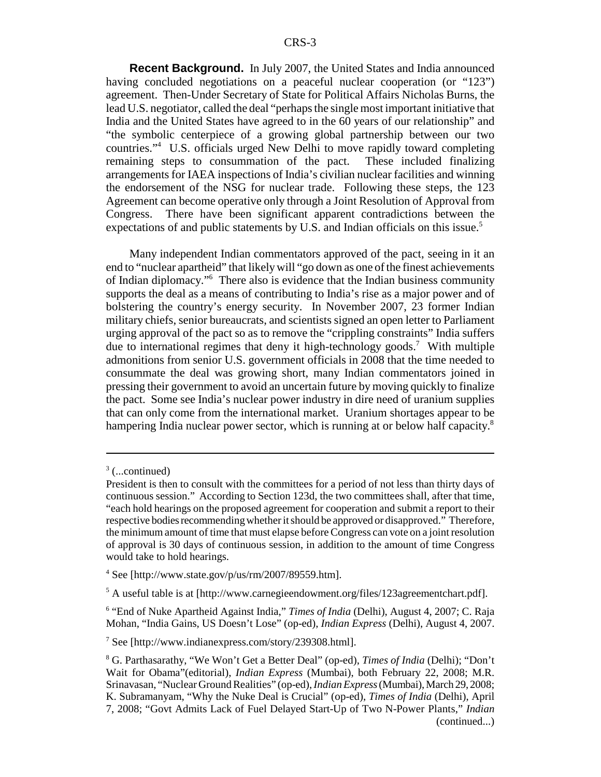**Recent Background.** In July 2007, the United States and India announced having concluded negotiations on a peaceful nuclear cooperation (or "123") agreement. Then-Under Secretary of State for Political Affairs Nicholas Burns, the lead U.S. negotiator, called the deal "perhaps the single most important initiative that India and the United States have agreed to in the 60 years of our relationship" and "the symbolic centerpiece of a growing global partnership between our two countries."4 U.S. officials urged New Delhi to move rapidly toward completing remaining steps to consummation of the pact. These included finalizing arrangements for IAEA inspections of India's civilian nuclear facilities and winning the endorsement of the NSG for nuclear trade. Following these steps, the 123 Agreement can become operative only through a Joint Resolution of Approval from Congress. There have been significant apparent contradictions between the expectations of and public statements by U.S. and Indian officials on this issue.<sup>5</sup>

Many independent Indian commentators approved of the pact, seeing in it an end to "nuclear apartheid" that likely will "go down as one of the finest achievements of Indian diplomacy."6 There also is evidence that the Indian business community supports the deal as a means of contributing to India's rise as a major power and of bolstering the country's energy security. In November 2007, 23 former Indian military chiefs, senior bureaucrats, and scientists signed an open letter to Parliament urging approval of the pact so as to remove the "crippling constraints" India suffers due to international regimes that deny it high-technology goods.<sup>7</sup> With multiple admonitions from senior U.S. government officials in 2008 that the time needed to consummate the deal was growing short, many Indian commentators joined in pressing their government to avoid an uncertain future by moving quickly to finalize the pact. Some see India's nuclear power industry in dire need of uranium supplies that can only come from the international market. Uranium shortages appear to be hampering India nuclear power sector, which is running at or below half capacity.<sup>8</sup>

 $3$  (...continued)

President is then to consult with the committees for a period of not less than thirty days of continuous session." According to Section 123d, the two committees shall, after that time, "each hold hearings on the proposed agreement for cooperation and submit a report to their respective bodies recommending whether it should be approved or disapproved." Therefore, the minimum amount of time that must elapse before Congress can vote on a joint resolution of approval is 30 days of continuous session, in addition to the amount of time Congress would take to hold hearings.

<sup>4</sup> See [http://www.state.gov/p/us/rm/2007/89559.htm].

<sup>&</sup>lt;sup>5</sup> A useful table is at [http://www.carnegieendowment.org/files/123agreementchart.pdf].

<sup>&</sup>lt;sup>6</sup> "End of Nuke Apartheid Against India," Times of India (Delhi), August 4, 2007; C. Raja Mohan, "India Gains, US Doesn't Lose" (op-ed), *Indian Express* (Delhi), August 4, 2007.

<sup>7</sup> See [http://www.indianexpress.com/story/239308.html].

<sup>8</sup> G. Parthasarathy, "We Won't Get a Better Deal" (op-ed), *Times of India* (Delhi); "Don't Wait for Obama"(editorial), *Indian Express* (Mumbai), both February 22, 2008; M.R. Srinavasan, "Nuclear Ground Realities" (op-ed), *Indian Express* (Mumbai), March 29, 2008; K. Subramanyam, "Why the Nuke Deal is Crucial" (op-ed), *Times of India* (Delhi), April 7, 2008; "Govt Admits Lack of Fuel Delayed Start-Up of Two N-Power Plants," *Indian* (continued...)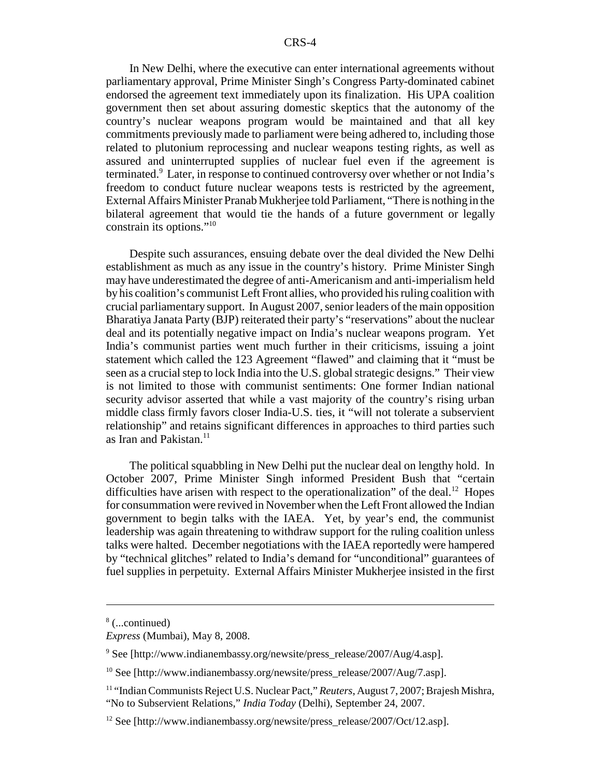In New Delhi, where the executive can enter international agreements without parliamentary approval, Prime Minister Singh's Congress Party-dominated cabinet endorsed the agreement text immediately upon its finalization. His UPA coalition government then set about assuring domestic skeptics that the autonomy of the country's nuclear weapons program would be maintained and that all key commitments previously made to parliament were being adhered to, including those related to plutonium reprocessing and nuclear weapons testing rights, as well as assured and uninterrupted supplies of nuclear fuel even if the agreement is terminated.<sup>9</sup> Later, in response to continued controversy over whether or not India's freedom to conduct future nuclear weapons tests is restricted by the agreement, External Affairs Minister Pranab Mukherjee told Parliament, "There is nothing in the bilateral agreement that would tie the hands of a future government or legally constrain its options."10

Despite such assurances, ensuing debate over the deal divided the New Delhi establishment as much as any issue in the country's history. Prime Minister Singh may have underestimated the degree of anti-Americanism and anti-imperialism held by his coalition's communist Left Front allies, who provided his ruling coalition with crucial parliamentary support. In August 2007, senior leaders of the main opposition Bharatiya Janata Party (BJP) reiterated their party's "reservations" about the nuclear deal and its potentially negative impact on India's nuclear weapons program. Yet India's communist parties went much further in their criticisms, issuing a joint statement which called the 123 Agreement "flawed" and claiming that it "must be seen as a crucial step to lock India into the U.S. global strategic designs." Their view is not limited to those with communist sentiments: One former Indian national security advisor asserted that while a vast majority of the country's rising urban middle class firmly favors closer India-U.S. ties, it "will not tolerate a subservient relationship" and retains significant differences in approaches to third parties such as Iran and Pakistan. $11$ 

The political squabbling in New Delhi put the nuclear deal on lengthy hold. In October 2007, Prime Minister Singh informed President Bush that "certain difficulties have arisen with respect to the operationalization" of the deal.<sup>12</sup> Hopes for consummation were revived in November when the Left Front allowed the Indian government to begin talks with the IAEA. Yet, by year's end, the communist leadership was again threatening to withdraw support for the ruling coalition unless talks were halted. December negotiations with the IAEA reportedly were hampered by "technical glitches" related to India's demand for "unconditional" guarantees of fuel supplies in perpetuity. External Affairs Minister Mukherjee insisted in the first

<sup>8</sup> (...continued)

*Express* (Mumbai), May 8, 2008.

<sup>&</sup>lt;sup>9</sup> See [http://www.indianembassy.org/newsite/press\_release/2007/Aug/4.asp].

 $10$  See [http://www.indianembassy.org/newsite/press\_release/2007/Aug/7.asp].

<sup>11 &</sup>quot;Indian Communists Reject U.S. Nuclear Pact," *Reuters*, August 7, 2007; Brajesh Mishra, "No to Subservient Relations," *India Today* (Delhi), September 24, 2007.

<sup>&</sup>lt;sup>12</sup> See [http://www.indianembassy.org/newsite/press\_release/2007/Oct/12.asp].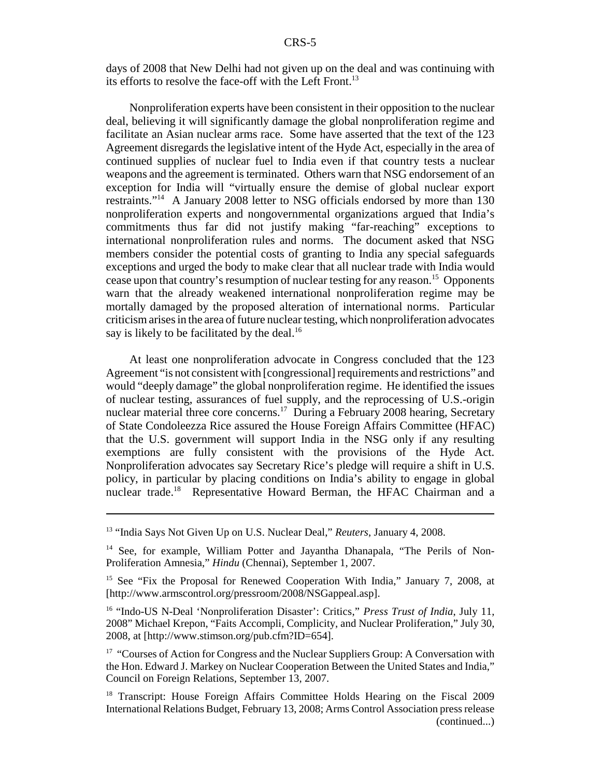days of 2008 that New Delhi had not given up on the deal and was continuing with its efforts to resolve the face-off with the Left Front.<sup>13</sup>

Nonproliferation experts have been consistent in their opposition to the nuclear deal, believing it will significantly damage the global nonproliferation regime and facilitate an Asian nuclear arms race. Some have asserted that the text of the 123 Agreement disregards the legislative intent of the Hyde Act, especially in the area of continued supplies of nuclear fuel to India even if that country tests a nuclear weapons and the agreement is terminated. Others warn that NSG endorsement of an exception for India will "virtually ensure the demise of global nuclear export restraints."14 A January 2008 letter to NSG officials endorsed by more than 130 nonproliferation experts and nongovernmental organizations argued that India's commitments thus far did not justify making "far-reaching" exceptions to international nonproliferation rules and norms. The document asked that NSG members consider the potential costs of granting to India any special safeguards exceptions and urged the body to make clear that all nuclear trade with India would cease upon that country's resumption of nuclear testing for any reason.15 Opponents warn that the already weakened international nonproliferation regime may be mortally damaged by the proposed alteration of international norms. Particular criticism arises in the area of future nuclear testing, which nonproliferation advocates say is likely to be facilitated by the deal.<sup>16</sup>

At least one nonproliferation advocate in Congress concluded that the 123 Agreement "is not consistent with [congressional] requirements and restrictions" and would "deeply damage" the global nonproliferation regime. He identified the issues of nuclear testing, assurances of fuel supply, and the reprocessing of U.S.-origin nuclear material three core concerns.<sup>17</sup> During a February 2008 hearing, Secretary of State Condoleezza Rice assured the House Foreign Affairs Committee (HFAC) that the U.S. government will support India in the NSG only if any resulting exemptions are fully consistent with the provisions of the Hyde Act. Nonproliferation advocates say Secretary Rice's pledge will require a shift in U.S. policy, in particular by placing conditions on India's ability to engage in global nuclear trade.<sup>18</sup> Representative Howard Berman, the HFAC Chairman and a

<sup>13 &</sup>quot;India Says Not Given Up on U.S. Nuclear Deal," *Reuters*, January 4, 2008.

<sup>&</sup>lt;sup>14</sup> See, for example, William Potter and Jayantha Dhanapala, "The Perils of Non-Proliferation Amnesia," *Hindu* (Chennai), September 1, 2007.

<sup>&</sup>lt;sup>15</sup> See "Fix the Proposal for Renewed Cooperation With India," January 7, 2008, at [http://www.armscontrol.org/pressroom/2008/NSGappeal.asp].

<sup>16 &</sup>quot;Indo-US N-Deal 'Nonproliferation Disaster': Critics," *Press Trust of India*, July 11, 2008" Michael Krepon, "Faits Accompli, Complicity, and Nuclear Proliferation," July 30, 2008, at [http://www.stimson.org/pub.cfm?ID=654].

<sup>&</sup>lt;sup>17</sup> "Courses of Action for Congress and the Nuclear Suppliers Group: A Conversation with the Hon. Edward J. Markey on Nuclear Cooperation Between the United States and India," Council on Foreign Relations, September 13, 2007.

<sup>&</sup>lt;sup>18</sup> Transcript: House Foreign Affairs Committee Holds Hearing on the Fiscal 2009 International Relations Budget, February 13, 2008; Arms Control Association press release (continued...)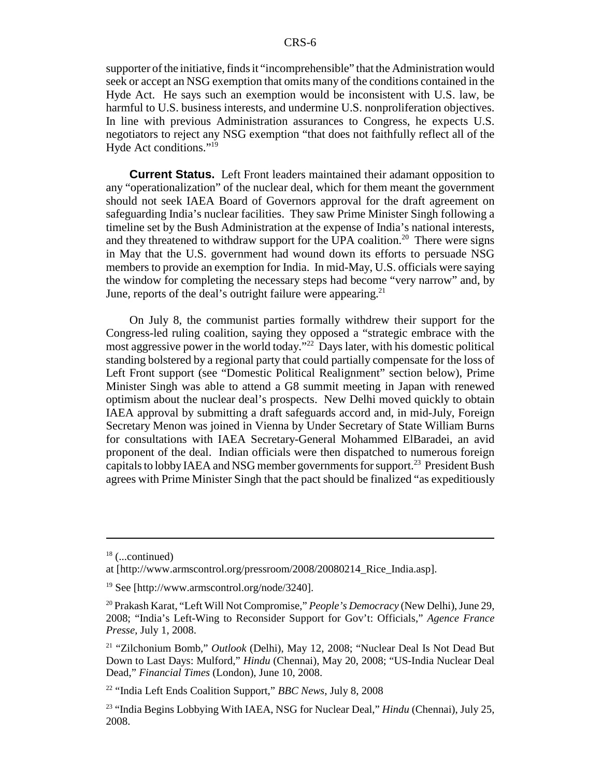supporter of the initiative, finds it "incomprehensible" that the Administration would seek or accept an NSG exemption that omits many of the conditions contained in the Hyde Act. He says such an exemption would be inconsistent with U.S. law, be harmful to U.S. business interests, and undermine U.S. nonproliferation objectives. In line with previous Administration assurances to Congress, he expects U.S. negotiators to reject any NSG exemption "that does not faithfully reflect all of the Hyde Act conditions."19

**Current Status.** Left Front leaders maintained their adamant opposition to any "operationalization" of the nuclear deal, which for them meant the government should not seek IAEA Board of Governors approval for the draft agreement on safeguarding India's nuclear facilities. They saw Prime Minister Singh following a timeline set by the Bush Administration at the expense of India's national interests, and they threatened to withdraw support for the  $\overline{UPA}$  coalition.<sup>20</sup> There were signs in May that the U.S. government had wound down its efforts to persuade NSG members to provide an exemption for India. In mid-May, U.S. officials were saying the window for completing the necessary steps had become "very narrow" and, by June, reports of the deal's outright failure were appearing. $21$ 

On July 8, the communist parties formally withdrew their support for the Congress-led ruling coalition, saying they opposed a "strategic embrace with the most aggressive power in the world today."22 Days later, with his domestic political standing bolstered by a regional party that could partially compensate for the loss of Left Front support (see "Domestic Political Realignment" section below), Prime Minister Singh was able to attend a G8 summit meeting in Japan with renewed optimism about the nuclear deal's prospects. New Delhi moved quickly to obtain IAEA approval by submitting a draft safeguards accord and, in mid-July, Foreign Secretary Menon was joined in Vienna by Under Secretary of State William Burns for consultations with IAEA Secretary-General Mohammed ElBaradei, an avid proponent of the deal. Indian officials were then dispatched to numerous foreign capitals to lobby IAEA and NSG member governments for support.<sup>23</sup> President Bush agrees with Prime Minister Singh that the pact should be finalized "as expeditiously

 $18$  (...continued)

at [http://www.armscontrol.org/pressroom/2008/20080214\_Rice\_India.asp].

 $19$  See [http://www.armscontrol.org/node/3240].

<sup>20</sup> Prakash Karat, "Left Will Not Compromise," *People's Democracy* (New Delhi), June 29, 2008; "India's Left-Wing to Reconsider Support for Gov't: Officials," *Agence France Presse*, July 1, 2008.

<sup>21 &</sup>quot;Zilchonium Bomb," *Outlook* (Delhi), May 12, 2008; "Nuclear Deal Is Not Dead But Down to Last Days: Mulford," *Hindu* (Chennai), May 20, 2008; "US-India Nuclear Deal Dead," *Financial Times* (London), June 10, 2008.

<sup>22 &</sup>quot;India Left Ends Coalition Support," *BBC News*, July 8, 2008

<sup>&</sup>lt;sup>23</sup> "India Begins Lobbying With IAEA, NSG for Nuclear Deal," *Hindu* (Chennai), July 25, 2008.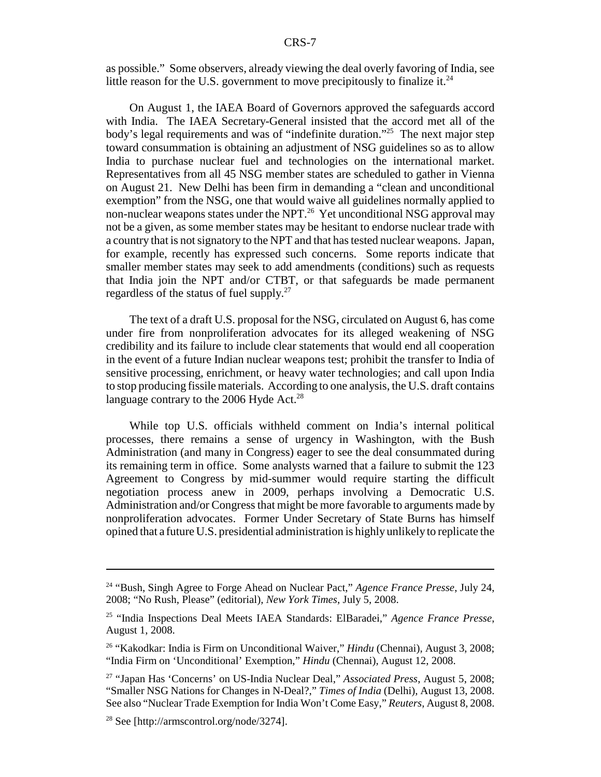as possible." Some observers, already viewing the deal overly favoring of India, see little reason for the U.S. government to move precipitously to finalize it.<sup>24</sup>

On August 1, the IAEA Board of Governors approved the safeguards accord with India. The IAEA Secretary-General insisted that the accord met all of the body's legal requirements and was of "indefinite duration."<sup>25</sup> The next major step toward consummation is obtaining an adjustment of NSG guidelines so as to allow India to purchase nuclear fuel and technologies on the international market. Representatives from all 45 NSG member states are scheduled to gather in Vienna on August 21. New Delhi has been firm in demanding a "clean and unconditional exemption" from the NSG, one that would waive all guidelines normally applied to non-nuclear weapons states under the NPT. $^{26}$  Yet unconditional NSG approval may not be a given, as some member states may be hesitant to endorse nuclear trade with a country that is not signatory to the NPT and that has tested nuclear weapons. Japan, for example, recently has expressed such concerns. Some reports indicate that smaller member states may seek to add amendments (conditions) such as requests that India join the NPT and/or CTBT, or that safeguards be made permanent regardless of the status of fuel supply.27

The text of a draft U.S. proposal for the NSG, circulated on August 6, has come under fire from nonproliferation advocates for its alleged weakening of NSG credibility and its failure to include clear statements that would end all cooperation in the event of a future Indian nuclear weapons test; prohibit the transfer to India of sensitive processing, enrichment, or heavy water technologies; and call upon India to stop producing fissile materials. According to one analysis, the U.S. draft contains language contrary to the 2006 Hyde Act.<sup>28</sup>

While top U.S. officials withheld comment on India's internal political processes, there remains a sense of urgency in Washington, with the Bush Administration (and many in Congress) eager to see the deal consummated during its remaining term in office. Some analysts warned that a failure to submit the 123 Agreement to Congress by mid-summer would require starting the difficult negotiation process anew in 2009, perhaps involving a Democratic U.S. Administration and/or Congress that might be more favorable to arguments made by nonproliferation advocates. Former Under Secretary of State Burns has himself opined that a future U.S. presidential administration is highly unlikely to replicate the

<sup>24 &</sup>quot;Bush, Singh Agree to Forge Ahead on Nuclear Pact," *Agence France Presse*, July 24, 2008; "No Rush, Please" (editorial), *New York Times*, July 5, 2008.

<sup>25 &</sup>quot;India Inspections Deal Meets IAEA Standards: ElBaradei," *Agence France Presse*, August 1, 2008.

<sup>&</sup>lt;sup>26</sup> "Kakodkar: India is Firm on Unconditional Waiver," *Hindu* (Chennai), August 3, 2008; "India Firm on 'Unconditional' Exemption," *Hindu* (Chennai), August 12, 2008.

<sup>27 &</sup>quot;Japan Has 'Concerns' on US-India Nuclear Deal," *Associated Press*, August 5, 2008; "Smaller NSG Nations for Changes in N-Deal?," *Times of India* (Delhi), August 13, 2008. See also "Nuclear Trade Exemption for India Won't Come Easy," *Reuters*, August 8, 2008.

 $28$  See [http://armscontrol.org/node/3274].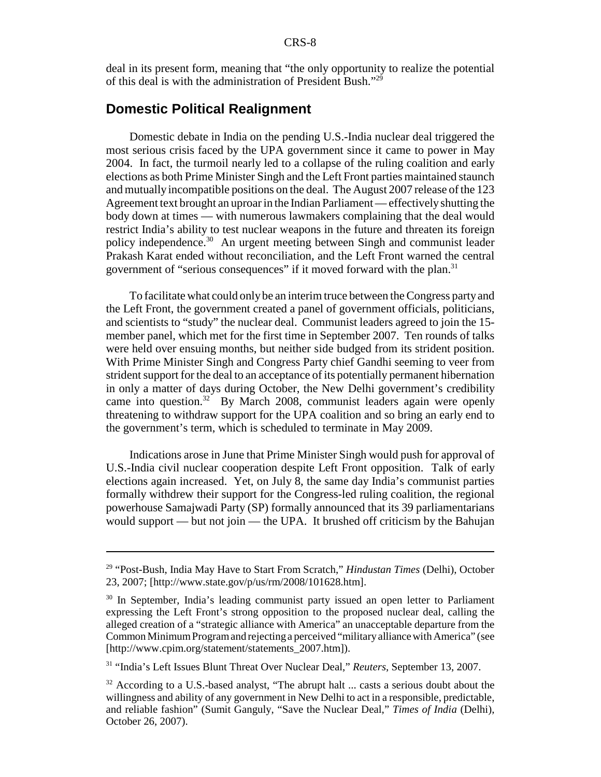deal in its present form, meaning that "the only opportunity to realize the potential of this deal is with the administration of President Bush."29

## **Domestic Political Realignment**

Domestic debate in India on the pending U.S.-India nuclear deal triggered the most serious crisis faced by the UPA government since it came to power in May 2004. In fact, the turmoil nearly led to a collapse of the ruling coalition and early elections as both Prime Minister Singh and the Left Front parties maintained staunch and mutually incompatible positions on the deal. The August 2007 release of the 123 Agreement text brought an uproar in the Indian Parliament — effectively shutting the body down at times — with numerous lawmakers complaining that the deal would restrict India's ability to test nuclear weapons in the future and threaten its foreign policy independence.<sup>30</sup> An urgent meeting between Singh and communist leader Prakash Karat ended without reconciliation, and the Left Front warned the central government of "serious consequences" if it moved forward with the plan.<sup>31</sup>

To facilitate what could only be an interim truce between the Congress party and the Left Front, the government created a panel of government officials, politicians, and scientists to "study" the nuclear deal. Communist leaders agreed to join the 15 member panel, which met for the first time in September 2007. Ten rounds of talks were held over ensuing months, but neither side budged from its strident position. With Prime Minister Singh and Congress Party chief Gandhi seeming to veer from strident support for the deal to an acceptance of its potentially permanent hibernation in only a matter of days during October, the New Delhi government's credibility came into question.<sup>32</sup> By March 2008, communist leaders again were openly threatening to withdraw support for the UPA coalition and so bring an early end to the government's term, which is scheduled to terminate in May 2009.

Indications arose in June that Prime Minister Singh would push for approval of U.S.-India civil nuclear cooperation despite Left Front opposition. Talk of early elections again increased. Yet, on July 8, the same day India's communist parties formally withdrew their support for the Congress-led ruling coalition, the regional powerhouse Samajwadi Party (SP) formally announced that its 39 parliamentarians would support — but not join — the UPA. It brushed off criticism by the Bahujan

<sup>29 &</sup>quot;Post-Bush, India May Have to Start From Scratch," *Hindustan Times* (Delhi), October 23, 2007; [http://www.state.gov/p/us/rm/2008/101628.htm].

<sup>&</sup>lt;sup>30</sup> In September, India's leading communist party issued an open letter to Parliament expressing the Left Front's strong opposition to the proposed nuclear deal, calling the alleged creation of a "strategic alliance with America" an unacceptable departure from the Common Minimum Program and rejecting a perceived "military alliance with America" (see [http://www.cpim.org/statement/statements\_2007.htm]).

<sup>31 &</sup>quot;India's Left Issues Blunt Threat Over Nuclear Deal," *Reuters*, September 13, 2007.

<sup>&</sup>lt;sup>32</sup> According to a U.S.-based analyst, "The abrupt halt ... casts a serious doubt about the willingness and ability of any government in New Delhi to act in a responsible, predictable, and reliable fashion" (Sumit Ganguly, "Save the Nuclear Deal," *Times of India* (Delhi), October 26, 2007).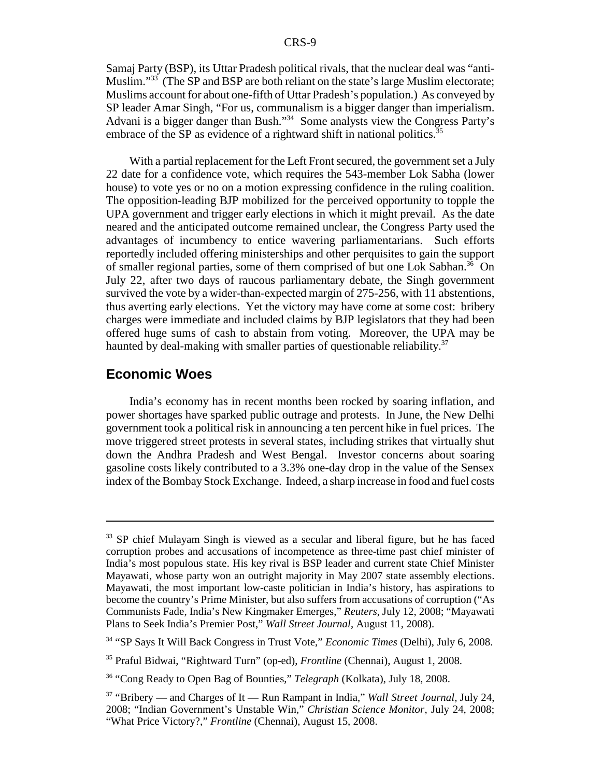Samaj Party (BSP), its Uttar Pradesh political rivals, that the nuclear deal was "anti-Muslim. $33 \text{ (The SP and BSP are both relation on the state's large Muslim electrode)}$ Muslims account for about one-fifth of Uttar Pradesh's population.) As conveyed by SP leader Amar Singh, "For us, communalism is a bigger danger than imperialism. Advani is a bigger danger than Bush."34 Some analysts view the Congress Party's embrace of the SP as evidence of a rightward shift in national politics.<sup>3</sup>

With a partial replacement for the Left Front secured, the government set a July 22 date for a confidence vote, which requires the 543-member Lok Sabha (lower house) to vote yes or no on a motion expressing confidence in the ruling coalition. The opposition-leading BJP mobilized for the perceived opportunity to topple the UPA government and trigger early elections in which it might prevail. As the date neared and the anticipated outcome remained unclear, the Congress Party used the advantages of incumbency to entice wavering parliamentarians. Such efforts reportedly included offering ministerships and other perquisites to gain the support of smaller regional parties, some of them comprised of but one Lok Sabhan.<sup>36</sup> On July 22, after two days of raucous parliamentary debate, the Singh government survived the vote by a wider-than-expected margin of 275-256, with 11 abstentions, thus averting early elections. Yet the victory may have come at some cost: bribery charges were immediate and included claims by BJP legislators that they had been offered huge sums of cash to abstain from voting. Moreover, the UPA may be haunted by deal-making with smaller parties of questionable reliability.<sup>37</sup>

#### **Economic Woes**

India's economy has in recent months been rocked by soaring inflation, and power shortages have sparked public outrage and protests. In June, the New Delhi government took a political risk in announcing a ten percent hike in fuel prices. The move triggered street protests in several states, including strikes that virtually shut down the Andhra Pradesh and West Bengal. Investor concerns about soaring gasoline costs likely contributed to a 3.3% one-day drop in the value of the Sensex index of the Bombay Stock Exchange. Indeed, a sharp increase in food and fuel costs

<sup>&</sup>lt;sup>33</sup> SP chief Mulayam Singh is viewed as a secular and liberal figure, but he has faced corruption probes and accusations of incompetence as three-time past chief minister of India's most populous state. His key rival is BSP leader and current state Chief Minister Mayawati, whose party won an outright majority in May 2007 state assembly elections. Mayawati, the most important low-caste politician in India's history, has aspirations to become the country's Prime Minister, but also suffers from accusations of corruption ("As Communists Fade, India's New Kingmaker Emerges," *Reuters*, July 12, 2008; "Mayawati Plans to Seek India's Premier Post," *Wall Street Journal*, August 11, 2008).

<sup>34 &</sup>quot;SP Says It Will Back Congress in Trust Vote," *Economic Times* (Delhi), July 6, 2008.

<sup>35</sup> Praful Bidwai, "Rightward Turn" (op-ed), *Frontline* (Chennai), August 1, 2008.

<sup>36 &</sup>quot;Cong Ready to Open Bag of Bounties," *Telegraph* (Kolkata), July 18, 2008.

<sup>37 &</sup>quot;Bribery — and Charges of It — Run Rampant in India," *Wall Street Journal*, July 24, 2008; "Indian Government's Unstable Win," *Christian Science Monitor*, July 24, 2008; "What Price Victory?," *Frontline* (Chennai), August 15, 2008.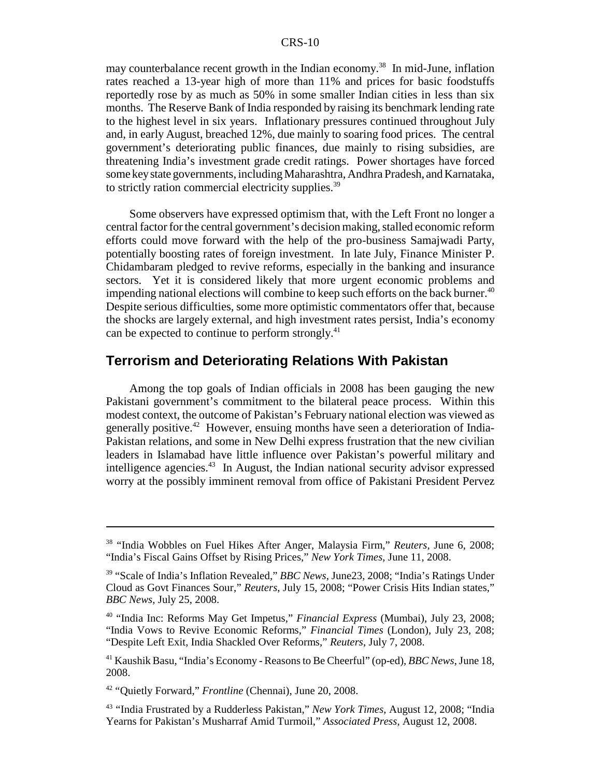may counterbalance recent growth in the Indian economy.<sup>38</sup> In mid-June, inflation rates reached a 13-year high of more than 11% and prices for basic foodstuffs reportedly rose by as much as 50% in some smaller Indian cities in less than six months. The Reserve Bank of India responded by raising its benchmark lending rate to the highest level in six years. Inflationary pressures continued throughout July and, in early August, breached 12%, due mainly to soaring food prices. The central government's deteriorating public finances, due mainly to rising subsidies, are threatening India's investment grade credit ratings. Power shortages have forced some key state governments, including Maharashtra, Andhra Pradesh, and Karnataka, to strictly ration commercial electricity supplies.<sup>39</sup>

Some observers have expressed optimism that, with the Left Front no longer a central factor for the central government's decision making, stalled economic reform efforts could move forward with the help of the pro-business Samajwadi Party, potentially boosting rates of foreign investment. In late July, Finance Minister P. Chidambaram pledged to revive reforms, especially in the banking and insurance sectors. Yet it is considered likely that more urgent economic problems and impending national elections will combine to keep such efforts on the back burner.<sup>40</sup> Despite serious difficulties, some more optimistic commentators offer that, because the shocks are largely external, and high investment rates persist, India's economy can be expected to continue to perform strongly. $^{41}$ 

#### **Terrorism and Deteriorating Relations With Pakistan**

Among the top goals of Indian officials in 2008 has been gauging the new Pakistani government's commitment to the bilateral peace process. Within this modest context, the outcome of Pakistan's February national election was viewed as generally positive.<sup>42</sup> However, ensuing months have seen a deterioration of India-Pakistan relations, and some in New Delhi express frustration that the new civilian leaders in Islamabad have little influence over Pakistan's powerful military and intelligence agencies.43 In August, the Indian national security advisor expressed worry at the possibly imminent removal from office of Pakistani President Pervez

<sup>38 &</sup>quot;India Wobbles on Fuel Hikes After Anger, Malaysia Firm," *Reuters*, June 6, 2008; "India's Fiscal Gains Offset by Rising Prices," *New York Times*, June 11, 2008.

<sup>39 &</sup>quot;Scale of India's Inflation Revealed," *BBC News*, June23, 2008; "India's Ratings Under Cloud as Govt Finances Sour," *Reuters*, July 15, 2008; "Power Crisis Hits Indian states," *BBC News*, July 25, 2008.

<sup>40 &</sup>quot;India Inc: Reforms May Get Impetus," *Financial Express* (Mumbai), July 23, 2008; "India Vows to Revive Economic Reforms," *Financial Times* (London), July 23, 208; "Despite Left Exit, India Shackled Over Reforms," *Reuters*, July 7, 2008.

<sup>41</sup> Kaushik Basu, "India's Economy - Reasons to Be Cheerful" (op-ed), *BBC News*, June 18, 2008.

<sup>42 &</sup>quot;Quietly Forward," *Frontline* (Chennai), June 20, 2008.

<sup>43 &</sup>quot;India Frustrated by a Rudderless Pakistan," *New York Times*, August 12, 2008; "India Yearns for Pakistan's Musharraf Amid Turmoil," *Associated Press*, August 12, 2008.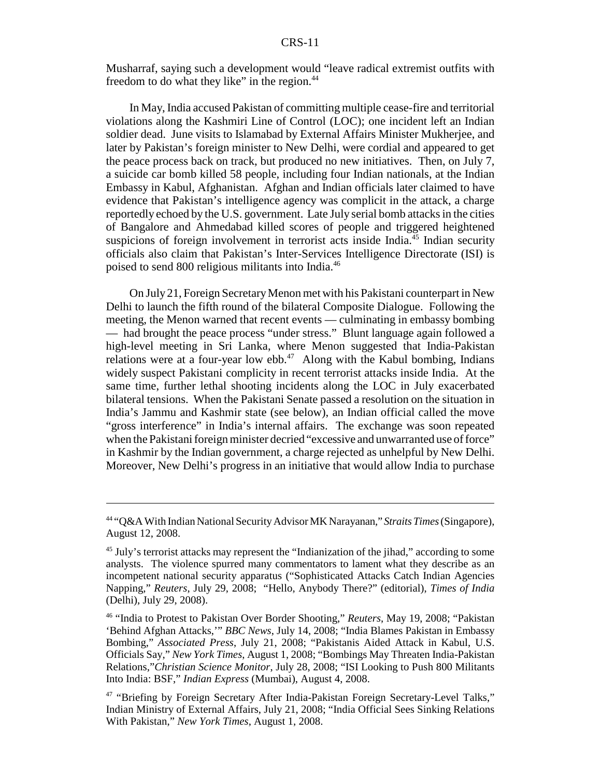Musharraf, saying such a development would "leave radical extremist outfits with freedom to do what they like" in the region.<sup>44</sup>

In May, India accused Pakistan of committing multiple cease-fire and territorial violations along the Kashmiri Line of Control (LOC); one incident left an Indian soldier dead. June visits to Islamabad by External Affairs Minister Mukherjee, and later by Pakistan's foreign minister to New Delhi, were cordial and appeared to get the peace process back on track, but produced no new initiatives. Then, on July 7, a suicide car bomb killed 58 people, including four Indian nationals, at the Indian Embassy in Kabul, Afghanistan. Afghan and Indian officials later claimed to have evidence that Pakistan's intelligence agency was complicit in the attack, a charge reportedly echoed by the U.S. government. Late July serial bomb attacks in the cities of Bangalore and Ahmedabad killed scores of people and triggered heightened suspicions of foreign involvement in terrorist acts inside India.<sup>45</sup> Indian security officials also claim that Pakistan's Inter-Services Intelligence Directorate (ISI) is poised to send 800 religious militants into India.46

On July 21, Foreign Secretary Menon met with his Pakistani counterpart in New Delhi to launch the fifth round of the bilateral Composite Dialogue. Following the meeting, the Menon warned that recent events — culminating in embassy bombing — had brought the peace process "under stress." Blunt language again followed a high-level meeting in Sri Lanka, where Menon suggested that India-Pakistan relations were at a four-year low ebb.<sup>47</sup> Along with the Kabul bombing, Indians widely suspect Pakistani complicity in recent terrorist attacks inside India. At the same time, further lethal shooting incidents along the LOC in July exacerbated bilateral tensions. When the Pakistani Senate passed a resolution on the situation in India's Jammu and Kashmir state (see below), an Indian official called the move "gross interference" in India's internal affairs. The exchange was soon repeated when the Pakistani foreign minister decried "excessive and unwarranted use of force" in Kashmir by the Indian government, a charge rejected as unhelpful by New Delhi. Moreover, New Delhi's progress in an initiative that would allow India to purchase

<sup>44 &</sup>quot;Q&A With Indian National Security Advisor MK Narayanan," *Straits Times* (Singapore), August 12, 2008.

<sup>&</sup>lt;sup>45</sup> July's terrorist attacks may represent the "Indianization of the jihad," according to some analysts. The violence spurred many commentators to lament what they describe as an incompetent national security apparatus ("Sophisticated Attacks Catch Indian Agencies Napping," *Reuters*, July 29, 2008; "Hello, Anybody There?" (editorial), *Times of India* (Delhi), July 29, 2008).

<sup>46 &</sup>quot;India to Protest to Pakistan Over Border Shooting," *Reuters*, May 19, 2008; "Pakistan 'Behind Afghan Attacks,'" *BBC News*, July 14, 2008; "India Blames Pakistan in Embassy Bombing," *Associated Press*, July 21, 2008; "Pakistanis Aided Attack in Kabul, U.S. Officials Say," *New York Times*, August 1, 2008; "Bombings May Threaten India-Pakistan Relations,"*Christian Science Monitor*, July 28, 2008; "ISI Looking to Push 800 Militants Into India: BSF," *Indian Express* (Mumbai), August 4, 2008.

<sup>47 &</sup>quot;Briefing by Foreign Secretary After India-Pakistan Foreign Secretary-Level Talks," Indian Ministry of External Affairs, July 21, 2008; "India Official Sees Sinking Relations With Pakistan," *New York Times*, August 1, 2008.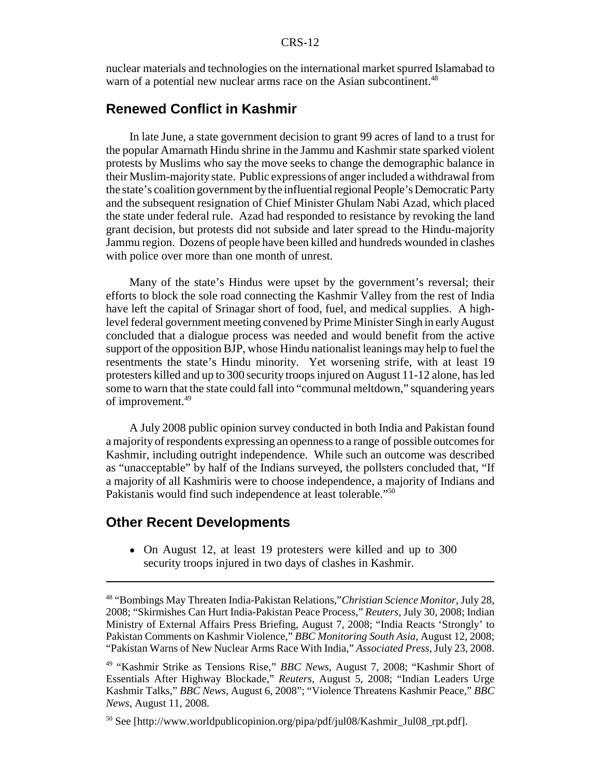nuclear materials and technologies on the international market spurred Islamabad to warn of a potential new nuclear arms race on the Asian subcontinent.<sup>48</sup>

#### **Renewed Conflict in Kashmir**

In late June, a state government decision to grant 99 acres of land to a trust for the popular Amarnath Hindu shrine in the Jammu and Kashmir state sparked violent protests by Muslims who say the move seeks to change the demographic balance in their Muslim-majority state. Public expressions of anger included a withdrawal from the state's coalition government by the influential regional People's Democratic Party and the subsequent resignation of Chief Minister Ghulam Nabi Azad, which placed the state under federal rule. Azad had responded to resistance by revoking the land grant decision, but protests did not subside and later spread to the Hindu-majority Jammu region. Dozens of people have been killed and hundreds wounded in clashes with police over more than one month of unrest.

Many of the state's Hindus were upset by the government's reversal; their efforts to block the sole road connecting the Kashmir Valley from the rest of India have left the capital of Srinagar short of food, fuel, and medical supplies. A highlevel federal government meeting convened by Prime Minister Singh in early August concluded that a dialogue process was needed and would benefit from the active support of the opposition BJP, whose Hindu nationalist leanings may help to fuel the resentments the state's Hindu minority. Yet worsening strife, with at least 19 protesters killed and up to 300 security troops injured on August 11-12 alone, has led some to warn that the state could fall into "communal meltdown," squandering years of improvement.<sup>49</sup>

A July 2008 public opinion survey conducted in both India and Pakistan found a majority of respondents expressing an openness to a range of possible outcomes for Kashmir, including outright independence. While such an outcome was described as "unacceptable" by half of the Indians surveyed, the pollsters concluded that, "If a majority of all Kashmiris were to choose independence, a majority of Indians and Pakistanis would find such independence at least tolerable."<sup>50</sup>

#### **Other Recent Developments**

• On August 12, at least 19 protesters were killed and up to 300 security troops injured in two days of clashes in Kashmir.

<sup>48 &</sup>quot;Bombings May Threaten India-Pakistan Relations,"*Christian Science Monitor*, July 28, 2008; "Skirmishes Can Hurt India-Pakistan Peace Process," *Reuters*, July 30, 2008; Indian Ministry of External Affairs Press Briefing, August 7, 2008; "India Reacts 'Strongly' to Pakistan Comments on Kashmir Violence," *BBC Monitoring South Asia*, August 12, 2008; "Pakistan Warns of New Nuclear Arms Race With India," *Associated Press*, July 23, 2008.

<sup>49 &</sup>quot;Kashmir Strike as Tensions Rise," *BBC News*, August 7, 2008; "Kashmir Short of Essentials After Highway Blockade," *Reuters*, August 5, 2008; "Indian Leaders Urge Kashmir Talks," *BBC News*, August 6, 2008"; "Violence Threatens Kashmir Peace," *BBC News*, August 11, 2008.

<sup>50</sup> See [http://www.worldpublicopinion.org/pipa/pdf/jul08/Kashmir\_Jul08\_rpt.pdf].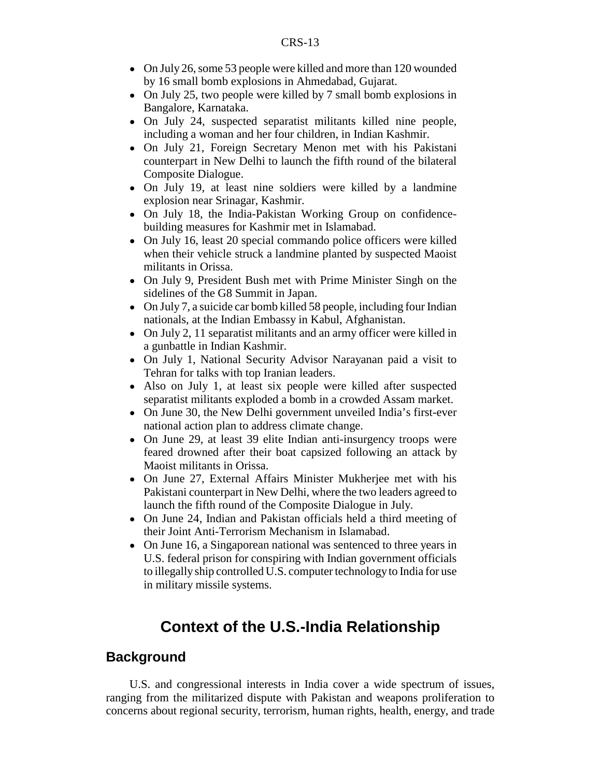- On July 26, some 53 people were killed and more than 120 wounded by 16 small bomb explosions in Ahmedabad, Gujarat.
- On July 25, two people were killed by 7 small bomb explosions in Bangalore, Karnataka.
- On July 24, suspected separatist militants killed nine people, including a woman and her four children, in Indian Kashmir.
- On July 21, Foreign Secretary Menon met with his Pakistani counterpart in New Delhi to launch the fifth round of the bilateral Composite Dialogue.
- On July 19, at least nine soldiers were killed by a landmine explosion near Srinagar, Kashmir.
- On July 18, the India-Pakistan Working Group on confidencebuilding measures for Kashmir met in Islamabad.
- On July 16, least 20 special commando police officers were killed when their vehicle struck a landmine planted by suspected Maoist militants in Orissa.
- On July 9, President Bush met with Prime Minister Singh on the sidelines of the G8 Summit in Japan.
- On July 7, a suicide car bomb killed 58 people, including four Indian nationals, at the Indian Embassy in Kabul, Afghanistan.
- On July 2, 11 separatist militants and an army officer were killed in a gunbattle in Indian Kashmir.
- ! On July 1, National Security Advisor Narayanan paid a visit to Tehran for talks with top Iranian leaders.
- Also on July 1, at least six people were killed after suspected separatist militants exploded a bomb in a crowded Assam market.
- On June 30, the New Delhi government unveiled India's first-ever national action plan to address climate change.
- On June 29, at least 39 elite Indian anti-insurgency troops were feared drowned after their boat capsized following an attack by Maoist militants in Orissa.
- On June 27, External Affairs Minister Mukherjee met with his Pakistani counterpart in New Delhi, where the two leaders agreed to launch the fifth round of the Composite Dialogue in July.
- On June 24, Indian and Pakistan officials held a third meeting of their Joint Anti-Terrorism Mechanism in Islamabad.
- On June 16, a Singaporean national was sentenced to three years in U.S. federal prison for conspiring with Indian government officials to illegally ship controlled U.S. computer technology to India for use in military missile systems.

# **Context of the U.S.-India Relationship**

#### **Background**

U.S. and congressional interests in India cover a wide spectrum of issues, ranging from the militarized dispute with Pakistan and weapons proliferation to concerns about regional security, terrorism, human rights, health, energy, and trade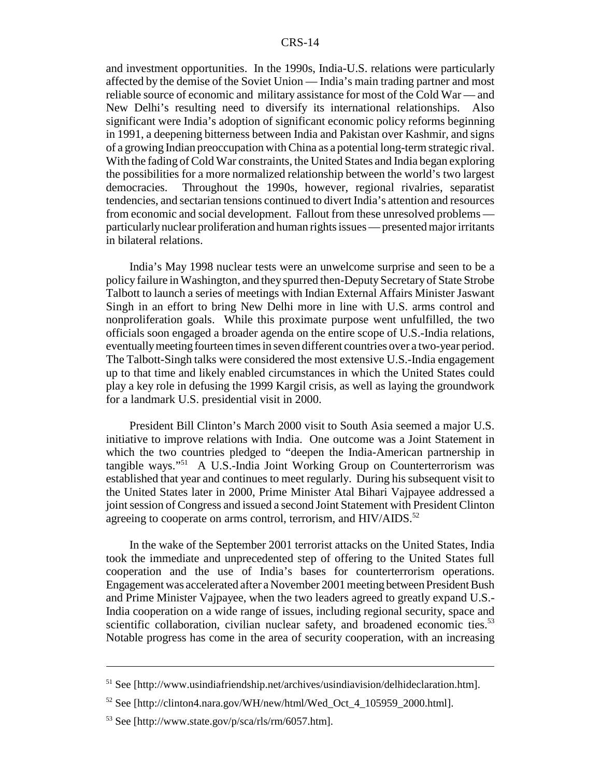and investment opportunities. In the 1990s, India-U.S. relations were particularly affected by the demise of the Soviet Union — India's main trading partner and most reliable source of economic and military assistance for most of the Cold War — and New Delhi's resulting need to diversify its international relationships. Also significant were India's adoption of significant economic policy reforms beginning in 1991, a deepening bitterness between India and Pakistan over Kashmir, and signs of a growing Indian preoccupation with China as a potential long-term strategic rival. With the fading of Cold War constraints, the United States and India began exploring the possibilities for a more normalized relationship between the world's two largest democracies. Throughout the 1990s, however, regional rivalries, separatist tendencies, and sectarian tensions continued to divert India's attention and resources from economic and social development. Fallout from these unresolved problems particularly nuclear proliferation and human rights issues — presented major irritants in bilateral relations.

India's May 1998 nuclear tests were an unwelcome surprise and seen to be a policy failure in Washington, and they spurred then-Deputy Secretary of State Strobe Talbott to launch a series of meetings with Indian External Affairs Minister Jaswant Singh in an effort to bring New Delhi more in line with U.S. arms control and nonproliferation goals. While this proximate purpose went unfulfilled, the two officials soon engaged a broader agenda on the entire scope of U.S.-India relations, eventually meeting fourteen times in seven different countries over a two-year period. The Talbott-Singh talks were considered the most extensive U.S.-India engagement up to that time and likely enabled circumstances in which the United States could play a key role in defusing the 1999 Kargil crisis, as well as laying the groundwork for a landmark U.S. presidential visit in 2000.

President Bill Clinton's March 2000 visit to South Asia seemed a major U.S. initiative to improve relations with India. One outcome was a Joint Statement in which the two countries pledged to "deepen the India-American partnership in tangible ways."51 A U.S.-India Joint Working Group on Counterterrorism was established that year and continues to meet regularly. During his subsequent visit to the United States later in 2000, Prime Minister Atal Bihari Vajpayee addressed a joint session of Congress and issued a second Joint Statement with President Clinton agreeing to cooperate on arms control, terrorism, and  $HIV/ALDS$ <sup>52</sup>

In the wake of the September 2001 terrorist attacks on the United States, India took the immediate and unprecedented step of offering to the United States full cooperation and the use of India's bases for counterterrorism operations. Engagement was accelerated after a November 2001 meeting between President Bush and Prime Minister Vajpayee, when the two leaders agreed to greatly expand U.S.- India cooperation on a wide range of issues, including regional security, space and scientific collaboration, civilian nuclear safety, and broadened economic ties. $53$ Notable progress has come in the area of security cooperation, with an increasing

 $51$  See [http://www.usindiafriendship.net/archives/usindiavision/delhideclaration.htm].

 $52$  See [http://clinton4.nara.gov/WH/new/html/Wed\_Oct\_4\_105959\_2000.html].

<sup>53</sup> See [http://www.state.gov/p/sca/rls/rm/6057.htm].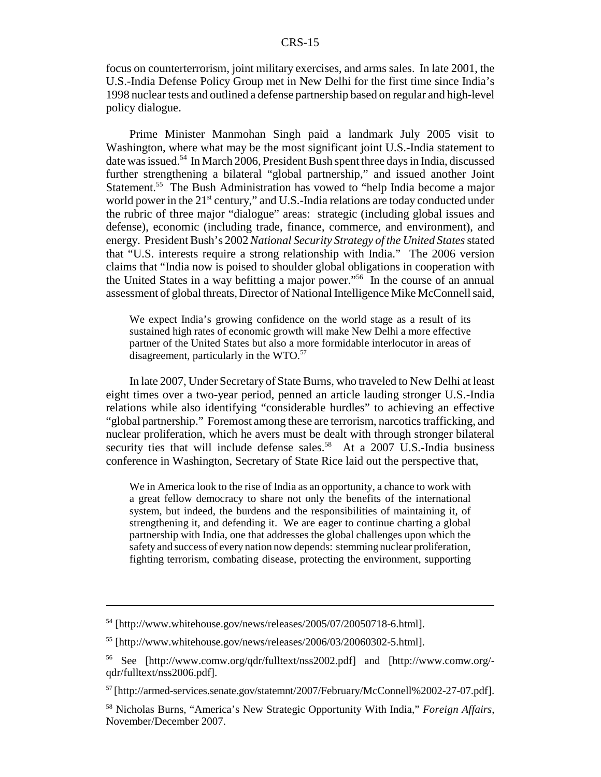focus on counterterrorism, joint military exercises, and arms sales. In late 2001, the U.S.-India Defense Policy Group met in New Delhi for the first time since India's 1998 nuclear tests and outlined a defense partnership based on regular and high-level policy dialogue.

Prime Minister Manmohan Singh paid a landmark July 2005 visit to Washington, where what may be the most significant joint U.S.-India statement to date was issued.54 In March 2006, President Bush spent three days in India, discussed further strengthening a bilateral "global partnership," and issued another Joint Statement.<sup>55</sup> The Bush Administration has vowed to "help India become a major world power in the 21<sup>st</sup> century," and U.S.-India relations are today conducted under the rubric of three major "dialogue" areas: strategic (including global issues and defense), economic (including trade, finance, commerce, and environment), and energy. President Bush's 2002 *National Security Strategy of the United States* stated that "U.S. interests require a strong relationship with India." The 2006 version claims that "India now is poised to shoulder global obligations in cooperation with the United States in a way befitting a major power."56 In the course of an annual assessment of global threats, Director of National Intelligence Mike McConnell said,

We expect India's growing confidence on the world stage as a result of its sustained high rates of economic growth will make New Delhi a more effective partner of the United States but also a more formidable interlocutor in areas of disagreement, particularly in the WTO.<sup>57</sup>

In late 2007, Under Secretary of State Burns, who traveled to New Delhi at least eight times over a two-year period, penned an article lauding stronger U.S.-India relations while also identifying "considerable hurdles" to achieving an effective "global partnership." Foremost among these are terrorism, narcotics trafficking, and nuclear proliferation, which he avers must be dealt with through stronger bilateral security ties that will include defense sales.<sup>58</sup> At a 2007 U.S.-India business conference in Washington, Secretary of State Rice laid out the perspective that,

We in America look to the rise of India as an opportunity, a chance to work with a great fellow democracy to share not only the benefits of the international system, but indeed, the burdens and the responsibilities of maintaining it, of strengthening it, and defending it. We are eager to continue charting a global partnership with India, one that addresses the global challenges upon which the safety and success of every nation now depends: stemming nuclear proliferation, fighting terrorism, combating disease, protecting the environment, supporting

<sup>54 [</sup>http://www.whitehouse.gov/news/releases/2005/07/20050718-6.html].

<sup>55 [</sup>http://www.whitehouse.gov/news/releases/2006/03/20060302-5.html].

<sup>56</sup> See [http://www.comw.org/qdr/fulltext/nss2002.pdf] and [http://www.comw.org/ qdr/fulltext/nss2006.pdf].

<sup>57 [</sup>http://armed-services.senate.gov/statemnt/2007/February/McConnell%2002-27-07.pdf].

<sup>58</sup> Nicholas Burns, "America's New Strategic Opportunity With India," *Foreign Affairs*, November/December 2007.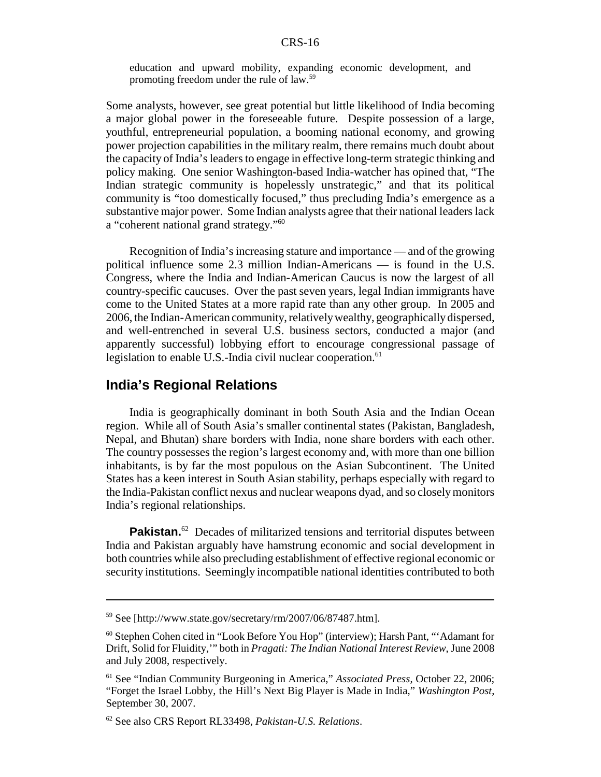education and upward mobility, expanding economic development, and promoting freedom under the rule of law.59

Some analysts, however, see great potential but little likelihood of India becoming a major global power in the foreseeable future. Despite possession of a large, youthful, entrepreneurial population, a booming national economy, and growing power projection capabilities in the military realm, there remains much doubt about the capacity of India's leaders to engage in effective long-term strategic thinking and policy making. One senior Washington-based India-watcher has opined that, "The Indian strategic community is hopelessly unstrategic," and that its political community is "too domestically focused," thus precluding India's emergence as a substantive major power. Some Indian analysts agree that their national leaders lack a "coherent national grand strategy."60

Recognition of India's increasing stature and importance — and of the growing political influence some 2.3 million Indian-Americans — is found in the U.S. Congress, where the India and Indian-American Caucus is now the largest of all country-specific caucuses. Over the past seven years, legal Indian immigrants have come to the United States at a more rapid rate than any other group. In 2005 and 2006, the Indian-American community, relatively wealthy, geographically dispersed, and well-entrenched in several U.S. business sectors, conducted a major (and apparently successful) lobbying effort to encourage congressional passage of legislation to enable U.S.-India civil nuclear cooperation. $61$ 

#### **India's Regional Relations**

India is geographically dominant in both South Asia and the Indian Ocean region. While all of South Asia's smaller continental states (Pakistan, Bangladesh, Nepal, and Bhutan) share borders with India, none share borders with each other. The country possesses the region's largest economy and, with more than one billion inhabitants, is by far the most populous on the Asian Subcontinent. The United States has a keen interest in South Asian stability, perhaps especially with regard to the India-Pakistan conflict nexus and nuclear weapons dyad, and so closely monitors India's regional relationships.

**Pakistan.**<sup>62</sup> Decades of militarized tensions and territorial disputes between India and Pakistan arguably have hamstrung economic and social development in both countries while also precluding establishment of effective regional economic or security institutions. Seemingly incompatible national identities contributed to both

<sup>59</sup> See [http://www.state.gov/secretary/rm/2007/06/87487.htm].

<sup>60</sup> Stephen Cohen cited in "Look Before You Hop" (interview); Harsh Pant, "'Adamant for Drift, Solid for Fluidity,'" both in *Pragati: The Indian National Interest Review*, June 2008 and July 2008, respectively.

<sup>61</sup> See "Indian Community Burgeoning in America," *Associated Press*, October 22, 2006; "Forget the Israel Lobby, the Hill's Next Big Player is Made in India," *Washington Post*, September 30, 2007.

<sup>62</sup> See also CRS Report RL33498, *Pakistan-U.S. Relations*.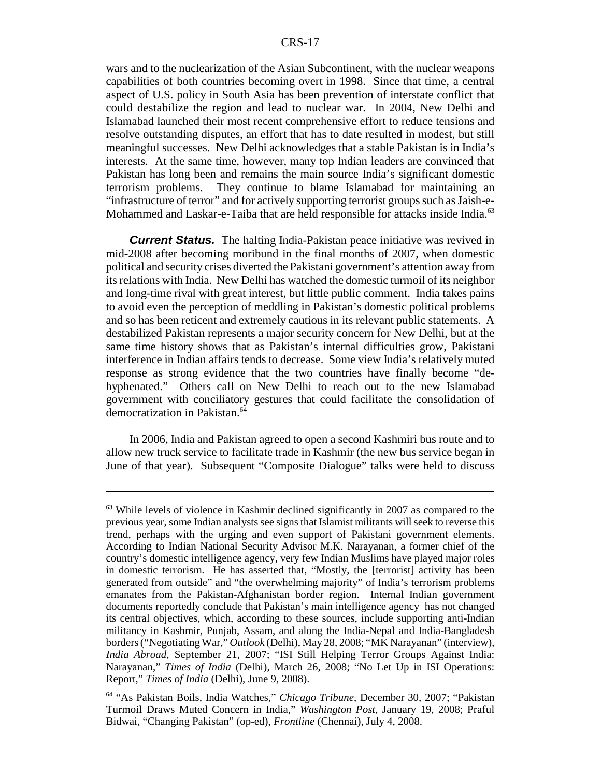wars and to the nuclearization of the Asian Subcontinent, with the nuclear weapons capabilities of both countries becoming overt in 1998. Since that time, a central aspect of U.S. policy in South Asia has been prevention of interstate conflict that could destabilize the region and lead to nuclear war. In 2004, New Delhi and Islamabad launched their most recent comprehensive effort to reduce tensions and resolve outstanding disputes, an effort that has to date resulted in modest, but still meaningful successes. New Delhi acknowledges that a stable Pakistan is in India's interests. At the same time, however, many top Indian leaders are convinced that Pakistan has long been and remains the main source India's significant domestic terrorism problems. They continue to blame Islamabad for maintaining an "infrastructure of terror" and for actively supporting terrorist groups such as Jaish-e-Mohammed and Laskar-e-Taiba that are held responsible for attacks inside India.<sup>63</sup>

*Current Status.* The halting India-Pakistan peace initiative was revived in mid-2008 after becoming moribund in the final months of 2007, when domestic political and security crises diverted the Pakistani government's attention away from its relations with India. New Delhi has watched the domestic turmoil of its neighbor and long-time rival with great interest, but little public comment. India takes pains to avoid even the perception of meddling in Pakistan's domestic political problems and so has been reticent and extremely cautious in its relevant public statements. A destabilized Pakistan represents a major security concern for New Delhi, but at the same time history shows that as Pakistan's internal difficulties grow, Pakistani interference in Indian affairs tends to decrease. Some view India's relatively muted response as strong evidence that the two countries have finally become "dehyphenated." Others call on New Delhi to reach out to the new Islamabad government with conciliatory gestures that could facilitate the consolidation of democratization in Pakistan.64

In 2006, India and Pakistan agreed to open a second Kashmiri bus route and to allow new truck service to facilitate trade in Kashmir (the new bus service began in June of that year). Subsequent "Composite Dialogue" talks were held to discuss

 $<sup>63</sup>$  While levels of violence in Kashmir declined significantly in 2007 as compared to the</sup> previous year, some Indian analysts see signs that Islamist militants will seek to reverse this trend, perhaps with the urging and even support of Pakistani government elements. According to Indian National Security Advisor M.K. Narayanan, a former chief of the country's domestic intelligence agency, very few Indian Muslims have played major roles in domestic terrorism. He has asserted that, "Mostly, the [terrorist] activity has been generated from outside" and "the overwhelming majority" of India's terrorism problems emanates from the Pakistan-Afghanistan border region. Internal Indian government documents reportedly conclude that Pakistan's main intelligence agency has not changed its central objectives, which, according to these sources, include supporting anti-Indian militancy in Kashmir, Punjab, Assam, and along the India-Nepal and India-Bangladesh borders ("Negotiating War," *Outlook* (Delhi), May 28, 2008; "MK Narayanan" (interview), *India Abroad*, September 21, 2007; "ISI Still Helping Terror Groups Against India: Narayanan," *Times of India* (Delhi), March 26, 2008; "No Let Up in ISI Operations: Report," *Times of India* (Delhi), June 9, 2008).

<sup>64 &</sup>quot;As Pakistan Boils, India Watches," *Chicago Tribune*, December 30, 2007; "Pakistan Turmoil Draws Muted Concern in India," *Washington Post*, January 19, 2008; Praful Bidwai, "Changing Pakistan" (op-ed), *Frontline* (Chennai), July 4, 2008.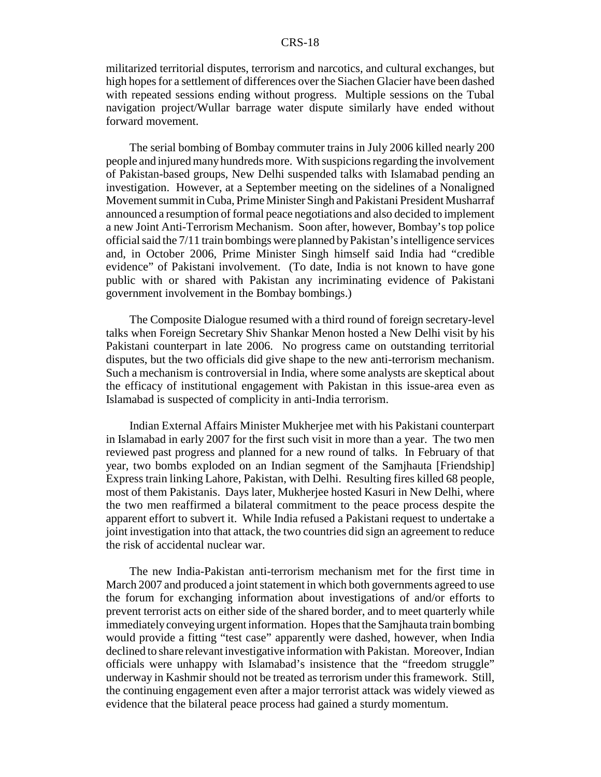#### CRS-18

militarized territorial disputes, terrorism and narcotics, and cultural exchanges, but high hopes for a settlement of differences over the Siachen Glacier have been dashed with repeated sessions ending without progress. Multiple sessions on the Tubal navigation project/Wullar barrage water dispute similarly have ended without forward movement.

The serial bombing of Bombay commuter trains in July 2006 killed nearly 200 people and injured many hundreds more. With suspicions regarding the involvement of Pakistan-based groups, New Delhi suspended talks with Islamabad pending an investigation. However, at a September meeting on the sidelines of a Nonaligned Movement summit in Cuba, Prime Minister Singh and Pakistani President Musharraf announced a resumption of formal peace negotiations and also decided to implement a new Joint Anti-Terrorism Mechanism. Soon after, however, Bombay's top police official said the 7/11 train bombings were planned by Pakistan's intelligence services and, in October 2006, Prime Minister Singh himself said India had "credible evidence" of Pakistani involvement. (To date, India is not known to have gone public with or shared with Pakistan any incriminating evidence of Pakistani government involvement in the Bombay bombings.)

The Composite Dialogue resumed with a third round of foreign secretary-level talks when Foreign Secretary Shiv Shankar Menon hosted a New Delhi visit by his Pakistani counterpart in late 2006. No progress came on outstanding territorial disputes, but the two officials did give shape to the new anti-terrorism mechanism. Such a mechanism is controversial in India, where some analysts are skeptical about the efficacy of institutional engagement with Pakistan in this issue-area even as Islamabad is suspected of complicity in anti-India terrorism.

Indian External Affairs Minister Mukherjee met with his Pakistani counterpart in Islamabad in early 2007 for the first such visit in more than a year. The two men reviewed past progress and planned for a new round of talks. In February of that year, two bombs exploded on an Indian segment of the Samjhauta [Friendship] Express train linking Lahore, Pakistan, with Delhi. Resulting fires killed 68 people, most of them Pakistanis. Days later, Mukherjee hosted Kasuri in New Delhi, where the two men reaffirmed a bilateral commitment to the peace process despite the apparent effort to subvert it. While India refused a Pakistani request to undertake a joint investigation into that attack, the two countries did sign an agreement to reduce the risk of accidental nuclear war.

The new India-Pakistan anti-terrorism mechanism met for the first time in March 2007 and produced a joint statement in which both governments agreed to use the forum for exchanging information about investigations of and/or efforts to prevent terrorist acts on either side of the shared border, and to meet quarterly while immediately conveying urgent information. Hopes that the Samjhauta train bombing would provide a fitting "test case" apparently were dashed, however, when India declined to share relevant investigative information with Pakistan. Moreover, Indian officials were unhappy with Islamabad's insistence that the "freedom struggle" underway in Kashmir should not be treated as terrorism under this framework. Still, the continuing engagement even after a major terrorist attack was widely viewed as evidence that the bilateral peace process had gained a sturdy momentum.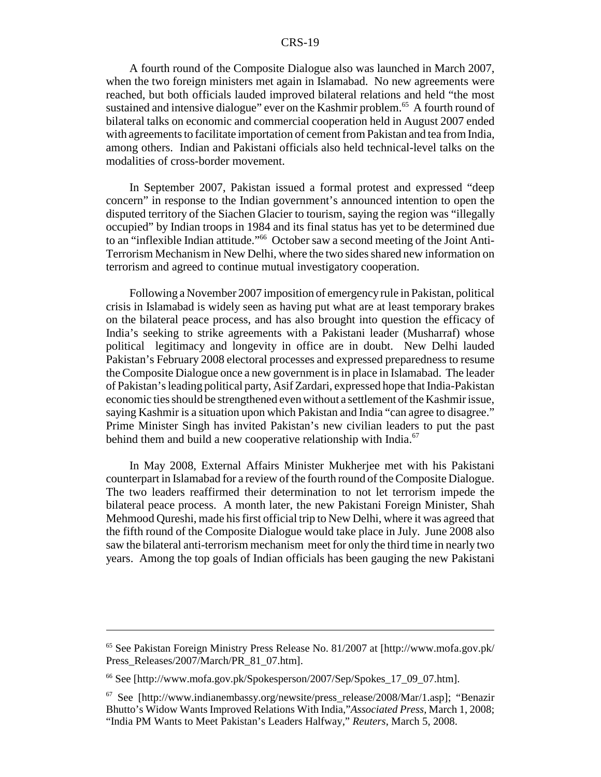#### CRS-19

A fourth round of the Composite Dialogue also was launched in March 2007, when the two foreign ministers met again in Islamabad. No new agreements were reached, but both officials lauded improved bilateral relations and held "the most sustained and intensive dialogue" ever on the Kashmir problem.<sup>65</sup> A fourth round of bilateral talks on economic and commercial cooperation held in August 2007 ended with agreements to facilitate importation of cement from Pakistan and tea from India, among others. Indian and Pakistani officials also held technical-level talks on the modalities of cross-border movement.

In September 2007, Pakistan issued a formal protest and expressed "deep concern" in response to the Indian government's announced intention to open the disputed territory of the Siachen Glacier to tourism, saying the region was "illegally occupied" by Indian troops in 1984 and its final status has yet to be determined due to an "inflexible Indian attitude."66 October saw a second meeting of the Joint Anti-Terrorism Mechanism in New Delhi, where the two sides shared new information on terrorism and agreed to continue mutual investigatory cooperation.

Following a November 2007 imposition of emergency rule in Pakistan, political crisis in Islamabad is widely seen as having put what are at least temporary brakes on the bilateral peace process, and has also brought into question the efficacy of India's seeking to strike agreements with a Pakistani leader (Musharraf) whose political legitimacy and longevity in office are in doubt. New Delhi lauded Pakistan's February 2008 electoral processes and expressed preparedness to resume the Composite Dialogue once a new government is in place in Islamabad. The leader of Pakistan's leading political party, Asif Zardari, expressed hope that India-Pakistan economic ties should be strengthened even without a settlement of the Kashmir issue, saying Kashmir is a situation upon which Pakistan and India "can agree to disagree." Prime Minister Singh has invited Pakistan's new civilian leaders to put the past behind them and build a new cooperative relationship with India.<sup>67</sup>

In May 2008, External Affairs Minister Mukherjee met with his Pakistani counterpart in Islamabad for a review of the fourth round of the Composite Dialogue. The two leaders reaffirmed their determination to not let terrorism impede the bilateral peace process. A month later, the new Pakistani Foreign Minister, Shah Mehmood Qureshi, made his first official trip to New Delhi, where it was agreed that the fifth round of the Composite Dialogue would take place in July. June 2008 also saw the bilateral anti-terrorism mechanism meet for only the third time in nearly two years. Among the top goals of Indian officials has been gauging the new Pakistani

<sup>65</sup> See Pakistan Foreign Ministry Press Release No. 81/2007 at [http://www.mofa.gov.pk/ Press\_Releases/2007/March/PR\_81\_07.htm].

<sup>66</sup> See [http://www.mofa.gov.pk/Spokesperson/2007/Sep/Spokes\_17\_09\_07.htm].

<sup>67</sup> See [http://www.indianembassy.org/newsite/press\_release/2008/Mar/1.asp]; "Benazir Bhutto's Widow Wants Improved Relations With India,"*Associated Press*, March 1, 2008; "India PM Wants to Meet Pakistan's Leaders Halfway," *Reuters*, March 5, 2008.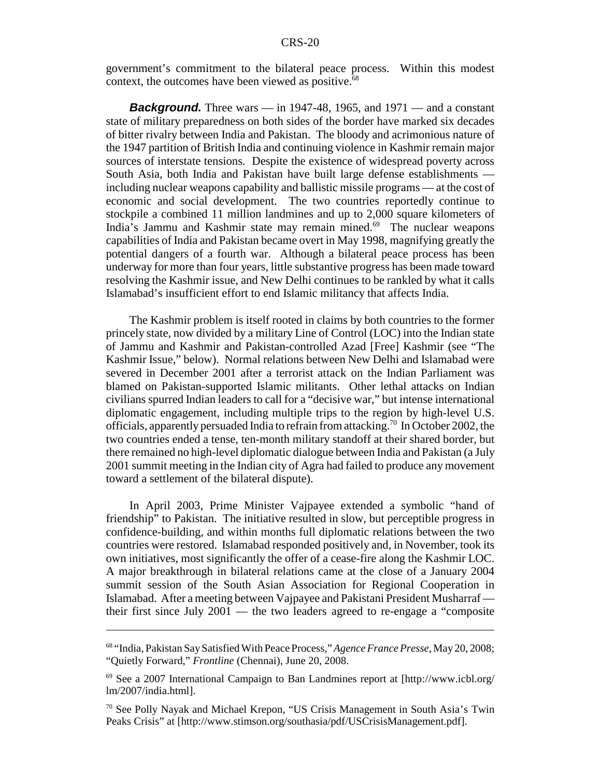government's commitment to the bilateral peace process. Within this modest context, the outcomes have been viewed as positive.<sup>68</sup>

*Background.* Three wars — in 1947-48, 1965, and 1971 — and a constant state of military preparedness on both sides of the border have marked six decades of bitter rivalry between India and Pakistan. The bloody and acrimonious nature of the 1947 partition of British India and continuing violence in Kashmir remain major sources of interstate tensions. Despite the existence of widespread poverty across South Asia, both India and Pakistan have built large defense establishments including nuclear weapons capability and ballistic missile programs — at the cost of economic and social development. The two countries reportedly continue to stockpile a combined 11 million landmines and up to 2,000 square kilometers of India's Jammu and Kashmir state may remain mined.<sup>69</sup> The nuclear weapons capabilities of India and Pakistan became overt in May 1998, magnifying greatly the potential dangers of a fourth war. Although a bilateral peace process has been underway for more than four years, little substantive progress has been made toward resolving the Kashmir issue, and New Delhi continues to be rankled by what it calls Islamabad's insufficient effort to end Islamic militancy that affects India.

The Kashmir problem is itself rooted in claims by both countries to the former princely state, now divided by a military Line of Control (LOC) into the Indian state of Jammu and Kashmir and Pakistan-controlled Azad [Free] Kashmir (see "The Kashmir Issue," below). Normal relations between New Delhi and Islamabad were severed in December 2001 after a terrorist attack on the Indian Parliament was blamed on Pakistan-supported Islamic militants. Other lethal attacks on Indian civilians spurred Indian leaders to call for a "decisive war," but intense international diplomatic engagement, including multiple trips to the region by high-level U.S. officials, apparently persuaded India to refrain from attacking.70 In October 2002, the two countries ended a tense, ten-month military standoff at their shared border, but there remained no high-level diplomatic dialogue between India and Pakistan (a July 2001 summit meeting in the Indian city of Agra had failed to produce any movement toward a settlement of the bilateral dispute).

In April 2003, Prime Minister Vajpayee extended a symbolic "hand of friendship" to Pakistan. The initiative resulted in slow, but perceptible progress in confidence-building, and within months full diplomatic relations between the two countries were restored. Islamabad responded positively and, in November, took its own initiatives, most significantly the offer of a cease-fire along the Kashmir LOC. A major breakthrough in bilateral relations came at the close of a January 2004 summit session of the South Asian Association for Regional Cooperation in Islamabad. After a meeting between Vajpayee and Pakistani President Musharraf their first since July 2001 — the two leaders agreed to re-engage a "composite

<sup>68 &</sup>quot;India, Pakistan Say Satisfied With Peace Process," *Agence France Presse*, May 20, 2008; "Quietly Forward," *Frontline* (Chennai), June 20, 2008.

<sup>69</sup> See a 2007 International Campaign to Ban Landmines report at [http://www.icbl.org/ lm/2007/india.html].

<sup>70</sup> See Polly Nayak and Michael Krepon, "US Crisis Management in South Asia's Twin Peaks Crisis" at [http://www.stimson.org/southasia/pdf/USCrisisManagement.pdf].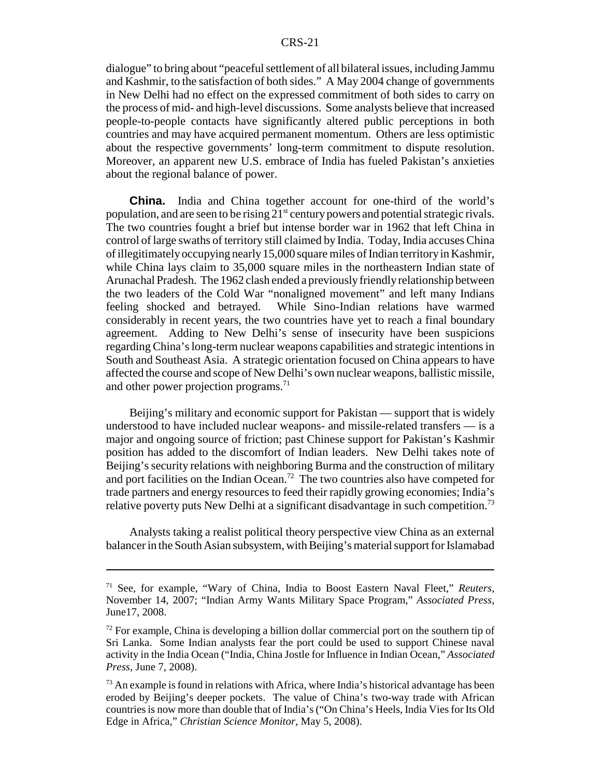dialogue" to bring about "peaceful settlement of all bilateral issues, including Jammu and Kashmir, to the satisfaction of both sides." A May 2004 change of governments in New Delhi had no effect on the expressed commitment of both sides to carry on the process of mid- and high-level discussions. Some analysts believe that increased people-to-people contacts have significantly altered public perceptions in both countries and may have acquired permanent momentum. Others are less optimistic about the respective governments' long-term commitment to dispute resolution. Moreover, an apparent new U.S. embrace of India has fueled Pakistan's anxieties about the regional balance of power.

**China.** India and China together account for one-third of the world's population, and are seen to be rising  $21<sup>st</sup>$  century powers and potential strategic rivals. The two countries fought a brief but intense border war in 1962 that left China in control of large swaths of territory still claimed by India. Today, India accuses China of illegitimately occupying nearly 15,000 square miles of Indian territory in Kashmir, while China lays claim to 35,000 square miles in the northeastern Indian state of Arunachal Pradesh. The 1962 clash ended a previously friendly relationship between the two leaders of the Cold War "nonaligned movement" and left many Indians feeling shocked and betrayed. While Sino-Indian relations have warmed considerably in recent years, the two countries have yet to reach a final boundary agreement. Adding to New Delhi's sense of insecurity have been suspicions regarding China's long-term nuclear weapons capabilities and strategic intentions in South and Southeast Asia. A strategic orientation focused on China appears to have affected the course and scope of New Delhi's own nuclear weapons, ballistic missile, and other power projection programs.<sup>71</sup>

Beijing's military and economic support for Pakistan — support that is widely understood to have included nuclear weapons- and missile-related transfers — is a major and ongoing source of friction; past Chinese support for Pakistan's Kashmir position has added to the discomfort of Indian leaders. New Delhi takes note of Beijing's security relations with neighboring Burma and the construction of military and port facilities on the Indian Ocean.<sup>72</sup> The two countries also have competed for trade partners and energy resources to feed their rapidly growing economies; India's relative poverty puts New Delhi at a significant disadvantage in such competition.<sup>73</sup>

Analysts taking a realist political theory perspective view China as an external balancer in the South Asian subsystem, with Beijing's material support for Islamabad

<sup>71</sup> See, for example, "Wary of China, India to Boost Eastern Naval Fleet," *Reuters*, November 14, 2007; "Indian Army Wants Military Space Program," *Associated Press*, June17, 2008.

 $<sup>72</sup>$  For example, China is developing a billion dollar commercial port on the southern tip of</sup> Sri Lanka. Some Indian analysts fear the port could be used to support Chinese naval activity in the India Ocean ("India, China Jostle for Influence in Indian Ocean," *Associated Press*, June 7, 2008).

 $73$  An example is found in relations with Africa, where India's historical advantage has been eroded by Beijing's deeper pockets. The value of China's two-way trade with African countries is now more than double that of India's ("On China's Heels, India Vies for Its Old Edge in Africa," *Christian Science Monitor*, May 5, 2008).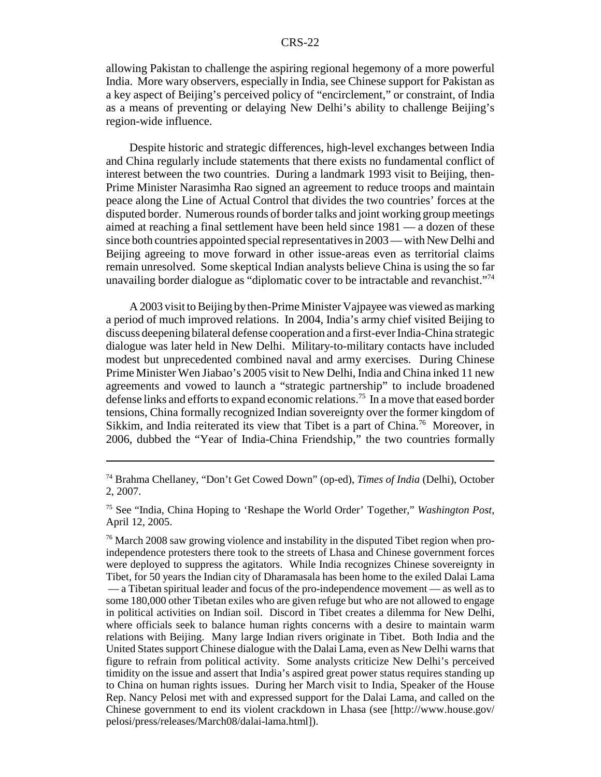allowing Pakistan to challenge the aspiring regional hegemony of a more powerful India. More wary observers, especially in India, see Chinese support for Pakistan as a key aspect of Beijing's perceived policy of "encirclement," or constraint, of India as a means of preventing or delaying New Delhi's ability to challenge Beijing's region-wide influence.

Despite historic and strategic differences, high-level exchanges between India and China regularly include statements that there exists no fundamental conflict of interest between the two countries. During a landmark 1993 visit to Beijing, then-Prime Minister Narasimha Rao signed an agreement to reduce troops and maintain peace along the Line of Actual Control that divides the two countries' forces at the disputed border. Numerous rounds of border talks and joint working group meetings aimed at reaching a final settlement have been held since 1981 — a dozen of these since both countries appointed special representatives in 2003 — with New Delhi and Beijing agreeing to move forward in other issue-areas even as territorial claims remain unresolved. Some skeptical Indian analysts believe China is using the so far unavailing border dialogue as "diplomatic cover to be intractable and revanchist."<sup>74</sup>

A 2003 visit to Beijing by then-Prime Minister Vajpayee was viewed as marking a period of much improved relations. In 2004, India's army chief visited Beijing to discuss deepening bilateral defense cooperation and a first-ever India-China strategic dialogue was later held in New Delhi. Military-to-military contacts have included modest but unprecedented combined naval and army exercises. During Chinese Prime Minister Wen Jiabao's 2005 visit to New Delhi, India and China inked 11 new agreements and vowed to launch a "strategic partnership" to include broadened defense links and efforts to expand economic relations.75 In a move that eased border tensions, China formally recognized Indian sovereignty over the former kingdom of Sikkim, and India reiterated its view that Tibet is a part of China.<sup>76</sup> Moreover, in 2006, dubbed the "Year of India-China Friendship," the two countries formally

<sup>74</sup> Brahma Chellaney, "Don't Get Cowed Down" (op-ed), *Times of India* (Delhi), October 2, 2007.

<sup>75</sup> See "India, China Hoping to 'Reshape the World Order' Together," *Washington Post*, April 12, 2005.

 $76$  March 2008 saw growing violence and instability in the disputed Tibet region when proindependence protesters there took to the streets of Lhasa and Chinese government forces were deployed to suppress the agitators. While India recognizes Chinese sovereignty in Tibet, for 50 years the Indian city of Dharamasala has been home to the exiled Dalai Lama — a Tibetan spiritual leader and focus of the pro-independence movement — as well as to some 180,000 other Tibetan exiles who are given refuge but who are not allowed to engage in political activities on Indian soil. Discord in Tibet creates a dilemma for New Delhi, where officials seek to balance human rights concerns with a desire to maintain warm relations with Beijing. Many large Indian rivers originate in Tibet. Both India and the United States support Chinese dialogue with the Dalai Lama, even as New Delhi warns that figure to refrain from political activity. Some analysts criticize New Delhi's perceived timidity on the issue and assert that India's aspired great power status requires standing up to China on human rights issues. During her March visit to India, Speaker of the House Rep. Nancy Pelosi met with and expressed support for the Dalai Lama, and called on the Chinese government to end its violent crackdown in Lhasa (see [http://www.house.gov/ pelosi/press/releases/March08/dalai-lama.html]).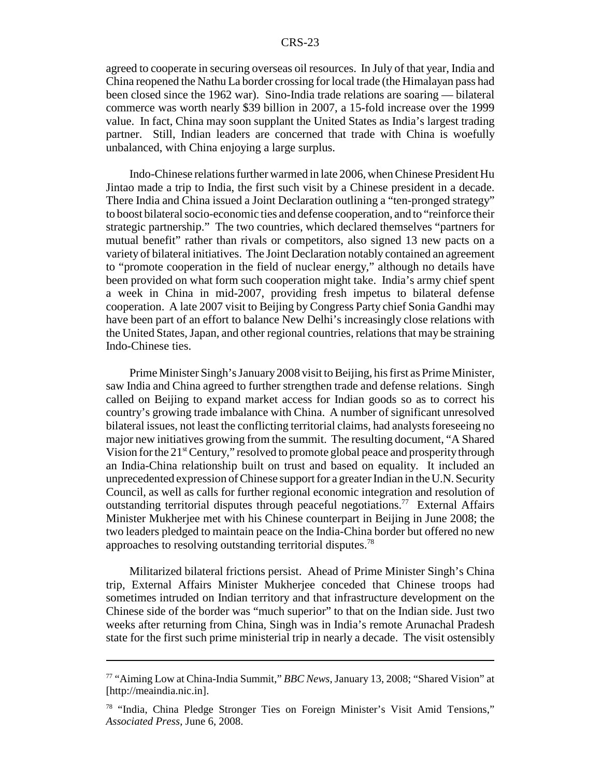agreed to cooperate in securing overseas oil resources. In July of that year, India and China reopened the Nathu La border crossing for local trade (the Himalayan pass had been closed since the 1962 war). Sino-India trade relations are soaring — bilateral commerce was worth nearly \$39 billion in 2007, a 15-fold increase over the 1999 value. In fact, China may soon supplant the United States as India's largest trading partner. Still, Indian leaders are concerned that trade with China is woefully unbalanced, with China enjoying a large surplus.

Indo-Chinese relations further warmed in late 2006, when Chinese President Hu Jintao made a trip to India, the first such visit by a Chinese president in a decade. There India and China issued a Joint Declaration outlining a "ten-pronged strategy" to boost bilateral socio-economic ties and defense cooperation, and to "reinforce their strategic partnership." The two countries, which declared themselves "partners for mutual benefit" rather than rivals or competitors, also signed 13 new pacts on a variety of bilateral initiatives. The Joint Declaration notably contained an agreement to "promote cooperation in the field of nuclear energy," although no details have been provided on what form such cooperation might take. India's army chief spent a week in China in mid-2007, providing fresh impetus to bilateral defense cooperation. A late 2007 visit to Beijing by Congress Party chief Sonia Gandhi may have been part of an effort to balance New Delhi's increasingly close relations with the United States, Japan, and other regional countries, relations that may be straining Indo-Chinese ties.

Prime Minister Singh's January 2008 visit to Beijing, his first as Prime Minister, saw India and China agreed to further strengthen trade and defense relations. Singh called on Beijing to expand market access for Indian goods so as to correct his country's growing trade imbalance with China. A number of significant unresolved bilateral issues, not least the conflicting territorial claims, had analysts foreseeing no major new initiatives growing from the summit. The resulting document, "A Shared Vision for the 21<sup>st</sup> Century," resolved to promote global peace and prosperity through an India-China relationship built on trust and based on equality. It included an unprecedented expression of Chinese support for a greater Indian in the U.N. Security Council, as well as calls for further regional economic integration and resolution of outstanding territorial disputes through peaceful negotiations.77 External Affairs Minister Mukherjee met with his Chinese counterpart in Beijing in June 2008; the two leaders pledged to maintain peace on the India-China border but offered no new approaches to resolving outstanding territorial disputes.<sup>78</sup>

Militarized bilateral frictions persist. Ahead of Prime Minister Singh's China trip, External Affairs Minister Mukherjee conceded that Chinese troops had sometimes intruded on Indian territory and that infrastructure development on the Chinese side of the border was "much superior" to that on the Indian side. Just two weeks after returning from China, Singh was in India's remote Arunachal Pradesh state for the first such prime ministerial trip in nearly a decade. The visit ostensibly

<sup>77 &</sup>quot;Aiming Low at China-India Summit," *BBC News*, January 13, 2008; "Shared Vision" at [http://meaindia.nic.in].

<sup>78 &</sup>quot;India, China Pledge Stronger Ties on Foreign Minister's Visit Amid Tensions," *Associated Press*, June 6, 2008.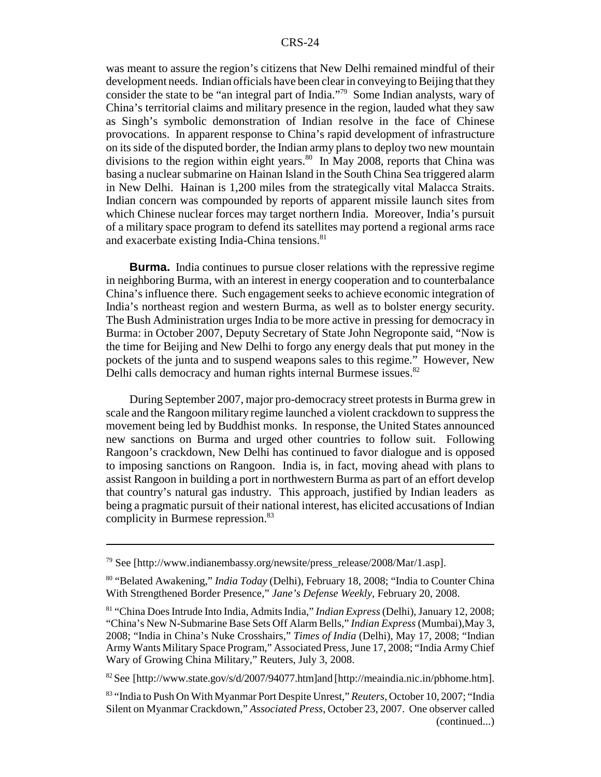was meant to assure the region's citizens that New Delhi remained mindful of their development needs. Indian officials have been clear in conveying to Beijing that they consider the state to be "an integral part of India."79 Some Indian analysts, wary of China's territorial claims and military presence in the region, lauded what they saw as Singh's symbolic demonstration of Indian resolve in the face of Chinese provocations. In apparent response to China's rapid development of infrastructure on its side of the disputed border, the Indian army plans to deploy two new mountain divisions to the region within eight years.<sup>80</sup> In May 2008, reports that China was basing a nuclear submarine on Hainan Island in the South China Sea triggered alarm in New Delhi. Hainan is 1,200 miles from the strategically vital Malacca Straits. Indian concern was compounded by reports of apparent missile launch sites from which Chinese nuclear forces may target northern India. Moreover, India's pursuit of a military space program to defend its satellites may portend a regional arms race and exacerbate existing India-China tensions.<sup>81</sup>

**Burma.** India continues to pursue closer relations with the repressive regime in neighboring Burma, with an interest in energy cooperation and to counterbalance China's influence there. Such engagement seeks to achieve economic integration of India's northeast region and western Burma, as well as to bolster energy security. The Bush Administration urges India to be more active in pressing for democracy in Burma: in October 2007, Deputy Secretary of State John Negroponte said, "Now is the time for Beijing and New Delhi to forgo any energy deals that put money in the pockets of the junta and to suspend weapons sales to this regime." However, New Delhi calls democracy and human rights internal Burmese issues.<sup>82</sup>

 During September 2007, major pro-democracy street protests in Burma grew in scale and the Rangoon military regime launched a violent crackdown to suppress the movement being led by Buddhist monks. In response, the United States announced new sanctions on Burma and urged other countries to follow suit. Following Rangoon's crackdown, New Delhi has continued to favor dialogue and is opposed to imposing sanctions on Rangoon. India is, in fact, moving ahead with plans to assist Rangoon in building a port in northwestern Burma as part of an effort develop that country's natural gas industry. This approach, justified by Indian leaders as being a pragmatic pursuit of their national interest, has elicited accusations of Indian complicity in Burmese repression.<sup>83</sup>

<sup>82</sup> See [http://www.state.gov/s/d/2007/94077.htm]and [http://meaindia.nic.in/pbhome.htm].

<sup>&</sup>lt;sup>79</sup> See [http://www.indianembassy.org/newsite/press\_release/2008/Mar/1.asp].

<sup>80 &</sup>quot;Belated Awakening," *India Today* (Delhi), February 18, 2008; "India to Counter China With Strengthened Border Presence," *Jane's Defense Weekly*, February 20, 2008.

<sup>81 &</sup>quot;China Does Intrude Into India, Admits India," *Indian Express* (Delhi), January 12, 2008; "China's New N-Submarine Base Sets Off Alarm Bells," *Indian Express* (Mumbai),May 3, 2008; "India in China's Nuke Crosshairs," *Times of India* (Delhi), May 17, 2008; "Indian Army Wants Military Space Program," Associated Press, June 17, 2008; "India Army Chief Wary of Growing China Military," Reuters, July 3, 2008.

<sup>83 &</sup>quot;India to Push On With Myanmar Port Despite Unrest," *Reuters*, October 10, 2007; "India Silent on Myanmar Crackdown," *Associated Press*, October 23, 2007. One observer called (continued...)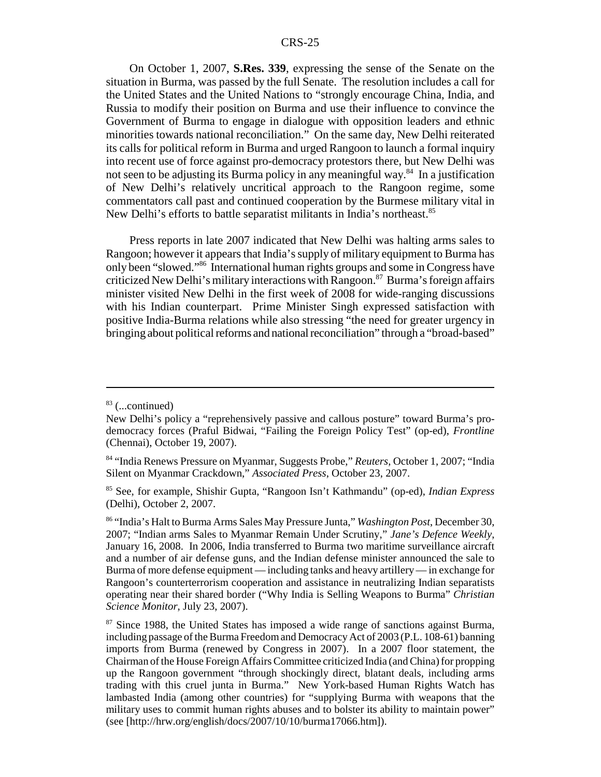#### CRS-25

On October 1, 2007, **S.Res. 339**, expressing the sense of the Senate on the situation in Burma, was passed by the full Senate. The resolution includes a call for the United States and the United Nations to "strongly encourage China, India, and Russia to modify their position on Burma and use their influence to convince the Government of Burma to engage in dialogue with opposition leaders and ethnic minorities towards national reconciliation." On the same day, New Delhi reiterated its calls for political reform in Burma and urged Rangoon to launch a formal inquiry into recent use of force against pro-democracy protestors there, but New Delhi was not seen to be adjusting its Burma policy in any meaningful way.<sup>84</sup> In a justification of New Delhi's relatively uncritical approach to the Rangoon regime, some commentators call past and continued cooperation by the Burmese military vital in New Delhi's efforts to battle separatist militants in India's northeast.<sup>85</sup>

Press reports in late 2007 indicated that New Delhi was halting arms sales to Rangoon; however it appears that India's supply of military equipment to Burma has only been "slowed."86 International human rights groups and some in Congress have criticized New Delhi's military interactions with Rangoon.<sup>87</sup> Burma's foreign affairs minister visited New Delhi in the first week of 2008 for wide-ranging discussions with his Indian counterpart. Prime Minister Singh expressed satisfaction with positive India-Burma relations while also stressing "the need for greater urgency in bringing about political reforms and national reconciliation" through a "broad-based"

 $83$  (...continued)

New Delhi's policy a "reprehensively passive and callous posture" toward Burma's prodemocracy forces (Praful Bidwai, "Failing the Foreign Policy Test" (op-ed), *Frontline* (Chennai), October 19, 2007).

<sup>84 &</sup>quot;India Renews Pressure on Myanmar, Suggests Probe," *Reuters*, October 1, 2007; "India Silent on Myanmar Crackdown," *Associated Press*, October 23, 2007.

<sup>85</sup> See, for example, Shishir Gupta, "Rangoon Isn't Kathmandu" (op-ed), *Indian Express* (Delhi), October 2, 2007.

<sup>86 &</sup>quot;India's Halt to Burma Arms Sales May Pressure Junta," *Washington Post*, December 30, 2007; "Indian arms Sales to Myanmar Remain Under Scrutiny," *Jane's Defence Weekly*, January 16, 2008. In 2006, India transferred to Burma two maritime surveillance aircraft and a number of air defense guns, and the Indian defense minister announced the sale to Burma of more defense equipment — including tanks and heavy artillery — in exchange for Rangoon's counterterrorism cooperation and assistance in neutralizing Indian separatists operating near their shared border ("Why India is Selling Weapons to Burma" *Christian Science Monitor*, July 23, 2007).

<sup>&</sup>lt;sup>87</sup> Since 1988, the United States has imposed a wide range of sanctions against Burma, including passage of the Burma Freedom and Democracy Act of 2003 (P.L. 108-61) banning imports from Burma (renewed by Congress in 2007). In a 2007 floor statement, the Chairman of the House Foreign Affairs Committee criticized India (and China) for propping up the Rangoon government "through shockingly direct, blatant deals, including arms trading with this cruel junta in Burma." New York-based Human Rights Watch has lambasted India (among other countries) for "supplying Burma with weapons that the military uses to commit human rights abuses and to bolster its ability to maintain power" (see [http://hrw.org/english/docs/2007/10/10/burma17066.htm]).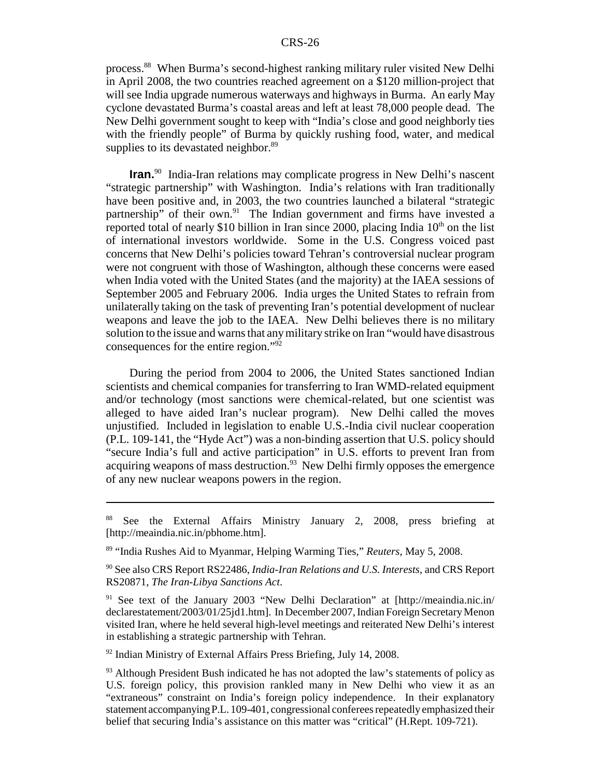process.88 When Burma's second-highest ranking military ruler visited New Delhi in April 2008, the two countries reached agreement on a \$120 million-project that will see India upgrade numerous waterways and highways in Burma. An early May cyclone devastated Burma's coastal areas and left at least 78,000 people dead. The New Delhi government sought to keep with "India's close and good neighborly ties with the friendly people" of Burma by quickly rushing food, water, and medical supplies to its devastated neighbor.<sup>89</sup>

**Iran.**<sup>90</sup> India-Iran relations may complicate progress in New Delhi's nascent "strategic partnership" with Washington. India's relations with Iran traditionally have been positive and, in 2003, the two countries launched a bilateral "strategic partnership" of their own.<sup>91</sup> The Indian government and firms have invested a reported total of nearly \$10 billion in Iran since 2000, placing India  $10<sup>th</sup>$  on the list of international investors worldwide. Some in the U.S. Congress voiced past concerns that New Delhi's policies toward Tehran's controversial nuclear program were not congruent with those of Washington, although these concerns were eased when India voted with the United States (and the majority) at the IAEA sessions of September 2005 and February 2006. India urges the United States to refrain from unilaterally taking on the task of preventing Iran's potential development of nuclear weapons and leave the job to the IAEA. New Delhi believes there is no military solution to the issue and warns that any military strike on Iran "would have disastrous consequences for the entire region."92

During the period from 2004 to 2006, the United States sanctioned Indian scientists and chemical companies for transferring to Iran WMD-related equipment and/or technology (most sanctions were chemical-related, but one scientist was alleged to have aided Iran's nuclear program). New Delhi called the moves unjustified. Included in legislation to enable U.S.-India civil nuclear cooperation (P.L. 109-141, the "Hyde Act") was a non-binding assertion that U.S. policy should "secure India's full and active participation" in U.S. efforts to prevent Iran from acquiring weapons of mass destruction.<sup>93</sup> New Delhi firmly opposes the emergence of any new nuclear weapons powers in the region.

 $92$  Indian Ministry of External Affairs Press Briefing, July 14, 2008.

<sup>88</sup> See the External Affairs Ministry January 2, 2008, press briefing at [http://meaindia.nic.in/pbhome.htm].

<sup>89 &</sup>quot;India Rushes Aid to Myanmar, Helping Warming Ties," *Reuters*, May 5, 2008.

<sup>90</sup> See also CRS Report RS22486, *India-Iran Relations and U.S. Interests*, and CRS Report RS20871, *The Iran-Libya Sanctions Act*.

<sup>91</sup> See text of the January 2003 "New Delhi Declaration" at [http://meaindia.nic.in/ declarestatement/2003/01/25jd1.htm]. In December 2007, Indian Foreign Secretary Menon visited Iran, where he held several high-level meetings and reiterated New Delhi's interest in establishing a strategic partnership with Tehran.

<sup>&</sup>lt;sup>93</sup> Although President Bush indicated he has not adopted the law's statements of policy as U.S. foreign policy, this provision rankled many in New Delhi who view it as an "extraneous" constraint on India's foreign policy independence. In their explanatory statement accompanying P.L. 109-401, congressional conferees repeatedly emphasized their belief that securing India's assistance on this matter was "critical" (H.Rept. 109-721).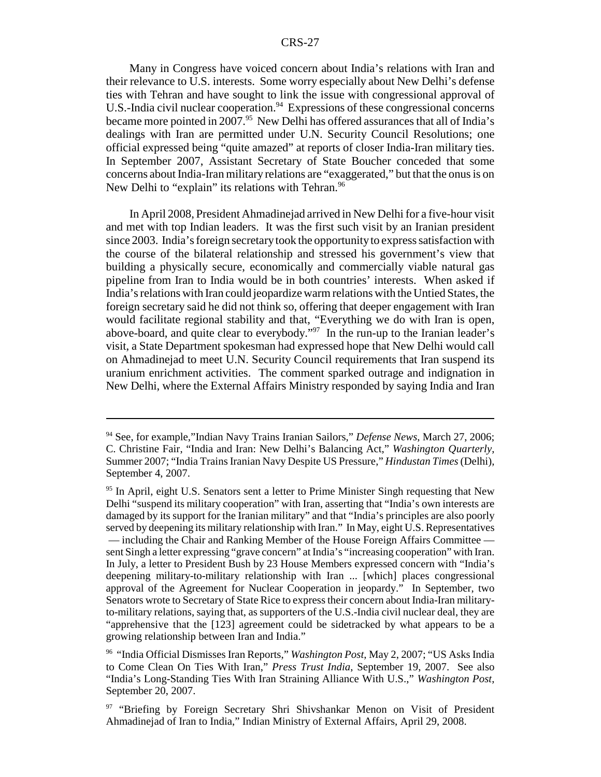#### CRS-27

Many in Congress have voiced concern about India's relations with Iran and their relevance to U.S. interests. Some worry especially about New Delhi's defense ties with Tehran and have sought to link the issue with congressional approval of U.S.-India civil nuclear cooperation.<sup>94</sup> Expressions of these congressional concerns became more pointed in 2007.<sup>95</sup> New Delhi has offered assurances that all of India's dealings with Iran are permitted under U.N. Security Council Resolutions; one official expressed being "quite amazed" at reports of closer India-Iran military ties. In September 2007, Assistant Secretary of State Boucher conceded that some concerns about India-Iran military relations are "exaggerated," but that the onus is on New Delhi to "explain" its relations with Tehran.<sup>96</sup>

In April 2008, President Ahmadinejad arrived in New Delhi for a five-hour visit and met with top Indian leaders. It was the first such visit by an Iranian president since 2003. India's foreign secretary took the opportunity to express satisfaction with the course of the bilateral relationship and stressed his government's view that building a physically secure, economically and commercially viable natural gas pipeline from Iran to India would be in both countries' interests. When asked if India's relations with Iran could jeopardize warm relations with the Untied States, the foreign secretary said he did not think so, offering that deeper engagement with Iran would facilitate regional stability and that, "Everything we do with Iran is open, above-board, and quite clear to everybody."<sup>97</sup> In the run-up to the Iranian leader's visit, a State Department spokesman had expressed hope that New Delhi would call on Ahmadinejad to meet U.N. Security Council requirements that Iran suspend its uranium enrichment activities. The comment sparked outrage and indignation in New Delhi, where the External Affairs Ministry responded by saying India and Iran

<sup>94</sup> See, for example,"Indian Navy Trains Iranian Sailors," *Defense News*, March 27, 2006; C. Christine Fair, "India and Iran: New Delhi's Balancing Act," *Washington Quarterly*, Summer 2007; "India Trains Iranian Navy Despite US Pressure," *Hindustan Times* (Delhi), September 4, 2007.

<sup>&</sup>lt;sup>95</sup> In April, eight U.S. Senators sent a letter to Prime Minister Singh requesting that New Delhi "suspend its military cooperation" with Iran, asserting that "India's own interests are damaged by its support for the Iranian military" and that "India's principles are also poorly served by deepening its military relationship with Iran." In May, eight U.S. Representatives — including the Chair and Ranking Member of the House Foreign Affairs Committee sent Singh a letter expressing "grave concern" at India's "increasing cooperation" with Iran. In July, a letter to President Bush by 23 House Members expressed concern with "India's deepening military-to-military relationship with Iran ... [which] places congressional approval of the Agreement for Nuclear Cooperation in jeopardy." In September, two Senators wrote to Secretary of State Rice to express their concern about India-Iran militaryto-military relations, saying that, as supporters of the U.S.-India civil nuclear deal, they are "apprehensive that the [123] agreement could be sidetracked by what appears to be a growing relationship between Iran and India."

<sup>96 &</sup>quot;India Official Dismisses Iran Reports," *Washington Post*, May 2, 2007; "US Asks India to Come Clean On Ties With Iran," *Press Trust India*, September 19, 2007. See also "India's Long-Standing Ties With Iran Straining Alliance With U.S.," *Washington Post*, September 20, 2007.

<sup>&</sup>lt;sup>97</sup> "Briefing by Foreign Secretary Shri Shivshankar Menon on Visit of President Ahmadinejad of Iran to India," Indian Ministry of External Affairs, April 29, 2008.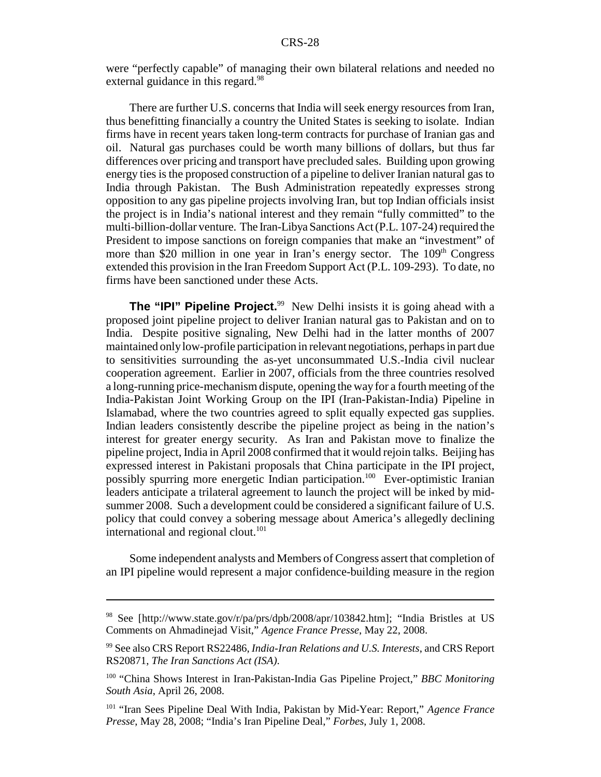were "perfectly capable" of managing their own bilateral relations and needed no external guidance in this regard.<sup>98</sup>

There are further U.S. concerns that India will seek energy resources from Iran, thus benefitting financially a country the United States is seeking to isolate. Indian firms have in recent years taken long-term contracts for purchase of Iranian gas and oil. Natural gas purchases could be worth many billions of dollars, but thus far differences over pricing and transport have precluded sales. Building upon growing energy ties is the proposed construction of a pipeline to deliver Iranian natural gas to India through Pakistan. The Bush Administration repeatedly expresses strong opposition to any gas pipeline projects involving Iran, but top Indian officials insist the project is in India's national interest and they remain "fully committed" to the multi-billion-dollar venture. The Iran-Libya Sanctions Act (P.L. 107-24) required the President to impose sanctions on foreign companies that make an "investment" of more than \$20 million in one year in Iran's energy sector. The  $109<sup>th</sup>$  Congress extended this provision in the Iran Freedom Support Act (P.L. 109-293). To date, no firms have been sanctioned under these Acts.

**The "IPI" Pipeline Project.**<sup>99</sup> New Delhi insists it is going ahead with a proposed joint pipeline project to deliver Iranian natural gas to Pakistan and on to India. Despite positive signaling, New Delhi had in the latter months of 2007 maintained only low-profile participation in relevant negotiations, perhaps in part due to sensitivities surrounding the as-yet unconsummated U.S.-India civil nuclear cooperation agreement. Earlier in 2007, officials from the three countries resolved a long-running price-mechanism dispute, opening the way for a fourth meeting of the India-Pakistan Joint Working Group on the IPI (Iran-Pakistan-India) Pipeline in Islamabad, where the two countries agreed to split equally expected gas supplies. Indian leaders consistently describe the pipeline project as being in the nation's interest for greater energy security. As Iran and Pakistan move to finalize the pipeline project, India in April 2008 confirmed that it would rejoin talks. Beijing has expressed interest in Pakistani proposals that China participate in the IPI project, possibly spurring more energetic Indian participation.100 Ever-optimistic Iranian leaders anticipate a trilateral agreement to launch the project will be inked by midsummer 2008. Such a development could be considered a significant failure of U.S. policy that could convey a sobering message about America's allegedly declining international and regional clout. $101$ 

Some independent analysts and Members of Congress assert that completion of an IPI pipeline would represent a major confidence-building measure in the region

<sup>98</sup> See [http://www.state.gov/r/pa/prs/dpb/2008/apr/103842.htm]; "India Bristles at US Comments on Ahmadinejad Visit," *Agence France Presse*, May 22, 2008.

<sup>99</sup> See also CRS Report RS22486, *India-Iran Relations and U.S. Interests*, and CRS Report RS20871, *The Iran Sanctions Act (ISA)*.

<sup>100 &</sup>quot;China Shows Interest in Iran-Pakistan-India Gas Pipeline Project," *BBC Monitoring South Asia*, April 26, 2008.

<sup>101 &</sup>quot;Iran Sees Pipeline Deal With India, Pakistan by Mid-Year: Report," *Agence France Presse*, May 28, 2008; "India's Iran Pipeline Deal," *Forbes*, July 1, 2008.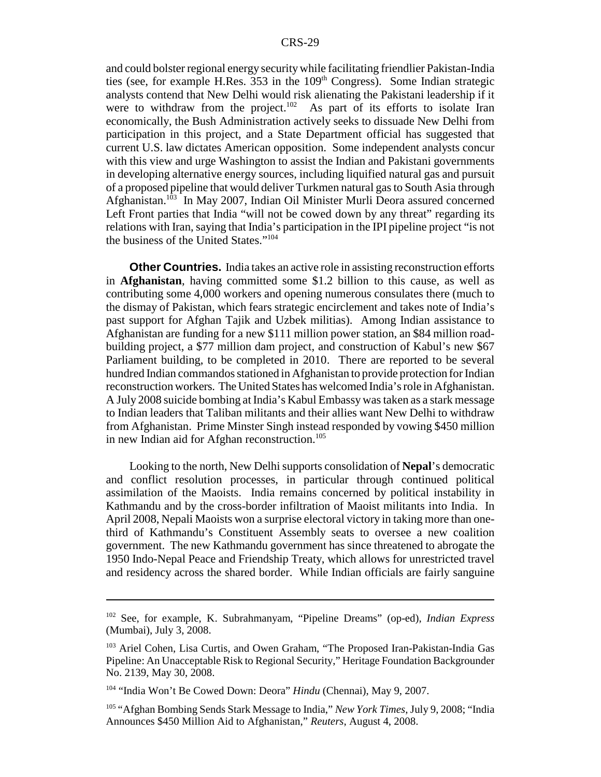and could bolster regional energy security while facilitating friendlier Pakistan-India ties (see, for example H.Res.  $353$  in the  $109<sup>th</sup>$  Congress). Some Indian strategic analysts contend that New Delhi would risk alienating the Pakistani leadership if it were to withdraw from the project.<sup>102</sup> As part of its efforts to isolate Iran economically, the Bush Administration actively seeks to dissuade New Delhi from participation in this project, and a State Department official has suggested that current U.S. law dictates American opposition. Some independent analysts concur with this view and urge Washington to assist the Indian and Pakistani governments in developing alternative energy sources, including liquified natural gas and pursuit of a proposed pipeline that would deliver Turkmen natural gas to South Asia through Afghanistan.103 In May 2007, Indian Oil Minister Murli Deora assured concerned Left Front parties that India "will not be cowed down by any threat" regarding its relations with Iran, saying that India's participation in the IPI pipeline project "is not the business of the United States."104

**Other Countries.** India takes an active role in assisting reconstruction efforts in **Afghanistan**, having committed some \$1.2 billion to this cause, as well as contributing some 4,000 workers and opening numerous consulates there (much to the dismay of Pakistan, which fears strategic encirclement and takes note of India's past support for Afghan Tajik and Uzbek militias). Among Indian assistance to Afghanistan are funding for a new \$111 million power station, an \$84 million roadbuilding project, a \$77 million dam project, and construction of Kabul's new \$67 Parliament building, to be completed in 2010. There are reported to be several hundred Indian commandos stationed in Afghanistan to provide protection for Indian reconstruction workers. The United States has welcomed India's role in Afghanistan. A July 2008 suicide bombing at India's Kabul Embassy was taken as a stark message to Indian leaders that Taliban militants and their allies want New Delhi to withdraw from Afghanistan. Prime Minster Singh instead responded by vowing \$450 million in new Indian aid for Afghan reconstruction.<sup>105</sup>

Looking to the north, New Delhi supports consolidation of **Nepal**'s democratic and conflict resolution processes, in particular through continued political assimilation of the Maoists. India remains concerned by political instability in Kathmandu and by the cross-border infiltration of Maoist militants into India. In April 2008, Nepali Maoists won a surprise electoral victory in taking more than onethird of Kathmandu's Constituent Assembly seats to oversee a new coalition government. The new Kathmandu government has since threatened to abrogate the 1950 Indo-Nepal Peace and Friendship Treaty, which allows for unrestricted travel and residency across the shared border. While Indian officials are fairly sanguine

<sup>102</sup> See, for example, K. Subrahmanyam, "Pipeline Dreams" (op-ed), *Indian Express* (Mumbai), July 3, 2008.

<sup>103</sup> Ariel Cohen, Lisa Curtis, and Owen Graham, "The Proposed Iran-Pakistan-India Gas Pipeline: An Unacceptable Risk to Regional Security," Heritage Foundation Backgrounder No. 2139, May 30, 2008.

<sup>104 &</sup>quot;India Won't Be Cowed Down: Deora" *Hindu* (Chennai), May 9, 2007.

<sup>105 &</sup>quot;Afghan Bombing Sends Stark Message to India," *New York Times*, July 9, 2008; "India Announces \$450 Million Aid to Afghanistan," *Reuters*, August 4, 2008.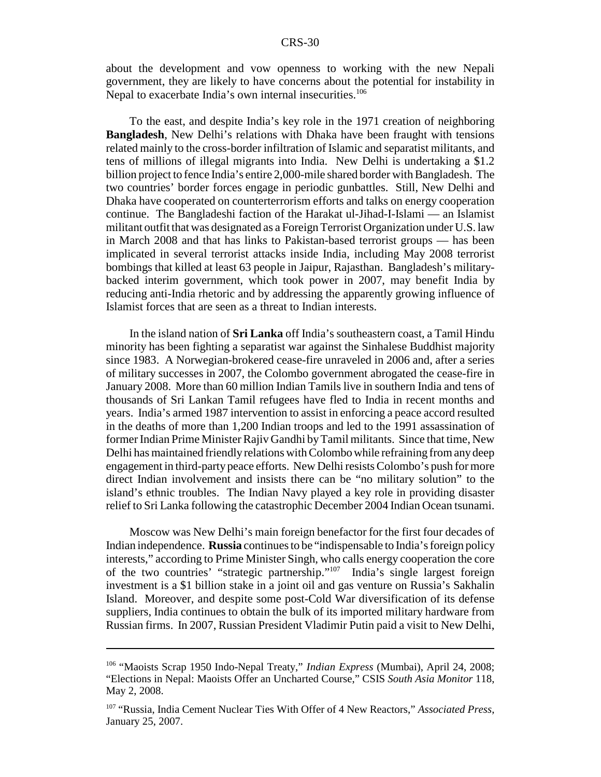#### CRS-30

about the development and vow openness to working with the new Nepali government, they are likely to have concerns about the potential for instability in Nepal to exacerbate India's own internal insecurities.<sup>106</sup>

To the east, and despite India's key role in the 1971 creation of neighboring **Bangladesh**, New Delhi's relations with Dhaka have been fraught with tensions related mainly to the cross-border infiltration of Islamic and separatist militants, and tens of millions of illegal migrants into India. New Delhi is undertaking a \$1.2 billion project to fence India's entire 2,000-mile shared border with Bangladesh. The two countries' border forces engage in periodic gunbattles. Still, New Delhi and Dhaka have cooperated on counterterrorism efforts and talks on energy cooperation continue. The Bangladeshi faction of the Harakat ul-Jihad-I-Islami — an Islamist militant outfit that was designated as a Foreign Terrorist Organization under U.S. law in March 2008 and that has links to Pakistan-based terrorist groups — has been implicated in several terrorist attacks inside India, including May 2008 terrorist bombings that killed at least 63 people in Jaipur, Rajasthan. Bangladesh's militarybacked interim government, which took power in 2007, may benefit India by reducing anti-India rhetoric and by addressing the apparently growing influence of Islamist forces that are seen as a threat to Indian interests.

In the island nation of **Sri Lanka** off India's southeastern coast, a Tamil Hindu minority has been fighting a separatist war against the Sinhalese Buddhist majority since 1983. A Norwegian-brokered cease-fire unraveled in 2006 and, after a series of military successes in 2007, the Colombo government abrogated the cease-fire in January 2008. More than 60 million Indian Tamils live in southern India and tens of thousands of Sri Lankan Tamil refugees have fled to India in recent months and years. India's armed 1987 intervention to assist in enforcing a peace accord resulted in the deaths of more than 1,200 Indian troops and led to the 1991 assassination of former Indian Prime Minister Rajiv Gandhi by Tamil militants. Since that time, New Delhi has maintained friendly relations with Colombo while refraining from any deep engagement in third-party peace efforts. New Delhi resists Colombo's push for more direct Indian involvement and insists there can be "no military solution" to the island's ethnic troubles. The Indian Navy played a key role in providing disaster relief to Sri Lanka following the catastrophic December 2004 Indian Ocean tsunami.

Moscow was New Delhi's main foreign benefactor for the first four decades of Indian independence. **Russia** continues to be "indispensable to India's foreign policy interests," according to Prime Minister Singh, who calls energy cooperation the core of the two countries' "strategic partnership."107 India's single largest foreign investment is a \$1 billion stake in a joint oil and gas venture on Russia's Sakhalin Island. Moreover, and despite some post-Cold War diversification of its defense suppliers, India continues to obtain the bulk of its imported military hardware from Russian firms. In 2007, Russian President Vladimir Putin paid a visit to New Delhi,

<sup>106 &</sup>quot;Maoists Scrap 1950 Indo-Nepal Treaty," *Indian Express* (Mumbai), April 24, 2008; "Elections in Nepal: Maoists Offer an Uncharted Course," CSIS *South Asia Monitor* 118, May 2, 2008.

<sup>107 &</sup>quot;Russia, India Cement Nuclear Ties With Offer of 4 New Reactors," *Associated Press*, January 25, 2007.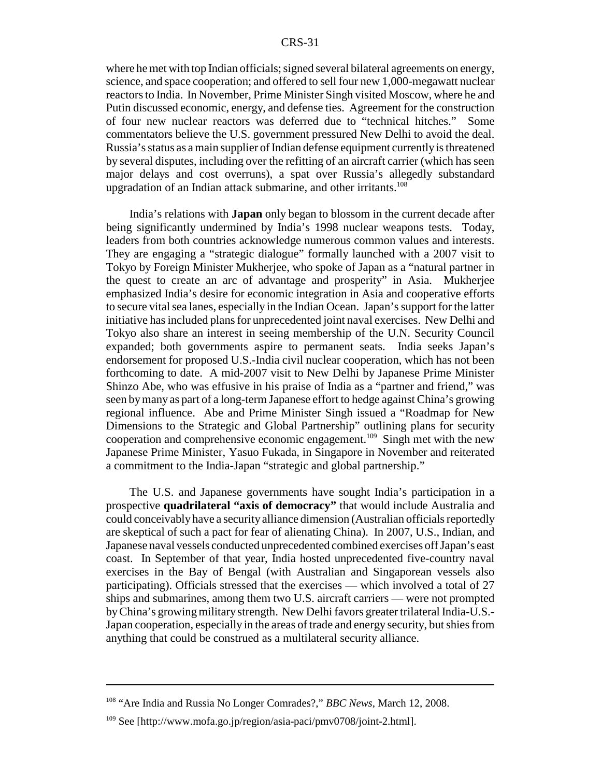where he met with top Indian officials; signed several bilateral agreements on energy, science, and space cooperation; and offered to sell four new 1,000-megawatt nuclear reactors to India. In November, Prime Minister Singh visited Moscow, where he and Putin discussed economic, energy, and defense ties. Agreement for the construction of four new nuclear reactors was deferred due to "technical hitches." Some commentators believe the U.S. government pressured New Delhi to avoid the deal. Russia's status as a main supplier of Indian defense equipment currently is threatened by several disputes, including over the refitting of an aircraft carrier (which has seen major delays and cost overruns), a spat over Russia's allegedly substandard upgradation of an Indian attack submarine, and other irritants.<sup>108</sup>

India's relations with **Japan** only began to blossom in the current decade after being significantly undermined by India's 1998 nuclear weapons tests. Today, leaders from both countries acknowledge numerous common values and interests. They are engaging a "strategic dialogue" formally launched with a 2007 visit to Tokyo by Foreign Minister Mukherjee, who spoke of Japan as a "natural partner in the quest to create an arc of advantage and prosperity" in Asia. Mukherjee emphasized India's desire for economic integration in Asia and cooperative efforts to secure vital sea lanes, especially in the Indian Ocean. Japan's support for the latter initiative has included plans for unprecedented joint naval exercises. New Delhi and Tokyo also share an interest in seeing membership of the U.N. Security Council expanded; both governments aspire to permanent seats. India seeks Japan's endorsement for proposed U.S.-India civil nuclear cooperation, which has not been forthcoming to date. A mid-2007 visit to New Delhi by Japanese Prime Minister Shinzo Abe, who was effusive in his praise of India as a "partner and friend," was seen by many as part of a long-term Japanese effort to hedge against China's growing regional influence. Abe and Prime Minister Singh issued a "Roadmap for New Dimensions to the Strategic and Global Partnership" outlining plans for security cooperation and comprehensive economic engagement.109 Singh met with the new Japanese Prime Minister, Yasuo Fukada, in Singapore in November and reiterated a commitment to the India-Japan "strategic and global partnership."

The U.S. and Japanese governments have sought India's participation in a prospective **quadrilateral "axis of democracy"** that would include Australia and could conceivably have a security alliance dimension (Australian officials reportedly are skeptical of such a pact for fear of alienating China). In 2007, U.S., Indian, and Japanese naval vessels conducted unprecedented combined exercises off Japan's east coast. In September of that year, India hosted unprecedented five-country naval exercises in the Bay of Bengal (with Australian and Singaporean vessels also participating). Officials stressed that the exercises — which involved a total of 27 ships and submarines, among them two U.S. aircraft carriers — were not prompted by China's growing military strength. New Delhi favors greater trilateral India-U.S.- Japan cooperation, especially in the areas of trade and energy security, but shies from anything that could be construed as a multilateral security alliance.

<sup>108 &</sup>quot;Are India and Russia No Longer Comrades?," *BBC News*, March 12, 2008.

<sup>109</sup> See [http://www.mofa.go.jp/region/asia-paci/pmv0708/joint-2.html].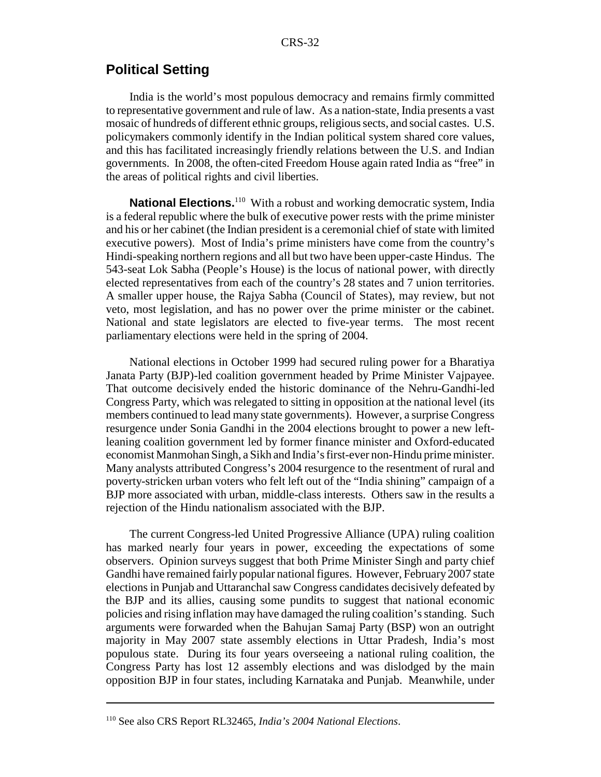## **Political Setting**

India is the world's most populous democracy and remains firmly committed to representative government and rule of law. As a nation-state, India presents a vast mosaic of hundreds of different ethnic groups, religious sects, and social castes. U.S. policymakers commonly identify in the Indian political system shared core values, and this has facilitated increasingly friendly relations between the U.S. and Indian governments. In 2008, the often-cited Freedom House again rated India as "free" in the areas of political rights and civil liberties.

**National Elections.**<sup>110</sup> With a robust and working democratic system, India is a federal republic where the bulk of executive power rests with the prime minister and his or her cabinet (the Indian president is a ceremonial chief of state with limited executive powers). Most of India's prime ministers have come from the country's Hindi-speaking northern regions and all but two have been upper-caste Hindus. The 543-seat Lok Sabha (People's House) is the locus of national power, with directly elected representatives from each of the country's 28 states and 7 union territories. A smaller upper house, the Rajya Sabha (Council of States), may review, but not veto, most legislation, and has no power over the prime minister or the cabinet. National and state legislators are elected to five-year terms. The most recent parliamentary elections were held in the spring of 2004.

National elections in October 1999 had secured ruling power for a Bharatiya Janata Party (BJP)-led coalition government headed by Prime Minister Vajpayee. That outcome decisively ended the historic dominance of the Nehru-Gandhi-led Congress Party, which was relegated to sitting in opposition at the national level (its members continued to lead many state governments). However, a surprise Congress resurgence under Sonia Gandhi in the 2004 elections brought to power a new leftleaning coalition government led by former finance minister and Oxford-educated economist Manmohan Singh, a Sikh and India's first-ever non-Hindu prime minister. Many analysts attributed Congress's 2004 resurgence to the resentment of rural and poverty-stricken urban voters who felt left out of the "India shining" campaign of a BJP more associated with urban, middle-class interests. Others saw in the results a rejection of the Hindu nationalism associated with the BJP.

The current Congress-led United Progressive Alliance (UPA) ruling coalition has marked nearly four years in power, exceeding the expectations of some observers. Opinion surveys suggest that both Prime Minister Singh and party chief Gandhi have remained fairly popular national figures. However, February 2007 state elections in Punjab and Uttaranchal saw Congress candidates decisively defeated by the BJP and its allies, causing some pundits to suggest that national economic policies and rising inflation may have damaged the ruling coalition's standing. Such arguments were forwarded when the Bahujan Samaj Party (BSP) won an outright majority in May 2007 state assembly elections in Uttar Pradesh, India's most populous state. During its four years overseeing a national ruling coalition, the Congress Party has lost 12 assembly elections and was dislodged by the main opposition BJP in four states, including Karnataka and Punjab. Meanwhile, under

<sup>110</sup> See also CRS Report RL32465, *India's 2004 National Elections*.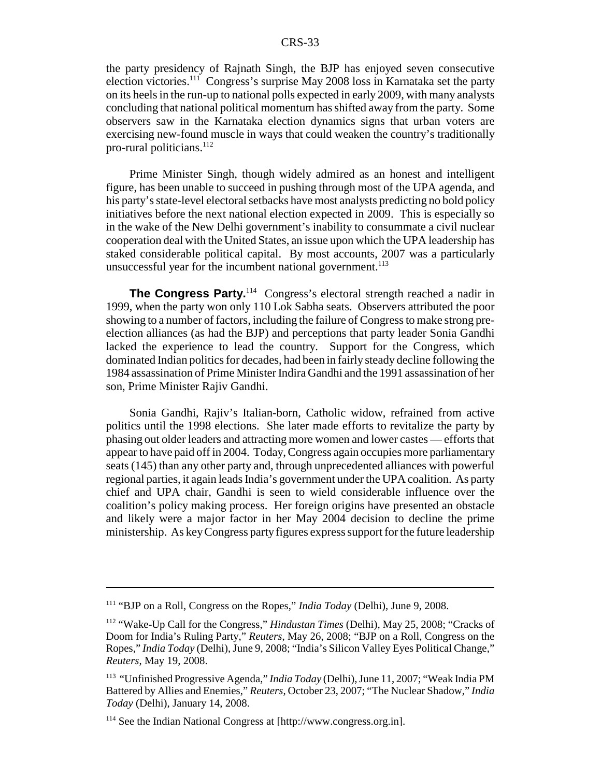the party presidency of Rajnath Singh, the BJP has enjoyed seven consecutive election victories.111 Congress's surprise May 2008 loss in Karnataka set the party on its heels in the run-up to national polls expected in early 2009, with many analysts concluding that national political momentum has shifted away from the party. Some observers saw in the Karnataka election dynamics signs that urban voters are exercising new-found muscle in ways that could weaken the country's traditionally pro-rural politicians.<sup>112</sup>

Prime Minister Singh, though widely admired as an honest and intelligent figure, has been unable to succeed in pushing through most of the UPA agenda, and his party's state-level electoral setbacks have most analysts predicting no bold policy initiatives before the next national election expected in 2009. This is especially so in the wake of the New Delhi government's inability to consummate a civil nuclear cooperation deal with the United States, an issue upon which the UPA leadership has staked considerable political capital. By most accounts, 2007 was a particularly unsuccessful year for the incumbent national government.<sup>113</sup>

**The Congress Party.**<sup>114</sup> Congress's electoral strength reached a nadir in 1999, when the party won only 110 Lok Sabha seats. Observers attributed the poor showing to a number of factors, including the failure of Congress to make strong preelection alliances (as had the BJP) and perceptions that party leader Sonia Gandhi lacked the experience to lead the country. Support for the Congress, which dominated Indian politics for decades, had been in fairly steady decline following the 1984 assassination of Prime Minister Indira Gandhi and the 1991 assassination of her son, Prime Minister Rajiv Gandhi.

Sonia Gandhi, Rajiv's Italian-born, Catholic widow, refrained from active politics until the 1998 elections. She later made efforts to revitalize the party by phasing out older leaders and attracting more women and lower castes — efforts that appear to have paid off in 2004. Today, Congress again occupies more parliamentary seats (145) than any other party and, through unprecedented alliances with powerful regional parties, it again leads India's government under the UPA coalition. As party chief and UPA chair, Gandhi is seen to wield considerable influence over the coalition's policy making process. Her foreign origins have presented an obstacle and likely were a major factor in her May 2004 decision to decline the prime ministership. As key Congress party figures express support for the future leadership

<sup>111 &</sup>quot;BJP on a Roll, Congress on the Ropes," *India Today* (Delhi), June 9, 2008.

<sup>112 &</sup>quot;Wake-Up Call for the Congress," *Hindustan Times* (Delhi), May 25, 2008; "Cracks of Doom for India's Ruling Party," *Reuters*, May 26, 2008; "BJP on a Roll, Congress on the Ropes," *India Today* (Delhi), June 9, 2008; "India's Silicon Valley Eyes Political Change," *Reuters*, May 19, 2008.

<sup>113 &</sup>quot;Unfinished Progressive Agenda," *India Today* (Delhi), June 11, 2007; "Weak India PM Battered by Allies and Enemies," *Reuters*, October 23, 2007; "The Nuclear Shadow," *India Today* (Delhi), January 14, 2008.

<sup>114</sup> See the Indian National Congress at [http://www.congress.org.in].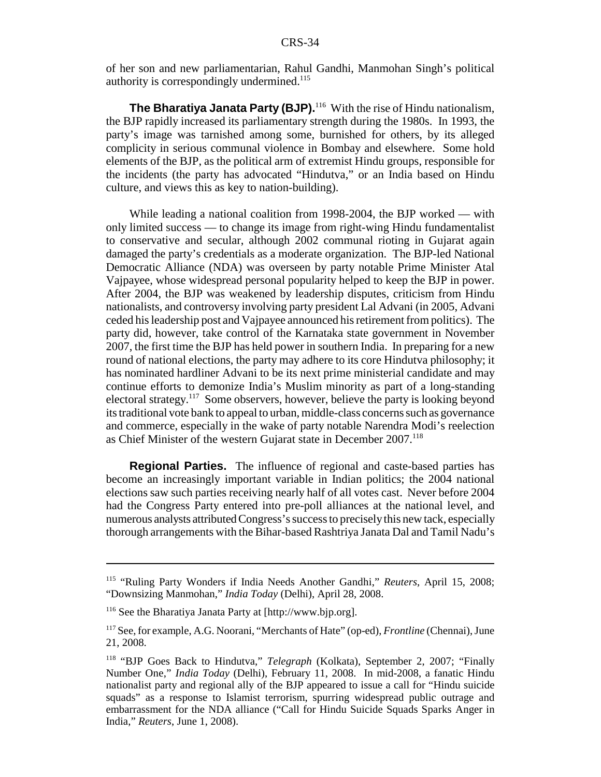of her son and new parliamentarian, Rahul Gandhi, Manmohan Singh's political authority is correspondingly undermined.<sup>115</sup>

**The Bharatiya Janata Party (BJP).**116 With the rise of Hindu nationalism, the BJP rapidly increased its parliamentary strength during the 1980s. In 1993, the party's image was tarnished among some, burnished for others, by its alleged complicity in serious communal violence in Bombay and elsewhere. Some hold elements of the BJP, as the political arm of extremist Hindu groups, responsible for the incidents (the party has advocated "Hindutva," or an India based on Hindu culture, and views this as key to nation-building).

While leading a national coalition from 1998-2004, the BJP worked — with only limited success — to change its image from right-wing Hindu fundamentalist to conservative and secular, although 2002 communal rioting in Gujarat again damaged the party's credentials as a moderate organization. The BJP-led National Democratic Alliance (NDA) was overseen by party notable Prime Minister Atal Vajpayee, whose widespread personal popularity helped to keep the BJP in power. After 2004, the BJP was weakened by leadership disputes, criticism from Hindu nationalists, and controversy involving party president Lal Advani (in 2005, Advani ceded his leadership post and Vajpayee announced his retirement from politics). The party did, however, take control of the Karnataka state government in November 2007, the first time the BJP has held power in southern India. In preparing for a new round of national elections, the party may adhere to its core Hindutva philosophy; it has nominated hardliner Advani to be its next prime ministerial candidate and may continue efforts to demonize India's Muslim minority as part of a long-standing electoral strategy.117 Some observers, however, believe the party is looking beyond its traditional vote bank to appeal to urban, middle-class concerns such as governance and commerce, especially in the wake of party notable Narendra Modi's reelection as Chief Minister of the western Gujarat state in December 2007.<sup>118</sup>

**Regional Parties.** The influence of regional and caste-based parties has become an increasingly important variable in Indian politics; the 2004 national elections saw such parties receiving nearly half of all votes cast. Never before 2004 had the Congress Party entered into pre-poll alliances at the national level, and numerous analysts attributed Congress's success to precisely this new tack, especially thorough arrangements with the Bihar-based Rashtriya Janata Dal and Tamil Nadu's

<sup>115 &</sup>quot;Ruling Party Wonders if India Needs Another Gandhi," *Reuters*, April 15, 2008; "Downsizing Manmohan," *India Today* (Delhi), April 28, 2008.

<sup>116</sup> See the Bharatiya Janata Party at [http://www.bjp.org].

<sup>117</sup> See, for example, A.G. Noorani, "Merchants of Hate" (op-ed), *Frontline* (Chennai), June 21, 2008.

<sup>118 &</sup>quot;BJP Goes Back to Hindutva," *Telegraph* (Kolkata), September 2, 2007; "Finally Number One," *India Today* (Delhi), February 11, 2008. In mid-2008, a fanatic Hindu nationalist party and regional ally of the BJP appeared to issue a call for "Hindu suicide squads" as a response to Islamist terrorism, spurring widespread public outrage and embarrassment for the NDA alliance ("Call for Hindu Suicide Squads Sparks Anger in India," *Reuters*, June 1, 2008).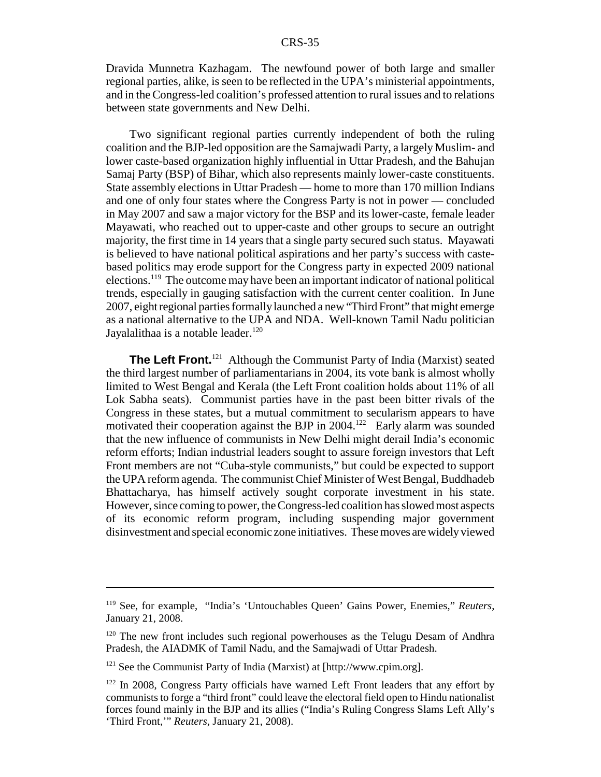Dravida Munnetra Kazhagam. The newfound power of both large and smaller regional parties, alike, is seen to be reflected in the UPA's ministerial appointments, and in the Congress-led coalition's professed attention to rural issues and to relations between state governments and New Delhi.

Two significant regional parties currently independent of both the ruling coalition and the BJP-led opposition are the Samajwadi Party, a largely Muslim- and lower caste-based organization highly influential in Uttar Pradesh, and the Bahujan Samaj Party (BSP) of Bihar, which also represents mainly lower-caste constituents. State assembly elections in Uttar Pradesh — home to more than 170 million Indians and one of only four states where the Congress Party is not in power — concluded in May 2007 and saw a major victory for the BSP and its lower-caste, female leader Mayawati, who reached out to upper-caste and other groups to secure an outright majority, the first time in 14 years that a single party secured such status. Mayawati is believed to have national political aspirations and her party's success with castebased politics may erode support for the Congress party in expected 2009 national elections.119 The outcome may have been an important indicator of national political trends, especially in gauging satisfaction with the current center coalition. In June 2007, eight regional parties formally launched a new "Third Front" that might emerge as a national alternative to the UPA and NDA. Well-known Tamil Nadu politician Jayalalithaa is a notable leader. $120$ 

**The Left Front.**<sup>121</sup> Although the Communist Party of India (Marxist) seated the third largest number of parliamentarians in 2004, its vote bank is almost wholly limited to West Bengal and Kerala (the Left Front coalition holds about 11% of all Lok Sabha seats). Communist parties have in the past been bitter rivals of the Congress in these states, but a mutual commitment to secularism appears to have motivated their cooperation against the BJP in 2004.<sup>122</sup> Early alarm was sounded that the new influence of communists in New Delhi might derail India's economic reform efforts; Indian industrial leaders sought to assure foreign investors that Left Front members are not "Cuba-style communists," but could be expected to support the UPA reform agenda. The communist Chief Minister of West Bengal, Buddhadeb Bhattacharya, has himself actively sought corporate investment in his state. However, since coming to power, the Congress-led coalition has slowed most aspects of its economic reform program, including suspending major government disinvestment and special economic zone initiatives. These moves are widely viewed

<sup>119</sup> See, for example, "India's 'Untouchables Queen' Gains Power, Enemies," *Reuters*, January 21, 2008.

 $120$  The new front includes such regional powerhouses as the Telugu Desam of Andhra Pradesh, the AIADMK of Tamil Nadu, and the Samajwadi of Uttar Pradesh.

<sup>121</sup> See the Communist Party of India (Marxist) at [http://www.cpim.org].

<sup>&</sup>lt;sup>122</sup> In 2008, Congress Party officials have warned Left Front leaders that any effort by communists to forge a "third front" could leave the electoral field open to Hindu nationalist forces found mainly in the BJP and its allies ("India's Ruling Congress Slams Left Ally's 'Third Front,'" *Reuters*, January 21, 2008).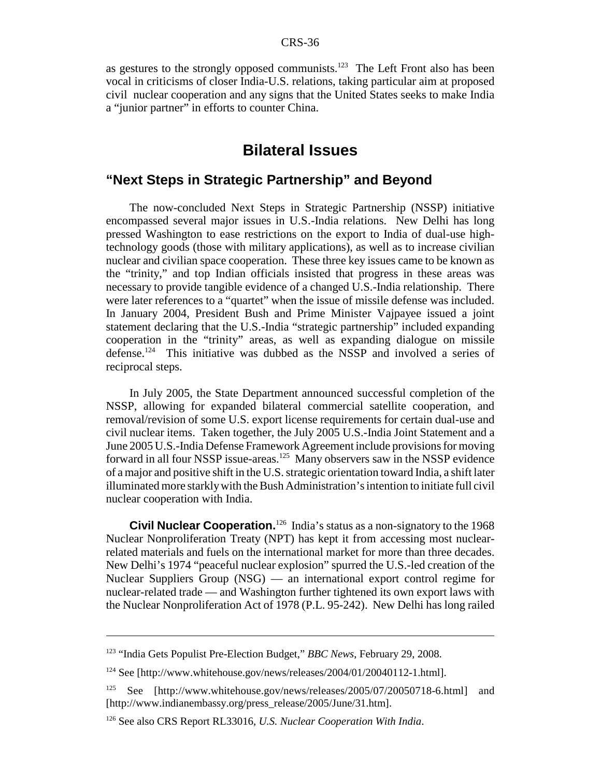as gestures to the strongly opposed communists.<sup>123</sup> The Left Front also has been vocal in criticisms of closer India-U.S. relations, taking particular aim at proposed civil nuclear cooperation and any signs that the United States seeks to make India a "junior partner" in efforts to counter China.

## **Bilateral Issues**

# **"Next Steps in Strategic Partnership" and Beyond**

The now-concluded Next Steps in Strategic Partnership (NSSP) initiative encompassed several major issues in U.S.-India relations. New Delhi has long pressed Washington to ease restrictions on the export to India of dual-use hightechnology goods (those with military applications), as well as to increase civilian nuclear and civilian space cooperation. These three key issues came to be known as the "trinity," and top Indian officials insisted that progress in these areas was necessary to provide tangible evidence of a changed U.S.-India relationship. There were later references to a "quartet" when the issue of missile defense was included. In January 2004, President Bush and Prime Minister Vajpayee issued a joint statement declaring that the U.S.-India "strategic partnership" included expanding cooperation in the "trinity" areas, as well as expanding dialogue on missile defense.<sup>124</sup> This initiative was dubbed as the NSSP and involved a series of reciprocal steps.

In July 2005, the State Department announced successful completion of the NSSP, allowing for expanded bilateral commercial satellite cooperation, and removal/revision of some U.S. export license requirements for certain dual-use and civil nuclear items. Taken together, the July 2005 U.S.-India Joint Statement and a June 2005 U.S.-India Defense Framework Agreement include provisions for moving forward in all four NSSP issue-areas.<sup>125</sup> Many observers saw in the NSSP evidence of a major and positive shift in the U.S. strategic orientation toward India, a shift later illuminated more starkly with the Bush Administration's intention to initiate full civil nuclear cooperation with India.

**Civil Nuclear Cooperation.**126 India's status as a non-signatory to the 1968 Nuclear Nonproliferation Treaty (NPT) has kept it from accessing most nuclearrelated materials and fuels on the international market for more than three decades. New Delhi's 1974 "peaceful nuclear explosion" spurred the U.S.-led creation of the Nuclear Suppliers Group (NSG) — an international export control regime for nuclear-related trade — and Washington further tightened its own export laws with the Nuclear Nonproliferation Act of 1978 (P.L. 95-242). New Delhi has long railed

<sup>123 &</sup>quot;India Gets Populist Pre-Election Budget," *BBC News*, February 29, 2008.

<sup>&</sup>lt;sup>124</sup> See [http://www.whitehouse.gov/news/releases/2004/01/20040112-1.html].

<sup>125</sup> See [http://www.whitehouse.gov/news/releases/2005/07/20050718-6.html] and [http://www.indianembassy.org/press\_release/2005/June/31.htm].

<sup>126</sup> See also CRS Report RL33016, *U.S. Nuclear Cooperation With India*.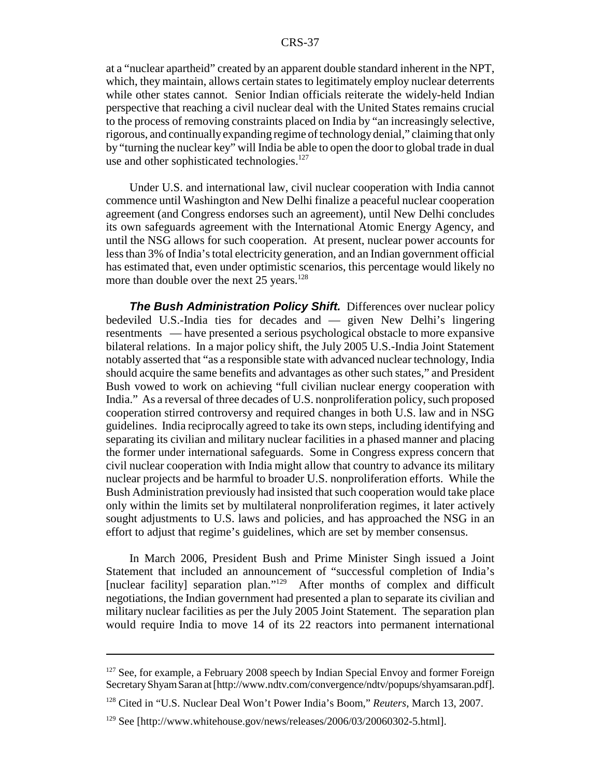at a "nuclear apartheid" created by an apparent double standard inherent in the NPT, which, they maintain, allows certain states to legitimately employ nuclear deterrents while other states cannot. Senior Indian officials reiterate the widely-held Indian perspective that reaching a civil nuclear deal with the United States remains crucial to the process of removing constraints placed on India by "an increasingly selective, rigorous, and continually expanding regime of technology denial," claiming that only by "turning the nuclear key" will India be able to open the door to global trade in dual use and other sophisticated technologies.<sup>127</sup>

Under U.S. and international law, civil nuclear cooperation with India cannot commence until Washington and New Delhi finalize a peaceful nuclear cooperation agreement (and Congress endorses such an agreement), until New Delhi concludes its own safeguards agreement with the International Atomic Energy Agency, and until the NSG allows for such cooperation. At present, nuclear power accounts for less than 3% of India's total electricity generation, and an Indian government official has estimated that, even under optimistic scenarios, this percentage would likely no more than double over the next 25 years.<sup>128</sup>

**The Bush Administration Policy Shift.** Differences over nuclear policy bedeviled U.S.-India ties for decades and — given New Delhi's lingering resentments — have presented a serious psychological obstacle to more expansive bilateral relations. In a major policy shift, the July 2005 U.S.-India Joint Statement notably asserted that "as a responsible state with advanced nuclear technology, India should acquire the same benefits and advantages as other such states," and President Bush vowed to work on achieving "full civilian nuclear energy cooperation with India." As a reversal of three decades of U.S. nonproliferation policy, such proposed cooperation stirred controversy and required changes in both U.S. law and in NSG guidelines. India reciprocally agreed to take its own steps, including identifying and separating its civilian and military nuclear facilities in a phased manner and placing the former under international safeguards. Some in Congress express concern that civil nuclear cooperation with India might allow that country to advance its military nuclear projects and be harmful to broader U.S. nonproliferation efforts. While the Bush Administration previously had insisted that such cooperation would take place only within the limits set by multilateral nonproliferation regimes, it later actively sought adjustments to U.S. laws and policies, and has approached the NSG in an effort to adjust that regime's guidelines, which are set by member consensus.

In March 2006, President Bush and Prime Minister Singh issued a Joint Statement that included an announcement of "successful completion of India's [nuclear facility] separation plan."<sup>129</sup> After months of complex and difficult negotiations, the Indian government had presented a plan to separate its civilian and military nuclear facilities as per the July 2005 Joint Statement. The separation plan would require India to move 14 of its 22 reactors into permanent international

<sup>&</sup>lt;sup>127</sup> See, for example, a February 2008 speech by Indian Special Envoy and former Foreign Secretary Shyam Saran at [http://www.ndtv.com/convergence/ndtv/popups/shyamsaran.pdf].

<sup>128</sup> Cited in "U.S. Nuclear Deal Won't Power India's Boom," *Reuters*, March 13, 2007.

 $129$  See [http://www.whitehouse.gov/news/releases/2006/03/20060302-5.html].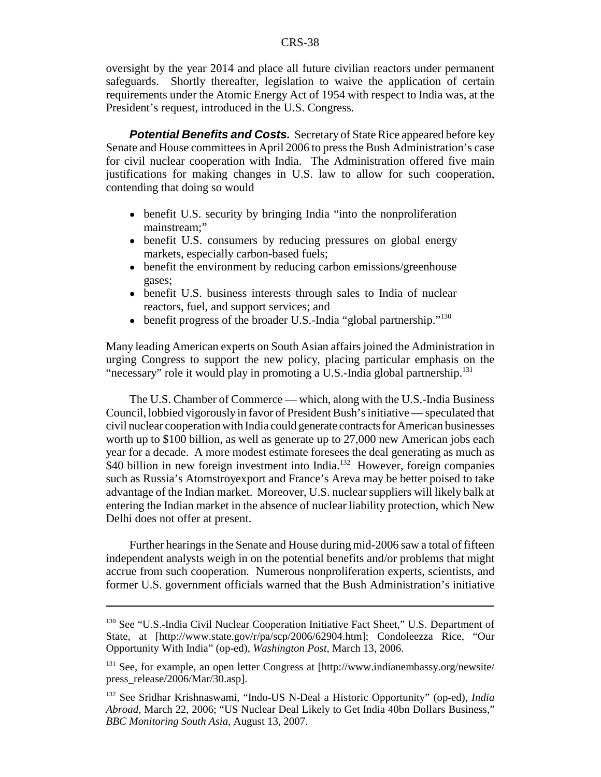oversight by the year 2014 and place all future civilian reactors under permanent safeguards. Shortly thereafter, legislation to waive the application of certain requirements under the Atomic Energy Act of 1954 with respect to India was, at the President's request, introduced in the U.S. Congress.

**Potential Benefits and Costs.** Secretary of State Rice appeared before key Senate and House committees in April 2006 to press the Bush Administration's case for civil nuclear cooperation with India. The Administration offered five main justifications for making changes in U.S. law to allow for such cooperation, contending that doing so would

- benefit U.S. security by bringing India "into the nonproliferation" mainstream;"
- benefit U.S. consumers by reducing pressures on global energy markets, especially carbon-based fuels;
- benefit the environment by reducing carbon emissions/greenhouse gases;
- benefit U.S. business interests through sales to India of nuclear reactors, fuel, and support services; and
- $\bullet$  benefit progress of the broader U.S.-India "global partnership."<sup>130</sup>

Many leading American experts on South Asian affairs joined the Administration in urging Congress to support the new policy, placing particular emphasis on the "necessary" role it would play in promoting a U.S.-India global partnership.<sup>131</sup>

The U.S. Chamber of Commerce — which, along with the U.S.-India Business Council, lobbied vigorously in favor of President Bush's initiative — speculated that civil nuclear cooperation with India could generate contracts for American businesses worth up to \$100 billion, as well as generate up to 27,000 new American jobs each year for a decade. A more modest estimate foresees the deal generating as much as  $$40$  billion in new foreign investment into India.<sup>132</sup> However, foreign companies such as Russia's Atomstroyexport and France's Areva may be better poised to take advantage of the Indian market. Moreover, U.S. nuclear suppliers will likely balk at entering the Indian market in the absence of nuclear liability protection, which New Delhi does not offer at present.

Further hearings in the Senate and House during mid-2006 saw a total of fifteen independent analysts weigh in on the potential benefits and/or problems that might accrue from such cooperation. Numerous nonproliferation experts, scientists, and former U.S. government officials warned that the Bush Administration's initiative

<sup>&</sup>lt;sup>130</sup> See "U.S.-India Civil Nuclear Cooperation Initiative Fact Sheet," U.S. Department of State, at [http://www.state.gov/r/pa/scp/2006/62904.htm]; Condoleezza Rice, "Our Opportunity With India" (op-ed), *Washington Post*, March 13, 2006.

<sup>131</sup> See, for example, an open letter Congress at [http://www.indianembassy.org/newsite/ press\_release/2006/Mar/30.asp].

<sup>132</sup> See Sridhar Krishnaswami, "Indo-US N-Deal a Historic Opportunity" (op-ed), *India Abroad*, March 22, 2006; "US Nuclear Deal Likely to Get India 40bn Dollars Business," *BBC Monitoring South Asia*, August 13, 2007.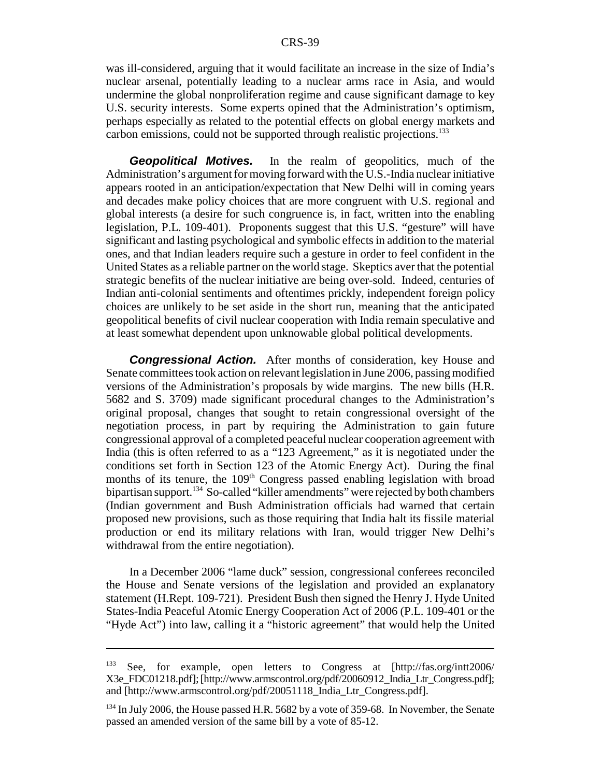was ill-considered, arguing that it would facilitate an increase in the size of India's nuclear arsenal, potentially leading to a nuclear arms race in Asia, and would undermine the global nonproliferation regime and cause significant damage to key U.S. security interests. Some experts opined that the Administration's optimism, perhaps especially as related to the potential effects on global energy markets and carbon emissions, could not be supported through realistic projections.<sup>133</sup>

*Geopolitical Motives.* In the realm of geopolitics, much of the Administration's argument for moving forward with the U.S.-India nuclear initiative appears rooted in an anticipation/expectation that New Delhi will in coming years and decades make policy choices that are more congruent with U.S. regional and global interests (a desire for such congruence is, in fact, written into the enabling legislation, P.L. 109-401). Proponents suggest that this U.S. "gesture" will have significant and lasting psychological and symbolic effects in addition to the material ones, and that Indian leaders require such a gesture in order to feel confident in the United States as a reliable partner on the world stage. Skeptics aver that the potential strategic benefits of the nuclear initiative are being over-sold. Indeed, centuries of Indian anti-colonial sentiments and oftentimes prickly, independent foreign policy choices are unlikely to be set aside in the short run, meaning that the anticipated geopolitical benefits of civil nuclear cooperation with India remain speculative and at least somewhat dependent upon unknowable global political developments.

*Congressional Action.* After months of consideration, key House and Senate committees took action on relevant legislation in June 2006, passing modified versions of the Administration's proposals by wide margins. The new bills (H.R. 5682 and S. 3709) made significant procedural changes to the Administration's original proposal, changes that sought to retain congressional oversight of the negotiation process, in part by requiring the Administration to gain future congressional approval of a completed peaceful nuclear cooperation agreement with India (this is often referred to as a "123 Agreement," as it is negotiated under the conditions set forth in Section 123 of the Atomic Energy Act). During the final months of its tenure, the 109<sup>th</sup> Congress passed enabling legislation with broad bipartisan support.<sup>134</sup> So-called "killer amendments" were rejected by both chambers (Indian government and Bush Administration officials had warned that certain proposed new provisions, such as those requiring that India halt its fissile material production or end its military relations with Iran, would trigger New Delhi's withdrawal from the entire negotiation).

In a December 2006 "lame duck" session, congressional conferees reconciled the House and Senate versions of the legislation and provided an explanatory statement (H.Rept. 109-721). President Bush then signed the Henry J. Hyde United States-India Peaceful Atomic Energy Cooperation Act of 2006 (P.L. 109-401 or the "Hyde Act") into law, calling it a "historic agreement" that would help the United

<sup>133</sup> See, for example, open letters to Congress at [http://fas.org/intt2006/ X3e\_FDC01218.pdf]; [http://www.armscontrol.org/pdf/20060912\_India\_Ltr\_Congress.pdf]; and [http://www.armscontrol.org/pdf/20051118\_India\_Ltr\_Congress.pdf].

<sup>&</sup>lt;sup>134</sup> In July 2006, the House passed H.R. 5682 by a vote of 359-68. In November, the Senate passed an amended version of the same bill by a vote of 85-12.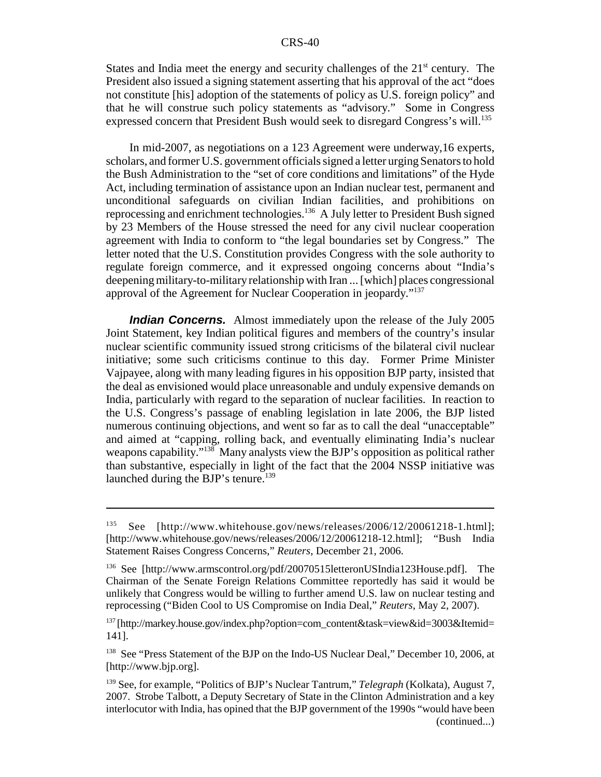States and India meet the energy and security challenges of the  $21<sup>st</sup>$  century. The President also issued a signing statement asserting that his approval of the act "does not constitute [his] adoption of the statements of policy as U.S. foreign policy" and that he will construe such policy statements as "advisory." Some in Congress expressed concern that President Bush would seek to disregard Congress's will.<sup>135</sup>

In mid-2007, as negotiations on a 123 Agreement were underway,16 experts, scholars, and former U.S. government officials signed a letter urging Senators to hold the Bush Administration to the "set of core conditions and limitations" of the Hyde Act, including termination of assistance upon an Indian nuclear test, permanent and unconditional safeguards on civilian Indian facilities, and prohibitions on reprocessing and enrichment technologies.136 A July letter to President Bush signed by 23 Members of the House stressed the need for any civil nuclear cooperation agreement with India to conform to "the legal boundaries set by Congress." The letter noted that the U.S. Constitution provides Congress with the sole authority to regulate foreign commerce, and it expressed ongoing concerns about "India's deepening military-to-military relationship with Iran ... [which] places congressional approval of the Agreement for Nuclear Cooperation in jeopardy."137

**Indian Concerns.** Almost immediately upon the release of the July 2005 Joint Statement, key Indian political figures and members of the country's insular nuclear scientific community issued strong criticisms of the bilateral civil nuclear initiative; some such criticisms continue to this day. Former Prime Minister Vajpayee, along with many leading figures in his opposition BJP party, insisted that the deal as envisioned would place unreasonable and unduly expensive demands on India, particularly with regard to the separation of nuclear facilities. In reaction to the U.S. Congress's passage of enabling legislation in late 2006, the BJP listed numerous continuing objections, and went so far as to call the deal "unacceptable" and aimed at "capping, rolling back, and eventually eliminating India's nuclear weapons capability."138 Many analysts view the BJP's opposition as political rather than substantive, especially in light of the fact that the 2004 NSSP initiative was launched during the BJP's tenure.<sup>139</sup>

<sup>135</sup> See [http://www.whitehouse.gov/news/releases/2006/12/20061218-1.html]; [http://www.whitehouse.gov/news/releases/2006/12/20061218-12.html]; "Bush India Statement Raises Congress Concerns," *Reuters*, December 21, 2006.

<sup>136</sup> See [http://www.armscontrol.org/pdf/20070515letteronUSIndia123House.pdf]. The Chairman of the Senate Foreign Relations Committee reportedly has said it would be unlikely that Congress would be willing to further amend U.S. law on nuclear testing and reprocessing ("Biden Cool to US Compromise on India Deal," *Reuters*, May 2, 2007).

<sup>&</sup>lt;sup>137</sup> [http://markey.house.gov/index.php?option=com\_content&task=view&id=3003&Itemid= 141].

<sup>&</sup>lt;sup>138</sup> See "Press Statement of the BJP on the Indo-US Nuclear Deal," December 10, 2006, at [http://www.bjp.org].

<sup>&</sup>lt;sup>139</sup> See, for example, "Politics of BJP's Nuclear Tantrum," *Telegraph* (Kolkata), August 7, 2007. Strobe Talbott, a Deputy Secretary of State in the Clinton Administration and a key interlocutor with India, has opined that the BJP government of the 1990s "would have been (continued...)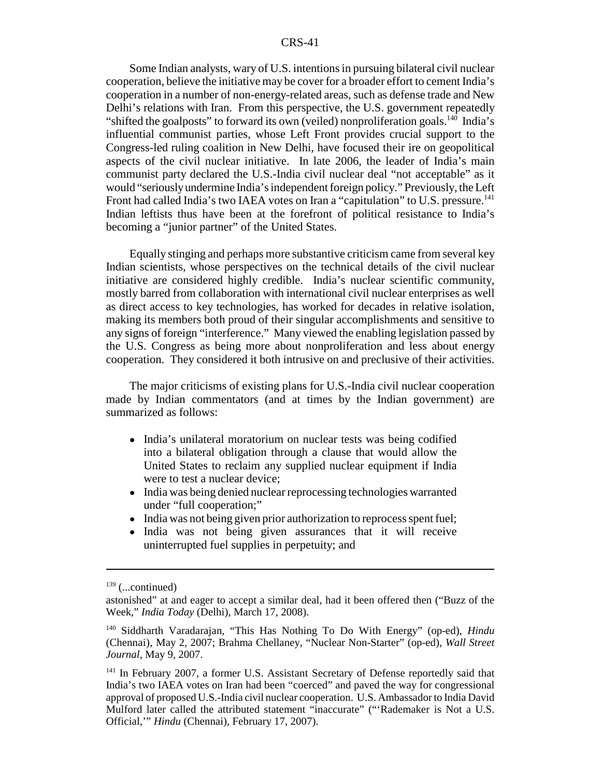Some Indian analysts, wary of U.S. intentions in pursuing bilateral civil nuclear cooperation, believe the initiative may be cover for a broader effort to cement India's cooperation in a number of non-energy-related areas, such as defense trade and New Delhi's relations with Iran. From this perspective, the U.S. government repeatedly "shifted the goalposts" to forward its own (veiled) nonproliferation goals.<sup>140</sup> India's influential communist parties, whose Left Front provides crucial support to the Congress-led ruling coalition in New Delhi, have focused their ire on geopolitical aspects of the civil nuclear initiative. In late 2006, the leader of India's main communist party declared the U.S.-India civil nuclear deal "not acceptable" as it would "seriously undermine India's independent foreign policy." Previously, the Left Front had called India's two IAEA votes on Iran a "capitulation" to U.S. pressure.<sup>141</sup> Indian leftists thus have been at the forefront of political resistance to India's becoming a "junior partner" of the United States.

Equally stinging and perhaps more substantive criticism came from several key Indian scientists, whose perspectives on the technical details of the civil nuclear initiative are considered highly credible. India's nuclear scientific community, mostly barred from collaboration with international civil nuclear enterprises as well as direct access to key technologies, has worked for decades in relative isolation, making its members both proud of their singular accomplishments and sensitive to any signs of foreign "interference." Many viewed the enabling legislation passed by the U.S. Congress as being more about nonproliferation and less about energy cooperation. They considered it both intrusive on and preclusive of their activities.

The major criticisms of existing plans for U.S.-India civil nuclear cooperation made by Indian commentators (and at times by the Indian government) are summarized as follows:

- India's unilateral moratorium on nuclear tests was being codified into a bilateral obligation through a clause that would allow the United States to reclaim any supplied nuclear equipment if India were to test a nuclear device;
- ! India was being denied nuclear reprocessing technologies warranted under "full cooperation;"
- India was not being given prior authorization to reprocess spent fuel;
- ! India was not being given assurances that it will receive uninterrupted fuel supplies in perpetuity; and

 $139$  (...continued)

astonished" at and eager to accept a similar deal, had it been offered then ("Buzz of the Week," *India Today* (Delhi), March 17, 2008).

<sup>140</sup> Siddharth Varadarajan, "This Has Nothing To Do With Energy" (op-ed), *Hindu* (Chennai), May 2, 2007; Brahma Chellaney, "Nuclear Non-Starter" (op-ed), *Wall Street Journal*, May 9, 2007.

<sup>&</sup>lt;sup>141</sup> In February 2007, a former U.S. Assistant Secretary of Defense reportedly said that India's two IAEA votes on Iran had been "coerced" and paved the way for congressional approval of proposed U.S.-India civil nuclear cooperation. U.S. Ambassador to India David Mulford later called the attributed statement "inaccurate" ("'Rademaker is Not a U.S. Official,'" *Hindu* (Chennai), February 17, 2007).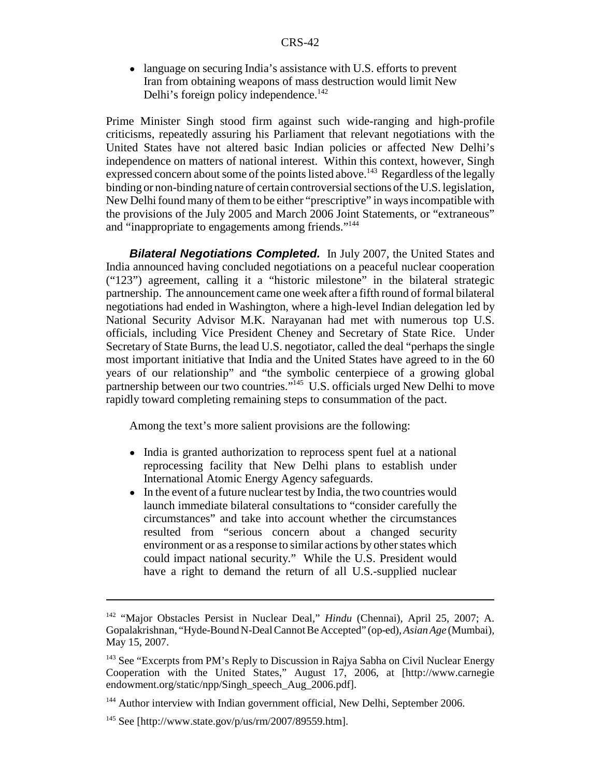• language on securing India's assistance with U.S. efforts to prevent Iran from obtaining weapons of mass destruction would limit New Delhi's foreign policy independence.<sup>142</sup>

Prime Minister Singh stood firm against such wide-ranging and high-profile criticisms, repeatedly assuring his Parliament that relevant negotiations with the United States have not altered basic Indian policies or affected New Delhi's independence on matters of national interest. Within this context, however, Singh expressed concern about some of the points listed above.<sup>143</sup> Regardless of the legally binding or non-binding nature of certain controversial sections of the U.S. legislation, New Delhi found many of them to be either "prescriptive" in ways incompatible with the provisions of the July 2005 and March 2006 Joint Statements, or "extraneous" and "inappropriate to engagements among friends."144

*Bilateral Negotiations Completed.* In July 2007, the United States and India announced having concluded negotiations on a peaceful nuclear cooperation ("123") agreement, calling it a "historic milestone" in the bilateral strategic partnership. The announcement came one week after a fifth round of formal bilateral negotiations had ended in Washington, where a high-level Indian delegation led by National Security Advisor M.K. Narayanan had met with numerous top U.S. officials, including Vice President Cheney and Secretary of State Rice. Under Secretary of State Burns, the lead U.S. negotiator, called the deal "perhaps the single most important initiative that India and the United States have agreed to in the 60 years of our relationship" and "the symbolic centerpiece of a growing global partnership between our two countries."145 U.S. officials urged New Delhi to move rapidly toward completing remaining steps to consummation of the pact.

Among the text's more salient provisions are the following:

- India is granted authorization to reprocess spent fuel at a national reprocessing facility that New Delhi plans to establish under International Atomic Energy Agency safeguards.
- In the event of a future nuclear test by India, the two countries would launch immediate bilateral consultations to "consider carefully the circumstances" and take into account whether the circumstances resulted from "serious concern about a changed security environment or as a response to similar actions by other states which could impact national security." While the U.S. President would have a right to demand the return of all U.S.-supplied nuclear

<sup>&</sup>lt;sup>142</sup> "Major Obstacles Persist in Nuclear Deal," *Hindu* (Chennai), April 25, 2007; A. Gopalakrishnan, "Hyde-Bound N-Deal Cannot Be Accepted" (op-ed), *Asian Age* (Mumbai), May 15, 2007.

<sup>&</sup>lt;sup>143</sup> See "Excerpts from PM's Reply to Discussion in Rajya Sabha on Civil Nuclear Energy Cooperation with the United States," August 17, 2006, at [http://www.carnegie endowment.org/static/npp/Singh\_speech\_Aug\_2006.pdf].

<sup>&</sup>lt;sup>144</sup> Author interview with Indian government official, New Delhi, September 2006.

 $145$  See [http://www.state.gov/p/us/rm/2007/89559.htm].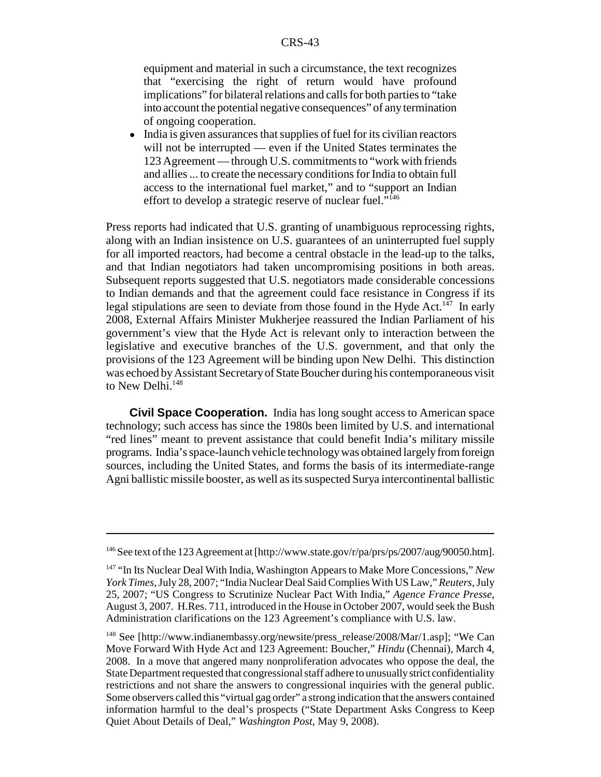equipment and material in such a circumstance, the text recognizes that "exercising the right of return would have profound implications" for bilateral relations and calls for both parties to "take into account the potential negative consequences" of any termination of ongoing cooperation.

! India is given assurances that supplies of fuel for its civilian reactors will not be interrupted — even if the United States terminates the 123 Agreement — through U.S. commitments to "work with friends and allies ... to create the necessary conditions for India to obtain full access to the international fuel market," and to "support an Indian effort to develop a strategic reserve of nuclear fuel."146

Press reports had indicated that U.S. granting of unambiguous reprocessing rights, along with an Indian insistence on U.S. guarantees of an uninterrupted fuel supply for all imported reactors, had become a central obstacle in the lead-up to the talks, and that Indian negotiators had taken uncompromising positions in both areas. Subsequent reports suggested that U.S. negotiators made considerable concessions to Indian demands and that the agreement could face resistance in Congress if its legal stipulations are seen to deviate from those found in the Hyde Act.<sup>147</sup> In early 2008, External Affairs Minister Mukherjee reassured the Indian Parliament of his government's view that the Hyde Act is relevant only to interaction between the legislative and executive branches of the U.S. government, and that only the provisions of the 123 Agreement will be binding upon New Delhi. This distinction was echoed by Assistant Secretary of State Boucher during his contemporaneous visit to New Delhi. $148$ 

**Civil Space Cooperation.** India has long sought access to American space technology; such access has since the 1980s been limited by U.S. and international "red lines" meant to prevent assistance that could benefit India's military missile programs. India's space-launch vehicle technology was obtained largely from foreign sources, including the United States, and forms the basis of its intermediate-range Agni ballistic missile booster, as well as its suspected Surya intercontinental ballistic

<sup>&</sup>lt;sup>146</sup> See text of the 123 Agreement at [http://www.state.gov/r/pa/prs/ps/2007/aug/90050.htm].

<sup>147 &</sup>quot;In Its Nuclear Deal With India, Washington Appears to Make More Concessions," *New York Times*, July 28, 2007; "India Nuclear Deal Said Complies With US Law," *Reuters*, July 25, 2007; "US Congress to Scrutinize Nuclear Pact With India," *Agence France Presse*, August 3, 2007. H.Res. 711, introduced in the House in October 2007, would seek the Bush Administration clarifications on the 123 Agreement's compliance with U.S. law.

<sup>148</sup> See [http://www.indianembassy.org/newsite/press\_release/2008/Mar/1.asp]; "We Can Move Forward With Hyde Act and 123 Agreement: Boucher," *Hindu* (Chennai), March 4, 2008. In a move that angered many nonproliferation advocates who oppose the deal, the State Department requested that congressional staff adhere to unusually strict confidentiality restrictions and not share the answers to congressional inquiries with the general public. Some observers called this "virtual gag order" a strong indication that the answers contained information harmful to the deal's prospects ("State Department Asks Congress to Keep Quiet About Details of Deal," *Washington Post*, May 9, 2008).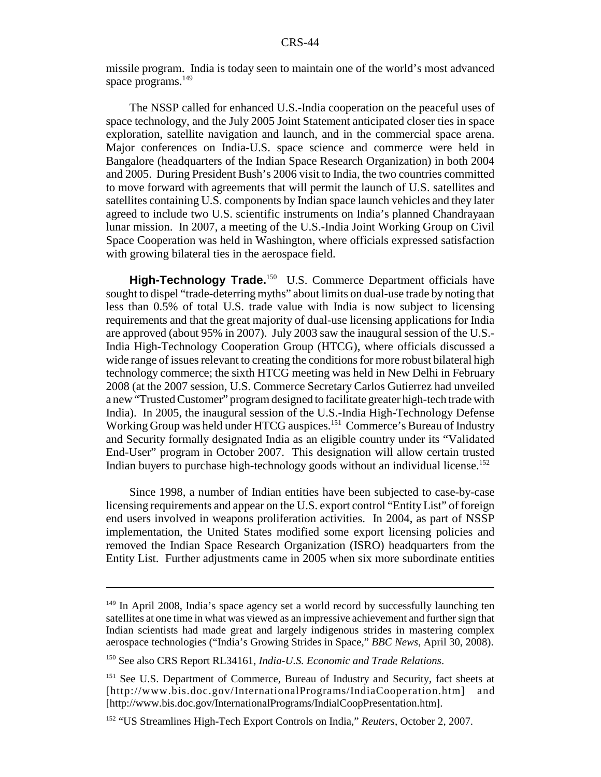missile program. India is today seen to maintain one of the world's most advanced space programs.<sup>149</sup>

The NSSP called for enhanced U.S.-India cooperation on the peaceful uses of space technology, and the July 2005 Joint Statement anticipated closer ties in space exploration, satellite navigation and launch, and in the commercial space arena. Major conferences on India-U.S. space science and commerce were held in Bangalore (headquarters of the Indian Space Research Organization) in both 2004 and 2005. During President Bush's 2006 visit to India, the two countries committed to move forward with agreements that will permit the launch of U.S. satellites and satellites containing U.S. components by Indian space launch vehicles and they later agreed to include two U.S. scientific instruments on India's planned Chandrayaan lunar mission. In 2007, a meeting of the U.S.-India Joint Working Group on Civil Space Cooperation was held in Washington, where officials expressed satisfaction with growing bilateral ties in the aerospace field.

**High-Technology Trade.**<sup>150</sup> U.S. Commerce Department officials have sought to dispel "trade-deterring myths" about limits on dual-use trade by noting that less than 0.5% of total U.S. trade value with India is now subject to licensing requirements and that the great majority of dual-use licensing applications for India are approved (about 95% in 2007). July 2003 saw the inaugural session of the U.S.- India High-Technology Cooperation Group (HTCG), where officials discussed a wide range of issues relevant to creating the conditions for more robust bilateral high technology commerce; the sixth HTCG meeting was held in New Delhi in February 2008 (at the 2007 session, U.S. Commerce Secretary Carlos Gutierrez had unveiled a new "Trusted Customer" program designed to facilitate greater high-tech trade with India). In 2005, the inaugural session of the U.S.-India High-Technology Defense Working Group was held under HTCG auspices.<sup>151</sup> Commerce's Bureau of Industry and Security formally designated India as an eligible country under its "Validated End-User" program in October 2007. This designation will allow certain trusted Indian buyers to purchase high-technology goods without an individual license.<sup>152</sup>

Since 1998, a number of Indian entities have been subjected to case-by-case licensing requirements and appear on the U.S. export control "Entity List" of foreign end users involved in weapons proliferation activities. In 2004, as part of NSSP implementation, the United States modified some export licensing policies and removed the Indian Space Research Organization (ISRO) headquarters from the Entity List. Further adjustments came in 2005 when six more subordinate entities

 $149$  In April 2008, India's space agency set a world record by successfully launching ten satellites at one time in what was viewed as an impressive achievement and further sign that Indian scientists had made great and largely indigenous strides in mastering complex aerospace technologies ("India's Growing Strides in Space," *BBC News*, April 30, 2008).

<sup>150</sup> See also CRS Report RL34161, *India-U.S. Economic and Trade Relations*.

<sup>&</sup>lt;sup>151</sup> See U.S. Department of Commerce, Bureau of Industry and Security, fact sheets at [http://www.bis.doc.gov/InternationalPrograms/IndiaCooperation.htm] and [http://www.bis.doc.gov/InternationalPrograms/IndialCoopPresentation.htm].

<sup>152 &</sup>quot;US Streamlines High-Tech Export Controls on India," *Reuters*, October 2, 2007.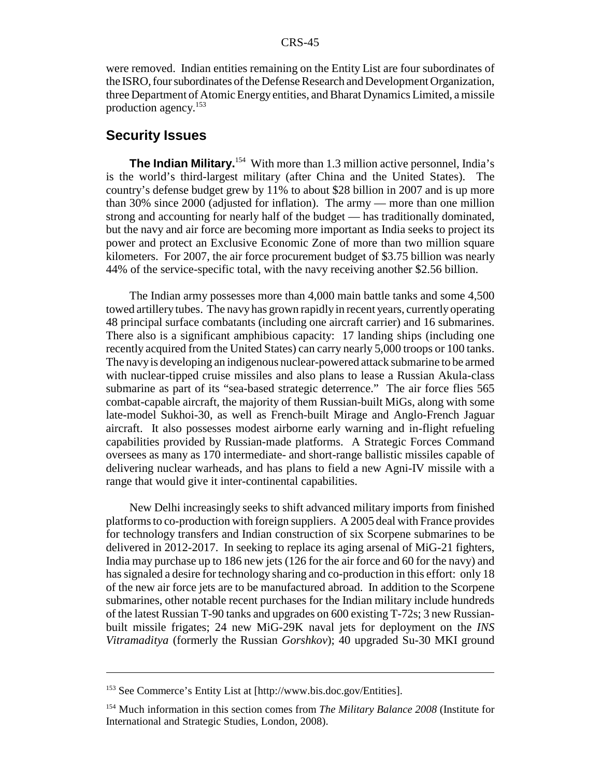were removed. Indian entities remaining on the Entity List are four subordinates of the ISRO, four subordinates of the Defense Research and Development Organization, three Department of Atomic Energy entities, and Bharat Dynamics Limited, a missile production agency.153

### **Security Issues**

**The Indian Military.**<sup>154</sup> With more than 1.3 million active personnel, India's is the world's third-largest military (after China and the United States). The country's defense budget grew by 11% to about \$28 billion in 2007 and is up more than 30% since 2000 (adjusted for inflation). The army — more than one million strong and accounting for nearly half of the budget — has traditionally dominated, but the navy and air force are becoming more important as India seeks to project its power and protect an Exclusive Economic Zone of more than two million square kilometers. For 2007, the air force procurement budget of \$3.75 billion was nearly 44% of the service-specific total, with the navy receiving another \$2.56 billion.

The Indian army possesses more than 4,000 main battle tanks and some 4,500 towed artillery tubes. The navy has grown rapidly in recent years, currently operating 48 principal surface combatants (including one aircraft carrier) and 16 submarines. There also is a significant amphibious capacity: 17 landing ships (including one recently acquired from the United States) can carry nearly 5,000 troops or 100 tanks. The navy is developing an indigenous nuclear-powered attack submarine to be armed with nuclear-tipped cruise missiles and also plans to lease a Russian Akula-class submarine as part of its "sea-based strategic deterrence." The air force flies 565 combat-capable aircraft, the majority of them Russian-built MiGs, along with some late-model Sukhoi-30, as well as French-built Mirage and Anglo-French Jaguar aircraft. It also possesses modest airborne early warning and in-flight refueling capabilities provided by Russian-made platforms. A Strategic Forces Command oversees as many as 170 intermediate- and short-range ballistic missiles capable of delivering nuclear warheads, and has plans to field a new Agni-IV missile with a range that would give it inter-continental capabilities.

New Delhi increasingly seeks to shift advanced military imports from finished platforms to co-production with foreign suppliers. A 2005 deal with France provides for technology transfers and Indian construction of six Scorpene submarines to be delivered in 2012-2017. In seeking to replace its aging arsenal of MiG-21 fighters, India may purchase up to 186 new jets (126 for the air force and 60 for the navy) and has signaled a desire for technology sharing and co-production in this effort: only 18 of the new air force jets are to be manufactured abroad. In addition to the Scorpene submarines, other notable recent purchases for the Indian military include hundreds of the latest Russian T-90 tanks and upgrades on 600 existing T-72s; 3 new Russianbuilt missile frigates; 24 new MiG-29K naval jets for deployment on the *INS Vitramaditya* (formerly the Russian *Gorshkov*); 40 upgraded Su-30 MKI ground

<sup>153</sup> See Commerce's Entity List at [http://www.bis.doc.gov/Entities].

<sup>154</sup> Much information in this section comes from *The Military Balance 2008* (Institute for International and Strategic Studies, London, 2008).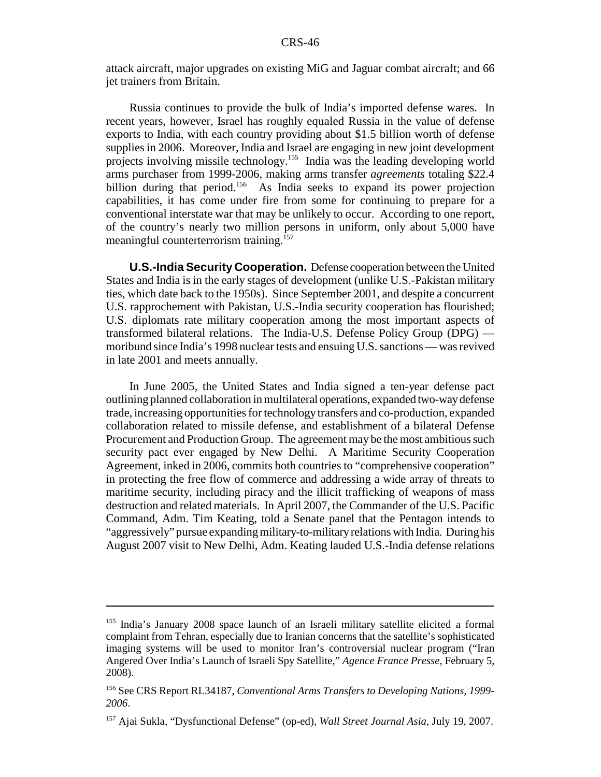attack aircraft, major upgrades on existing MiG and Jaguar combat aircraft; and 66 jet trainers from Britain.

Russia continues to provide the bulk of India's imported defense wares. In recent years, however, Israel has roughly equaled Russia in the value of defense exports to India, with each country providing about \$1.5 billion worth of defense supplies in 2006. Moreover, India and Israel are engaging in new joint development projects involving missile technology.<sup>155</sup> India was the leading developing world arms purchaser from 1999-2006, making arms transfer *agreements* totaling \$22.4 billion during that period.<sup>156</sup> As India seeks to expand its power projection capabilities, it has come under fire from some for continuing to prepare for a conventional interstate war that may be unlikely to occur. According to one report, of the country's nearly two million persons in uniform, only about 5,000 have meaningful counterterrorism training.<sup>157</sup>

**U.S.-India Security Cooperation.** Defense cooperation between the United States and India is in the early stages of development (unlike U.S.-Pakistan military ties, which date back to the 1950s). Since September 2001, and despite a concurrent U.S. rapprochement with Pakistan, U.S.-India security cooperation has flourished; U.S. diplomats rate military cooperation among the most important aspects of transformed bilateral relations. The India-U.S. Defense Policy Group (DPG) moribund since India's 1998 nuclear tests and ensuing U.S. sanctions — was revived in late 2001 and meets annually.

In June 2005, the United States and India signed a ten-year defense pact outlining planned collaboration in multilateral operations, expanded two-way defense trade, increasing opportunities for technology transfers and co-production, expanded collaboration related to missile defense, and establishment of a bilateral Defense Procurement and Production Group. The agreement may be the most ambitious such security pact ever engaged by New Delhi. A Maritime Security Cooperation Agreement, inked in 2006, commits both countries to "comprehensive cooperation" in protecting the free flow of commerce and addressing a wide array of threats to maritime security, including piracy and the illicit trafficking of weapons of mass destruction and related materials. In April 2007, the Commander of the U.S. Pacific Command, Adm. Tim Keating, told a Senate panel that the Pentagon intends to "aggressively" pursue expanding military-to-military relations with India. During his August 2007 visit to New Delhi, Adm. Keating lauded U.S.-India defense relations

<sup>155</sup> India's January 2008 space launch of an Israeli military satellite elicited a formal complaint from Tehran, especially due to Iranian concerns that the satellite's sophisticated imaging systems will be used to monitor Iran's controversial nuclear program ("Iran Angered Over India's Launch of Israeli Spy Satellite," *Agence France Presse*, February 5, 2008).

<sup>156</sup> See CRS Report RL34187, *Conventional Arms Transfers to Developing Nations, 1999- 2006*.

<sup>157</sup> Ajai Sukla, "Dysfunctional Defense" (op-ed), *Wall Street Journal Asia*, July 19, 2007.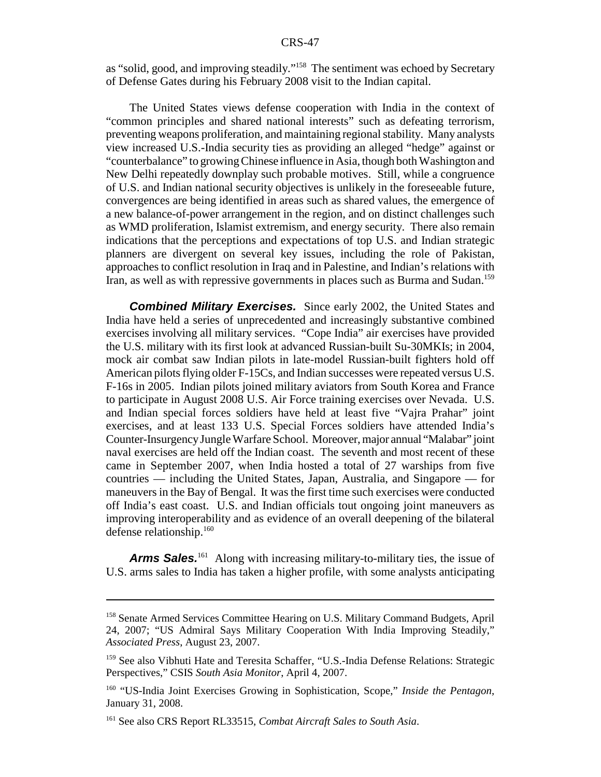as "solid, good, and improving steadily."158 The sentiment was echoed by Secretary of Defense Gates during his February 2008 visit to the Indian capital.

The United States views defense cooperation with India in the context of "common principles and shared national interests" such as defeating terrorism, preventing weapons proliferation, and maintaining regional stability. Many analysts view increased U.S.-India security ties as providing an alleged "hedge" against or "counterbalance" to growing Chinese influence in Asia, though both Washington and New Delhi repeatedly downplay such probable motives. Still, while a congruence of U.S. and Indian national security objectives is unlikely in the foreseeable future, convergences are being identified in areas such as shared values, the emergence of a new balance-of-power arrangement in the region, and on distinct challenges such as WMD proliferation, Islamist extremism, and energy security. There also remain indications that the perceptions and expectations of top U.S. and Indian strategic planners are divergent on several key issues, including the role of Pakistan, approaches to conflict resolution in Iraq and in Palestine, and Indian's relations with Iran, as well as with repressive governments in places such as Burma and Sudan.<sup>159</sup>

**Combined Military Exercises.** Since early 2002, the United States and India have held a series of unprecedented and increasingly substantive combined exercises involving all military services. "Cope India" air exercises have provided the U.S. military with its first look at advanced Russian-built Su-30MKIs; in 2004, mock air combat saw Indian pilots in late-model Russian-built fighters hold off American pilots flying older F-15Cs, and Indian successes were repeated versus U.S. F-16s in 2005. Indian pilots joined military aviators from South Korea and France to participate in August 2008 U.S. Air Force training exercises over Nevada. U.S. and Indian special forces soldiers have held at least five "Vajra Prahar" joint exercises, and at least 133 U.S. Special Forces soldiers have attended India's Counter-Insurgency Jungle Warfare School. Moreover, major annual "Malabar" joint naval exercises are held off the Indian coast. The seventh and most recent of these came in September 2007, when India hosted a total of 27 warships from five countries — including the United States, Japan, Australia, and Singapore — for maneuvers in the Bay of Bengal. It was the first time such exercises were conducted off India's east coast. U.S. and Indian officials tout ongoing joint maneuvers as improving interoperability and as evidence of an overall deepening of the bilateral defense relationship.<sup>160</sup>

**Arms Sales.**<sup>161</sup> Along with increasing military-to-military ties, the issue of U.S. arms sales to India has taken a higher profile, with some analysts anticipating

<sup>158</sup> Senate Armed Services Committee Hearing on U.S. Military Command Budgets, April 24, 2007; "US Admiral Says Military Cooperation With India Improving Steadily," *Associated Press*, August 23, 2007.

<sup>&</sup>lt;sup>159</sup> See also Vibhuti Hate and Teresita Schaffer, "U.S.-India Defense Relations: Strategic Perspectives," CSIS *South Asia Monitor*, April 4, 2007.

<sup>160 &</sup>quot;US-India Joint Exercises Growing in Sophistication, Scope," *Inside the Pentagon*, January 31, 2008.

<sup>161</sup> See also CRS Report RL33515, *Combat Aircraft Sales to South Asia*.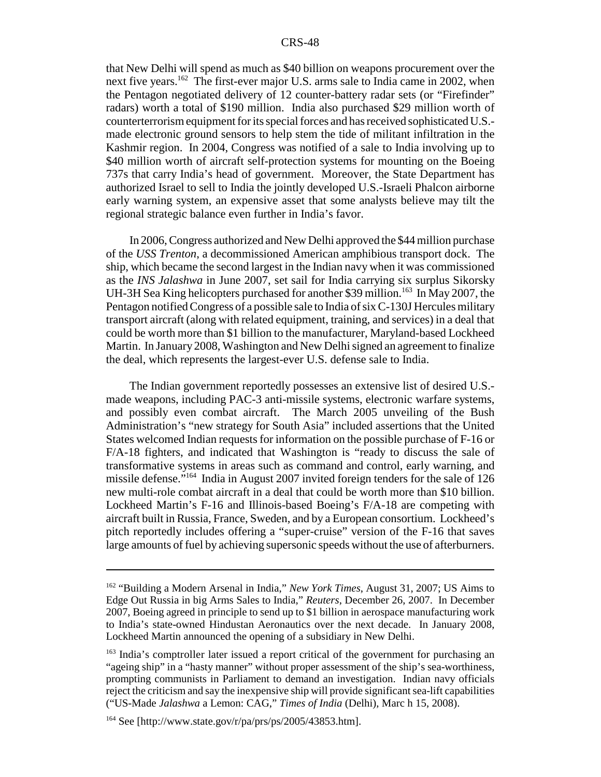that New Delhi will spend as much as \$40 billion on weapons procurement over the next five years.<sup>162</sup> The first-ever major U.S. arms sale to India came in 2002, when the Pentagon negotiated delivery of 12 counter-battery radar sets (or "Firefinder" radars) worth a total of \$190 million. India also purchased \$29 million worth of counterterrorism equipment for its special forces and has received sophisticated U.S. made electronic ground sensors to help stem the tide of militant infiltration in the Kashmir region. In 2004, Congress was notified of a sale to India involving up to \$40 million worth of aircraft self-protection systems for mounting on the Boeing 737s that carry India's head of government. Moreover, the State Department has authorized Israel to sell to India the jointly developed U.S.-Israeli Phalcon airborne early warning system, an expensive asset that some analysts believe may tilt the regional strategic balance even further in India's favor.

In 2006, Congress authorized and New Delhi approved the \$44 million purchase of the *USS Trenton*, a decommissioned American amphibious transport dock. The ship, which became the second largest in the Indian navy when it was commissioned as the *INS Jalashwa* in June 2007, set sail for India carrying six surplus Sikorsky UH-3H Sea King helicopters purchased for another \$39 million.<sup>163</sup> In May 2007, the Pentagon notified Congress of a possible sale to India of six C-130J Hercules military transport aircraft (along with related equipment, training, and services) in a deal that could be worth more than \$1 billion to the manufacturer, Maryland-based Lockheed Martin. In January 2008, Washington and New Delhi signed an agreement to finalize the deal, which represents the largest-ever U.S. defense sale to India.

The Indian government reportedly possesses an extensive list of desired U.S. made weapons, including PAC-3 anti-missile systems, electronic warfare systems, and possibly even combat aircraft. The March 2005 unveiling of the Bush Administration's "new strategy for South Asia" included assertions that the United States welcomed Indian requests for information on the possible purchase of F-16 or F/A-18 fighters, and indicated that Washington is "ready to discuss the sale of transformative systems in areas such as command and control, early warning, and missile defense."164 India in August 2007 invited foreign tenders for the sale of 126 new multi-role combat aircraft in a deal that could be worth more than \$10 billion. Lockheed Martin's F-16 and Illinois-based Boeing's F/A-18 are competing with aircraft built in Russia, France, Sweden, and by a European consortium. Lockheed's pitch reportedly includes offering a "super-cruise" version of the F-16 that saves large amounts of fuel by achieving supersonic speeds without the use of afterburners.

<sup>162 &</sup>quot;Building a Modern Arsenal in India," *New York Times*, August 31, 2007; US Aims to Edge Out Russia in big Arms Sales to India," *Reuters*, December 26, 2007. In December 2007, Boeing agreed in principle to send up to \$1 billion in aerospace manufacturing work to India's state-owned Hindustan Aeronautics over the next decade. In January 2008, Lockheed Martin announced the opening of a subsidiary in New Delhi.

<sup>&</sup>lt;sup>163</sup> India's comptroller later issued a report critical of the government for purchasing an "ageing ship" in a "hasty manner" without proper assessment of the ship's sea-worthiness, prompting communists in Parliament to demand an investigation. Indian navy officials reject the criticism and say the inexpensive ship will provide significant sea-lift capabilities ("US-Made *Jalashwa* a Lemon: CAG," *Times of India* (Delhi), Marc h 15, 2008).

 $164$  See [http://www.state.gov/r/pa/prs/ps/2005/43853.htm].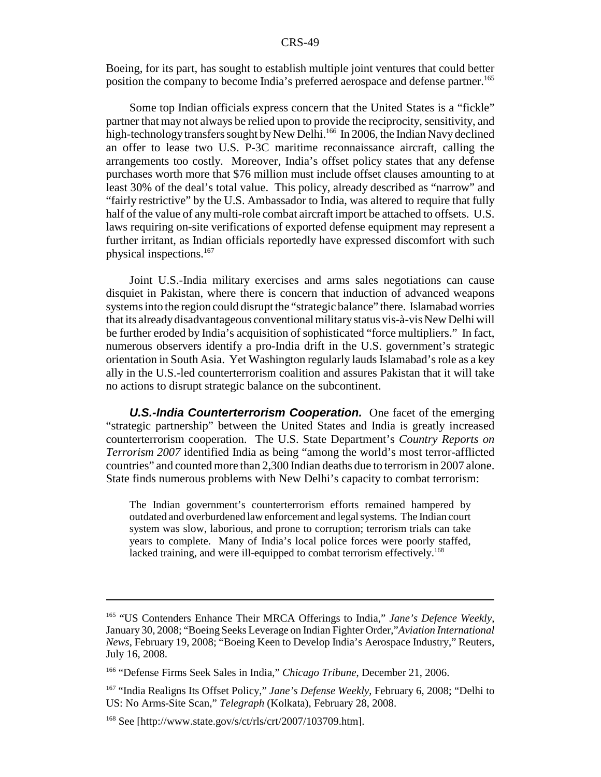Boeing, for its part, has sought to establish multiple joint ventures that could better position the company to become India's preferred aerospace and defense partner.<sup>165</sup>

Some top Indian officials express concern that the United States is a "fickle" partner that may not always be relied upon to provide the reciprocity, sensitivity, and high-technology transfers sought by New Delhi.<sup>166</sup> In 2006, the Indian Navy declined an offer to lease two U.S. P-3C maritime reconnaissance aircraft, calling the arrangements too costly. Moreover, India's offset policy states that any defense purchases worth more that \$76 million must include offset clauses amounting to at least 30% of the deal's total value. This policy, already described as "narrow" and "fairly restrictive" by the U.S. Ambassador to India, was altered to require that fully half of the value of any multi-role combat aircraft import be attached to offsets. U.S. laws requiring on-site verifications of exported defense equipment may represent a further irritant, as Indian officials reportedly have expressed discomfort with such physical inspections.167

Joint U.S.-India military exercises and arms sales negotiations can cause disquiet in Pakistan, where there is concern that induction of advanced weapons systems into the region could disrupt the "strategic balance" there. Islamabad worries that its already disadvantageous conventional military status vis-à-vis New Delhi will be further eroded by India's acquisition of sophisticated "force multipliers." In fact, numerous observers identify a pro-India drift in the U.S. government's strategic orientation in South Asia. Yet Washington regularly lauds Islamabad's role as a key ally in the U.S.-led counterterrorism coalition and assures Pakistan that it will take no actions to disrupt strategic balance on the subcontinent.

*U.S.-India Counterterrorism Cooperation.* One facet of the emerging "strategic partnership" between the United States and India is greatly increased counterterrorism cooperation. The U.S. State Department's *Country Reports on Terrorism 2007* identified India as being "among the world's most terror-afflicted countries" and counted more than 2,300 Indian deaths due to terrorism in 2007 alone. State finds numerous problems with New Delhi's capacity to combat terrorism:

The Indian government's counterterrorism efforts remained hampered by outdated and overburdened law enforcement and legal systems. The Indian court system was slow, laborious, and prone to corruption; terrorism trials can take years to complete. Many of India's local police forces were poorly staffed, lacked training, and were ill-equipped to combat terrorism effectively.<sup>168</sup>

<sup>165 &</sup>quot;US Contenders Enhance Their MRCA Offerings to India," *Jane's Defence Weekly*, January 30, 2008; "Boeing Seeks Leverage on Indian Fighter Order,"*Aviation International News*, February 19, 2008; "Boeing Keen to Develop India's Aerospace Industry," Reuters, July 16, 2008.

<sup>166 &</sup>quot;Defense Firms Seek Sales in India," *Chicago Tribune*, December 21, 2006.

<sup>167 &</sup>quot;India Realigns Its Offset Policy," *Jane's Defense Weekly*, February 6, 2008; "Delhi to US: No Arms-Site Scan," *Telegraph* (Kolkata), February 28, 2008.

 $168$  See [http://www.state.gov/s/ct/rls/crt/2007/103709.htm].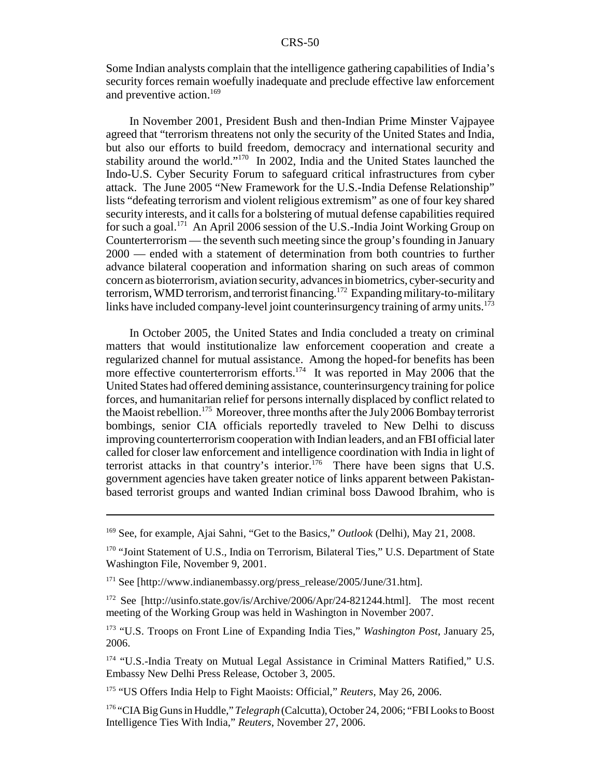Some Indian analysts complain that the intelligence gathering capabilities of India's security forces remain woefully inadequate and preclude effective law enforcement and preventive action.<sup>169</sup>

In November 2001, President Bush and then-Indian Prime Minster Vajpayee agreed that "terrorism threatens not only the security of the United States and India, but also our efforts to build freedom, democracy and international security and stability around the world."<sup>170</sup> In 2002, India and the United States launched the Indo-U.S. Cyber Security Forum to safeguard critical infrastructures from cyber attack. The June 2005 "New Framework for the U.S.-India Defense Relationship" lists "defeating terrorism and violent religious extremism" as one of four key shared security interests, and it calls for a bolstering of mutual defense capabilities required for such a goal.171 An April 2006 session of the U.S.-India Joint Working Group on Counterterrorism — the seventh such meeting since the group's founding in January 2000 — ended with a statement of determination from both countries to further advance bilateral cooperation and information sharing on such areas of common concern as bioterrorism, aviation security, advances in biometrics, cyber-security and terrorism, WMD terrorism, and terrorist financing.<sup>172</sup> Expanding military-to-military links have included company-level joint counterinsurgency training of army units.<sup>173</sup>

In October 2005, the United States and India concluded a treaty on criminal matters that would institutionalize law enforcement cooperation and create a regularized channel for mutual assistance. Among the hoped-for benefits has been more effective counterterrorism efforts.<sup>174</sup> It was reported in May 2006 that the United States had offered demining assistance, counterinsurgency training for police forces, and humanitarian relief for persons internally displaced by conflict related to the Maoist rebellion.<sup>175</sup> Moreover, three months after the July 2006 Bombay terrorist bombings, senior CIA officials reportedly traveled to New Delhi to discuss improving counterterrorism cooperation with Indian leaders, and an FBI official later called for closer law enforcement and intelligence coordination with India in light of terrorist attacks in that country's interior.<sup>176</sup> There have been signs that U.S. government agencies have taken greater notice of links apparent between Pakistanbased terrorist groups and wanted Indian criminal boss Dawood Ibrahim, who is

<sup>169</sup> See, for example, Ajai Sahni, "Get to the Basics," *Outlook* (Delhi), May 21, 2008.

<sup>&</sup>lt;sup>170</sup> "Joint Statement of U.S., India on Terrorism, Bilateral Ties," U.S. Department of State Washington File, November 9, 2001.

 $171$  See [http://www.indianembassy.org/press\_release/2005/June/31.htm].

<sup>&</sup>lt;sup>172</sup> See [http://usinfo.state.gov/is/Archive/2006/Apr/24-821244.html]. The most recent meeting of the Working Group was held in Washington in November 2007.

<sup>173 &</sup>quot;U.S. Troops on Front Line of Expanding India Ties," *Washington Post*, January 25, 2006.

<sup>174 &</sup>quot;U.S.-India Treaty on Mutual Legal Assistance in Criminal Matters Ratified," U.S. Embassy New Delhi Press Release, October 3, 2005.

<sup>175 &</sup>quot;US Offers India Help to Fight Maoists: Official," *Reuters*, May 26, 2006.

<sup>176 &</sup>quot;CIA Big Guns in Huddle," *Telegraph* (Calcutta), October 24, 2006; "FBI Looks to Boost Intelligence Ties With India," *Reuters*, November 27, 2006.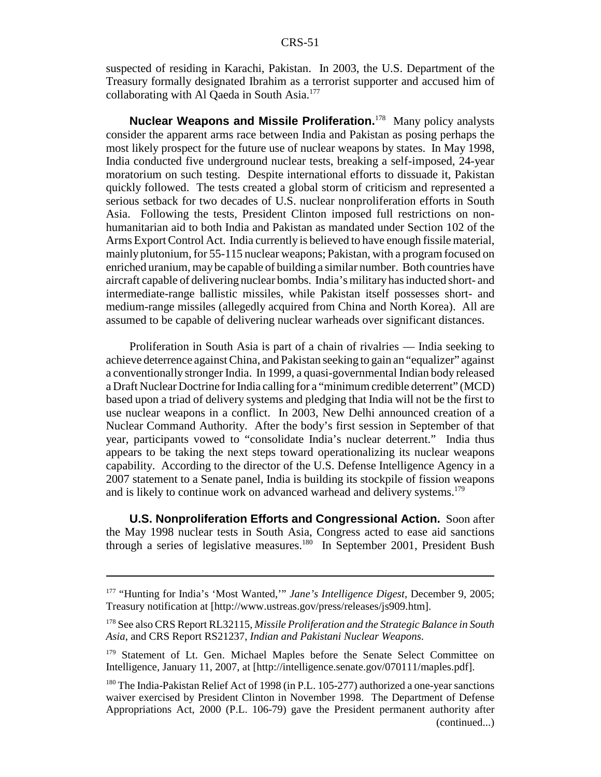suspected of residing in Karachi, Pakistan. In 2003, the U.S. Department of the Treasury formally designated Ibrahim as a terrorist supporter and accused him of collaborating with Al Qaeda in South Asia.<sup>177</sup>

**Nuclear Weapons and Missile Proliferation.**178 Many policy analysts consider the apparent arms race between India and Pakistan as posing perhaps the most likely prospect for the future use of nuclear weapons by states. In May 1998, India conducted five underground nuclear tests, breaking a self-imposed, 24-year moratorium on such testing. Despite international efforts to dissuade it, Pakistan quickly followed. The tests created a global storm of criticism and represented a serious setback for two decades of U.S. nuclear nonproliferation efforts in South Asia. Following the tests, President Clinton imposed full restrictions on nonhumanitarian aid to both India and Pakistan as mandated under Section 102 of the Arms Export Control Act. India currently is believed to have enough fissile material, mainly plutonium, for 55-115 nuclear weapons; Pakistan, with a program focused on enriched uranium, may be capable of building a similar number. Both countries have aircraft capable of delivering nuclear bombs. India's military has inducted short- and intermediate-range ballistic missiles, while Pakistan itself possesses short- and medium-range missiles (allegedly acquired from China and North Korea). All are assumed to be capable of delivering nuclear warheads over significant distances.

Proliferation in South Asia is part of a chain of rivalries — India seeking to achieve deterrence against China, and Pakistan seeking to gain an "equalizer" against a conventionally stronger India. In 1999, a quasi-governmental Indian body released a Draft Nuclear Doctrine for India calling for a "minimum credible deterrent" (MCD) based upon a triad of delivery systems and pledging that India will not be the first to use nuclear weapons in a conflict. In 2003, New Delhi announced creation of a Nuclear Command Authority. After the body's first session in September of that year, participants vowed to "consolidate India's nuclear deterrent." India thus appears to be taking the next steps toward operationalizing its nuclear weapons capability. According to the director of the U.S. Defense Intelligence Agency in a 2007 statement to a Senate panel, India is building its stockpile of fission weapons and is likely to continue work on advanced warhead and delivery systems.<sup>179</sup>

**U.S. Nonproliferation Efforts and Congressional Action.** Soon after the May 1998 nuclear tests in South Asia, Congress acted to ease aid sanctions through a series of legislative measures.<sup>180</sup> In September 2001, President Bush

<sup>177 &</sup>quot;Hunting for India's 'Most Wanted,'" *Jane's Intelligence Digest*, December 9, 2005; Treasury notification at [http://www.ustreas.gov/press/releases/js909.htm].

<sup>178</sup> See also CRS Report RL32115, *Missile Proliferation and the Strategic Balance in South Asia*, and CRS Report RS21237, *Indian and Pakistani Nuclear Weapons*.

<sup>&</sup>lt;sup>179</sup> Statement of Lt. Gen. Michael Maples before the Senate Select Committee on Intelligence, January 11, 2007, at [http://intelligence.senate.gov/070111/maples.pdf].

<sup>&</sup>lt;sup>180</sup> The India-Pakistan Relief Act of 1998 (in P.L. 105-277) authorized a one-year sanctions waiver exercised by President Clinton in November 1998. The Department of Defense Appropriations Act, 2000 (P.L. 106-79) gave the President permanent authority after (continued...)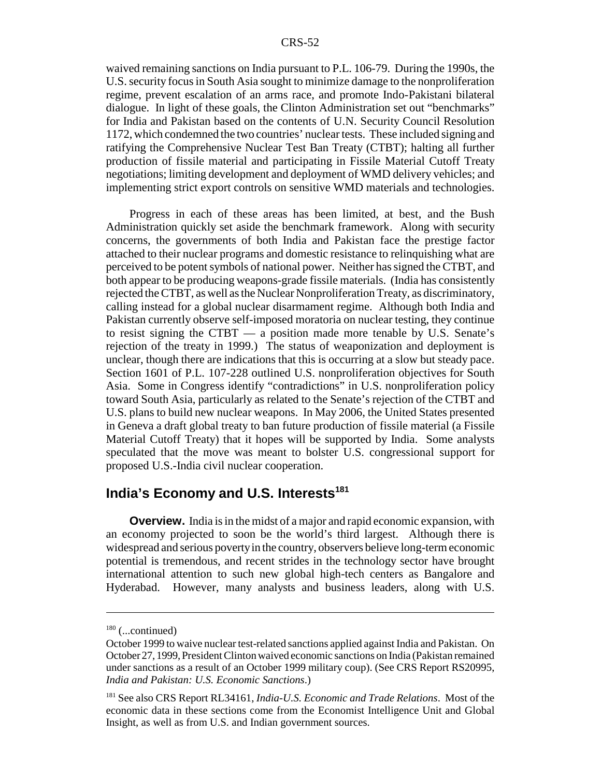waived remaining sanctions on India pursuant to P.L. 106-79. During the 1990s, the U.S. security focus in South Asia sought to minimize damage to the nonproliferation regime, prevent escalation of an arms race, and promote Indo-Pakistani bilateral dialogue. In light of these goals, the Clinton Administration set out "benchmarks" for India and Pakistan based on the contents of U.N. Security Council Resolution 1172, which condemned the two countries' nuclear tests. These included signing and ratifying the Comprehensive Nuclear Test Ban Treaty (CTBT); halting all further production of fissile material and participating in Fissile Material Cutoff Treaty negotiations; limiting development and deployment of WMD delivery vehicles; and implementing strict export controls on sensitive WMD materials and technologies.

Progress in each of these areas has been limited, at best, and the Bush Administration quickly set aside the benchmark framework. Along with security concerns, the governments of both India and Pakistan face the prestige factor attached to their nuclear programs and domestic resistance to relinquishing what are perceived to be potent symbols of national power. Neither has signed the CTBT, and both appear to be producing weapons-grade fissile materials. (India has consistently rejected the CTBT, as well as the Nuclear Nonproliferation Treaty, as discriminatory, calling instead for a global nuclear disarmament regime. Although both India and Pakistan currently observe self-imposed moratoria on nuclear testing, they continue to resist signing the CTBT — a position made more tenable by U.S. Senate's rejection of the treaty in 1999.) The status of weaponization and deployment is unclear, though there are indications that this is occurring at a slow but steady pace. Section 1601 of P.L. 107-228 outlined U.S. nonproliferation objectives for South Asia. Some in Congress identify "contradictions" in U.S. nonproliferation policy toward South Asia, particularly as related to the Senate's rejection of the CTBT and U.S. plans to build new nuclear weapons. In May 2006, the United States presented in Geneva a draft global treaty to ban future production of fissile material (a Fissile Material Cutoff Treaty) that it hopes will be supported by India. Some analysts speculated that the move was meant to bolster U.S. congressional support for proposed U.S.-India civil nuclear cooperation.

### **India's Economy and U.S. Interests<sup>181</sup>**

**Overview.** India is in the midst of a major and rapid economic expansion, with an economy projected to soon be the world's third largest. Although there is widespread and serious poverty in the country, observers believe long-term economic potential is tremendous, and recent strides in the technology sector have brought international attention to such new global high-tech centers as Bangalore and Hyderabad. However, many analysts and business leaders, along with U.S.

 $180$  (...continued)

October 1999 to waive nuclear test-related sanctions applied against India and Pakistan. On October 27, 1999, President Clinton waived economic sanctions on India (Pakistan remained under sanctions as a result of an October 1999 military coup). (See CRS Report RS20995, *India and Pakistan: U.S. Economic Sanctions*.)

<sup>181</sup> See also CRS Report RL34161, *India-U.S. Economic and Trade Relations*. Most of the economic data in these sections come from the Economist Intelligence Unit and Global Insight, as well as from U.S. and Indian government sources.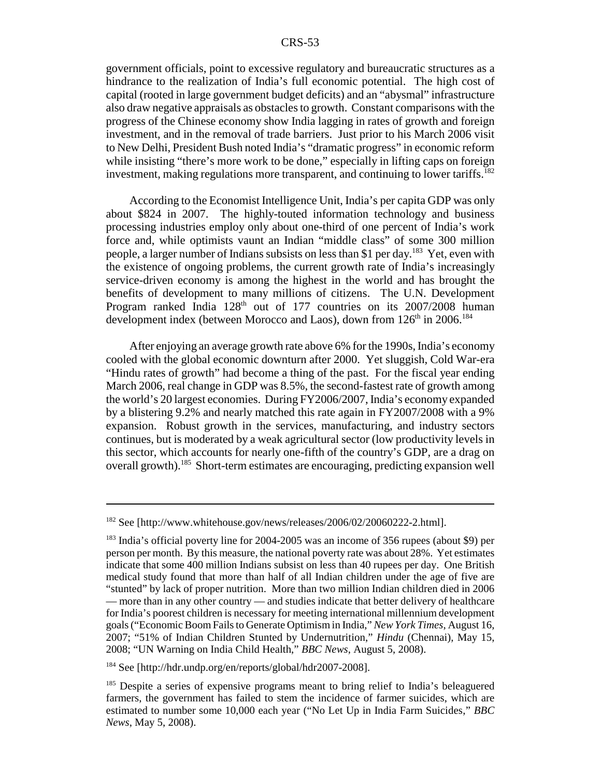government officials, point to excessive regulatory and bureaucratic structures as a hindrance to the realization of India's full economic potential. The high cost of capital (rooted in large government budget deficits) and an "abysmal" infrastructure also draw negative appraisals as obstacles to growth. Constant comparisons with the progress of the Chinese economy show India lagging in rates of growth and foreign investment, and in the removal of trade barriers. Just prior to his March 2006 visit to New Delhi, President Bush noted India's "dramatic progress" in economic reform while insisting "there's more work to be done," especially in lifting caps on foreign investment, making regulations more transparent, and continuing to lower tariffs.<sup>182</sup>

According to the Economist Intelligence Unit, India's per capita GDP was only about \$824 in 2007. The highly-touted information technology and business processing industries employ only about one-third of one percent of India's work force and, while optimists vaunt an Indian "middle class" of some 300 million people, a larger number of Indians subsists on less than \$1 per day.<sup>183</sup> Yet, even with the existence of ongoing problems, the current growth rate of India's increasingly service-driven economy is among the highest in the world and has brought the benefits of development to many millions of citizens. The U.N. Development Program ranked India 128<sup>th</sup> out of 177 countries on its 2007/2008 human development index (between Morocco and Laos), down from  $126<sup>th</sup>$  in  $2006.<sup>184</sup>$ 

After enjoying an average growth rate above 6% for the 1990s, India's economy cooled with the global economic downturn after 2000. Yet sluggish, Cold War-era "Hindu rates of growth" had become a thing of the past. For the fiscal year ending March 2006, real change in GDP was 8.5%, the second-fastest rate of growth among the world's 20 largest economies. During FY2006/2007, India's economy expanded by a blistering 9.2% and nearly matched this rate again in FY2007/2008 with a 9% expansion. Robust growth in the services, manufacturing, and industry sectors continues, but is moderated by a weak agricultural sector (low productivity levels in this sector, which accounts for nearly one-fifth of the country's GDP, are a drag on overall growth).185 Short-term estimates are encouraging, predicting expansion well

<sup>&</sup>lt;sup>182</sup> See [http://www.whitehouse.gov/news/releases/2006/02/20060222-2.html].

<sup>&</sup>lt;sup>183</sup> India's official poverty line for 2004-2005 was an income of 356 rupees (about \$9) per person per month. By this measure, the national poverty rate was about 28%. Yet estimates indicate that some 400 million Indians subsist on less than 40 rupees per day. One British medical study found that more than half of all Indian children under the age of five are "stunted" by lack of proper nutrition. More than two million Indian children died in 2006 — more than in any other country — and studies indicate that better delivery of healthcare for India's poorest children is necessary for meeting international millennium development goals ("Economic Boom Fails to Generate Optimism in India," *New York Times*, August 16, 2007; "51% of Indian Children Stunted by Undernutrition," *Hindu* (Chennai), May 15, 2008; "UN Warning on India Child Health," *BBC News*, August 5, 2008).

<sup>184</sup> See [http://hdr.undp.org/en/reports/global/hdr2007-2008].

<sup>&</sup>lt;sup>185</sup> Despite a series of expensive programs meant to bring relief to India's beleaguered farmers, the government has failed to stem the incidence of farmer suicides, which are estimated to number some 10,000 each year ("No Let Up in India Farm Suicides," *BBC News*, May 5, 2008).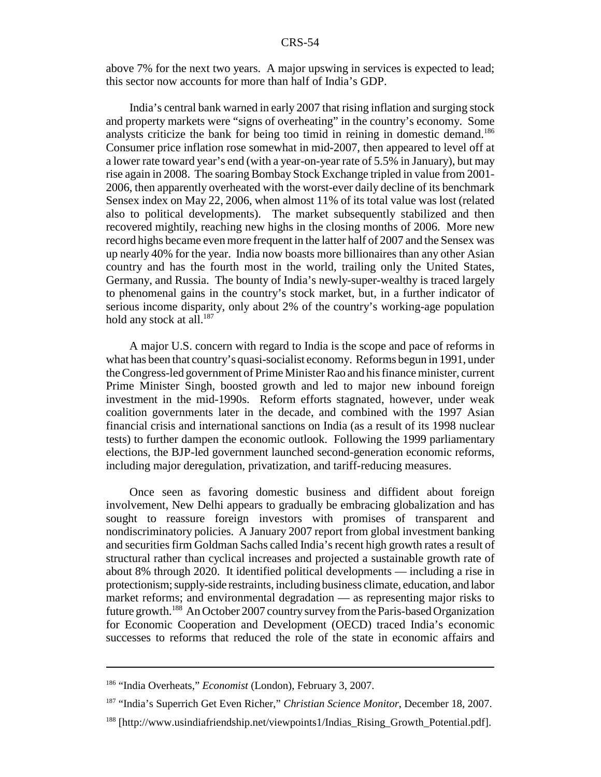above 7% for the next two years. A major upswing in services is expected to lead; this sector now accounts for more than half of India's GDP.

India's central bank warned in early 2007 that rising inflation and surging stock and property markets were "signs of overheating" in the country's economy. Some analysts criticize the bank for being too timid in reining in domestic demand.<sup>186</sup> Consumer price inflation rose somewhat in mid-2007, then appeared to level off at a lower rate toward year's end (with a year-on-year rate of 5.5% in January), but may rise again in 2008. The soaring Bombay Stock Exchange tripled in value from 2001- 2006, then apparently overheated with the worst-ever daily decline of its benchmark Sensex index on May 22, 2006, when almost 11% of its total value was lost (related also to political developments). The market subsequently stabilized and then recovered mightily, reaching new highs in the closing months of 2006. More new record highs became even more frequent in the latter half of 2007 and the Sensex was up nearly 40% for the year. India now boasts more billionaires than any other Asian country and has the fourth most in the world, trailing only the United States, Germany, and Russia. The bounty of India's newly-super-wealthy is traced largely to phenomenal gains in the country's stock market, but, in a further indicator of serious income disparity, only about 2% of the country's working-age population hold any stock at all.<sup>187</sup>

A major U.S. concern with regard to India is the scope and pace of reforms in what has been that country's quasi-socialist economy. Reforms begun in 1991, under the Congress-led government of Prime Minister Rao and his finance minister, current Prime Minister Singh, boosted growth and led to major new inbound foreign investment in the mid-1990s. Reform efforts stagnated, however, under weak coalition governments later in the decade, and combined with the 1997 Asian financial crisis and international sanctions on India (as a result of its 1998 nuclear tests) to further dampen the economic outlook. Following the 1999 parliamentary elections, the BJP-led government launched second-generation economic reforms, including major deregulation, privatization, and tariff-reducing measures.

Once seen as favoring domestic business and diffident about foreign involvement, New Delhi appears to gradually be embracing globalization and has sought to reassure foreign investors with promises of transparent and nondiscriminatory policies. A January 2007 report from global investment banking and securities firm Goldman Sachs called India's recent high growth rates a result of structural rather than cyclical increases and projected a sustainable growth rate of about 8% through 2020. It identified political developments — including a rise in protectionism; supply-side restraints, including business climate, education, and labor market reforms; and environmental degradation — as representing major risks to future growth.188 An October 2007 country survey from the Paris-based Organization for Economic Cooperation and Development (OECD) traced India's economic successes to reforms that reduced the role of the state in economic affairs and

<sup>&</sup>quot;India Overheats," *Economist* (London), February 3, 2007.

<sup>187 &</sup>quot;India's Superrich Get Even Richer," *Christian Science Monitor*, December 18, 2007.

<sup>188 [</sup>http://www.usindiafriendship.net/viewpoints1/Indias\_Rising\_Growth\_Potential.pdf].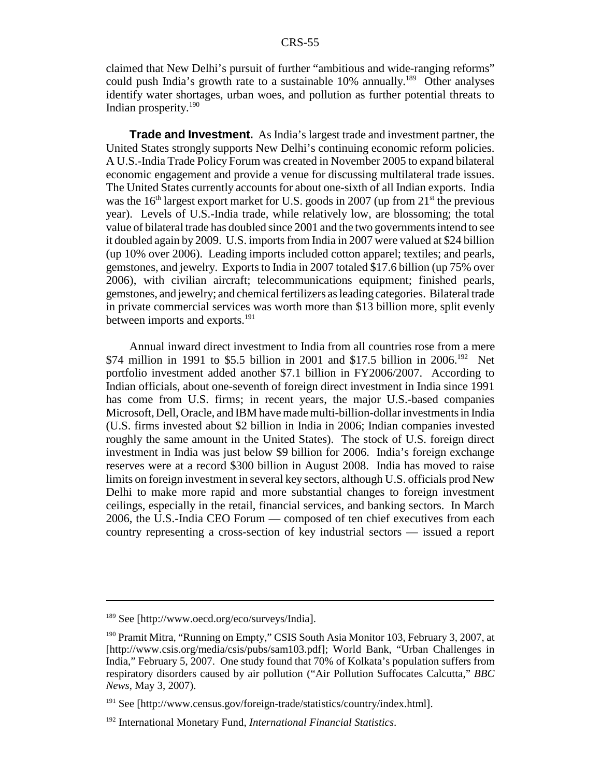claimed that New Delhi's pursuit of further "ambitious and wide-ranging reforms" could push India's growth rate to a sustainable  $10\%$  annually.<sup>189</sup> Other analyses identify water shortages, urban woes, and pollution as further potential threats to Indian prosperity.190

**Trade and Investment.** As India's largest trade and investment partner, the United States strongly supports New Delhi's continuing economic reform policies. A U.S.-India Trade Policy Forum was created in November 2005 to expand bilateral economic engagement and provide a venue for discussing multilateral trade issues. The United States currently accounts for about one-sixth of all Indian exports. India was the  $16<sup>th</sup>$  largest export market for U.S. goods in 2007 (up from  $21<sup>st</sup>$  the previous year). Levels of U.S.-India trade, while relatively low, are blossoming; the total value of bilateral trade has doubled since 2001 and the two governments intend to see it doubled again by 2009. U.S. imports from India in 2007 were valued at \$24 billion (up 10% over 2006). Leading imports included cotton apparel; textiles; and pearls, gemstones, and jewelry. Exports to India in 2007 totaled \$17.6 billion (up 75% over 2006), with civilian aircraft; telecommunications equipment; finished pearls, gemstones, and jewelry; and chemical fertilizers as leading categories. Bilateral trade in private commercial services was worth more than \$13 billion more, split evenly between imports and exports.<sup>191</sup>

Annual inward direct investment to India from all countries rose from a mere \$74 million in 1991 to \$5.5 billion in 2001 and \$17.5 billion in 2006.<sup>192</sup> Net portfolio investment added another \$7.1 billion in FY2006/2007. According to Indian officials, about one-seventh of foreign direct investment in India since 1991 has come from U.S. firms; in recent years, the major U.S.-based companies Microsoft, Dell, Oracle, and IBM have made multi-billion-dollar investments in India (U.S. firms invested about \$2 billion in India in 2006; Indian companies invested roughly the same amount in the United States). The stock of U.S. foreign direct investment in India was just below \$9 billion for 2006. India's foreign exchange reserves were at a record \$300 billion in August 2008. India has moved to raise limits on foreign investment in several key sectors, although U.S. officials prod New Delhi to make more rapid and more substantial changes to foreign investment ceilings, especially in the retail, financial services, and banking sectors. In March 2006, the U.S.-India CEO Forum — composed of ten chief executives from each country representing a cross-section of key industrial sectors — issued a report

<sup>189</sup> See [http://www.oecd.org/eco/surveys/India].

<sup>&</sup>lt;sup>190</sup> Pramit Mitra, "Running on Empty," CSIS South Asia Monitor 103, February 3, 2007, at [http://www.csis.org/media/csis/pubs/sam103.pdf]; World Bank, "Urban Challenges in India," February 5, 2007. One study found that 70% of Kolkata's population suffers from respiratory disorders caused by air pollution ("Air Pollution Suffocates Calcutta," *BBC News*, May 3, 2007).

 $191$  See [http://www.census.gov/foreign-trade/statistics/country/index.html].

<sup>192</sup> International Monetary Fund, *International Financial Statistics*.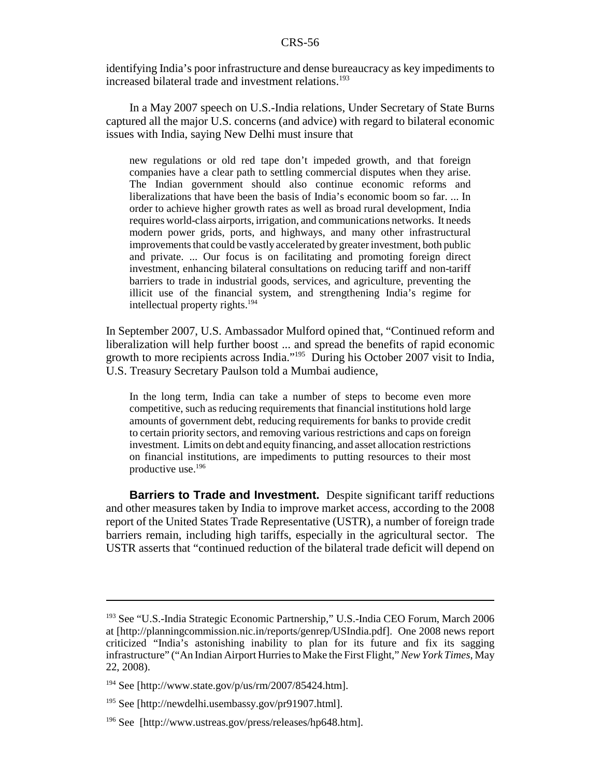identifying India's poor infrastructure and dense bureaucracy as key impediments to increased bilateral trade and investment relations.<sup>193</sup>

In a May 2007 speech on U.S.-India relations, Under Secretary of State Burns captured all the major U.S. concerns (and advice) with regard to bilateral economic issues with India, saying New Delhi must insure that

new regulations or old red tape don't impeded growth, and that foreign companies have a clear path to settling commercial disputes when they arise. The Indian government should also continue economic reforms and liberalizations that have been the basis of India's economic boom so far. ... In order to achieve higher growth rates as well as broad rural development, India requires world-class airports, irrigation, and communications networks. It needs modern power grids, ports, and highways, and many other infrastructural improvements that could be vastly accelerated by greater investment, both public and private. ... Our focus is on facilitating and promoting foreign direct investment, enhancing bilateral consultations on reducing tariff and non-tariff barriers to trade in industrial goods, services, and agriculture, preventing the illicit use of the financial system, and strengthening India's regime for intellectual property rights.194

In September 2007, U.S. Ambassador Mulford opined that, "Continued reform and liberalization will help further boost ... and spread the benefits of rapid economic growth to more recipients across India."195 During his October 2007 visit to India, U.S. Treasury Secretary Paulson told a Mumbai audience,

In the long term, India can take a number of steps to become even more competitive, such as reducing requirements that financial institutions hold large amounts of government debt, reducing requirements for banks to provide credit to certain priority sectors, and removing various restrictions and caps on foreign investment. Limits on debt and equity financing, and asset allocation restrictions on financial institutions, are impediments to putting resources to their most productive use.196

**Barriers to Trade and Investment.** Despite significant tariff reductions and other measures taken by India to improve market access, according to the 2008 report of the United States Trade Representative (USTR), a number of foreign trade barriers remain, including high tariffs, especially in the agricultural sector. The USTR asserts that "continued reduction of the bilateral trade deficit will depend on

<sup>193</sup> See "U.S.-India Strategic Economic Partnership," U.S.-India CEO Forum, March 2006 at [http://planningcommission.nic.in/reports/genrep/USIndia.pdf]. One 2008 news report criticized "India's astonishing inability to plan for its future and fix its sagging infrastructure" ("An Indian Airport Hurries to Make the First Flight," *New York Times*, May 22, 2008).

<sup>194</sup> See [http://www.state.gov/p/us/rm/2007/85424.htm].

<sup>&</sup>lt;sup>195</sup> See [http://newdelhi.usembassy.gov/pr91907.html].

 $196$  See [http://www.ustreas.gov/press/releases/hp648.htm].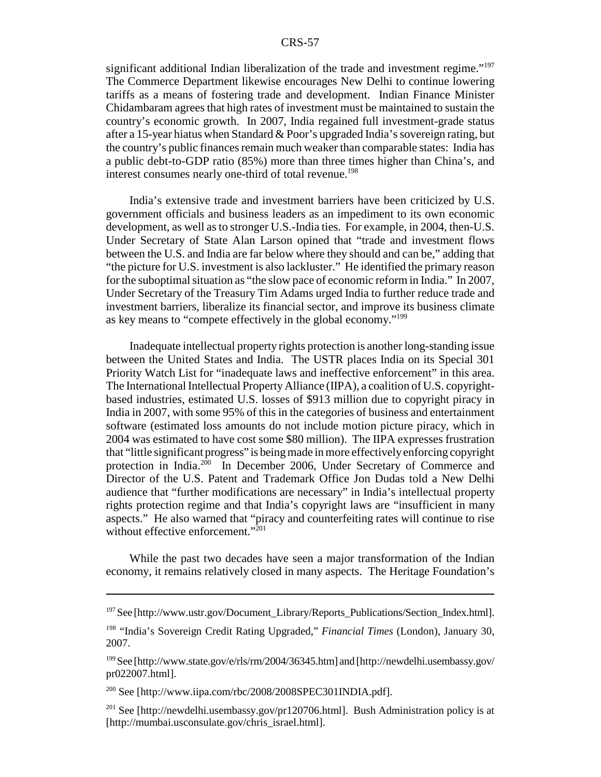significant additional Indian liberalization of the trade and investment regime."197 The Commerce Department likewise encourages New Delhi to continue lowering tariffs as a means of fostering trade and development. Indian Finance Minister Chidambaram agrees that high rates of investment must be maintained to sustain the country's economic growth. In 2007, India regained full investment-grade status after a 15-year hiatus when Standard & Poor's upgraded India's sovereign rating, but the country's public finances remain much weaker than comparable states: India has a public debt-to-GDP ratio (85%) more than three times higher than China's, and interest consumes nearly one-third of total revenue.<sup>198</sup>

India's extensive trade and investment barriers have been criticized by U.S. government officials and business leaders as an impediment to its own economic development, as well as to stronger U.S.-India ties. For example, in 2004, then-U.S. Under Secretary of State Alan Larson opined that "trade and investment flows between the U.S. and India are far below where they should and can be," adding that "the picture for U.S. investment is also lackluster." He identified the primary reason for the suboptimal situation as "the slow pace of economic reform in India." In 2007, Under Secretary of the Treasury Tim Adams urged India to further reduce trade and investment barriers, liberalize its financial sector, and improve its business climate as key means to "compete effectively in the global economy."199

Inadequate intellectual property rights protection is another long-standing issue between the United States and India. The USTR places India on its Special 301 Priority Watch List for "inadequate laws and ineffective enforcement" in this area. The International Intellectual Property Alliance (IIPA), a coalition of U.S. copyrightbased industries, estimated U.S. losses of \$913 million due to copyright piracy in India in 2007, with some 95% of this in the categories of business and entertainment software (estimated loss amounts do not include motion picture piracy, which in 2004 was estimated to have cost some \$80 million). The IIPA expresses frustration that "little significant progress" is being made in more effectively enforcing copyright protection in India.<sup>200</sup> In December 2006, Under Secretary of Commerce and Director of the U.S. Patent and Trademark Office Jon Dudas told a New Delhi audience that "further modifications are necessary" in India's intellectual property rights protection regime and that India's copyright laws are "insufficient in many aspects." He also warned that "piracy and counterfeiting rates will continue to rise without effective enforcement."<sup>201</sup>

While the past two decades have seen a major transformation of the Indian economy, it remains relatively closed in many aspects. The Heritage Foundation's

 $197$  See [http://www.ustr.gov/Document\_Library/Reports\_Publications/Section\_Index.html].

<sup>198 &</sup>quot;India's Sovereign Credit Rating Upgraded," *Financial Times* (London), January 30, 2007.

<sup>199</sup> See [http://www.state.gov/e/rls/rm/2004/36345.htm] and [http://newdelhi.usembassy.gov/ pr022007.html].

 $^{200}$  See [http://www.iipa.com/rbc/2008/2008SPEC301INDIA.pdf].

<sup>&</sup>lt;sup>201</sup> See [http://newdelhi.usembassy.gov/pr120706.html]. Bush Administration policy is at [http://mumbai.usconsulate.gov/chris\_israel.html].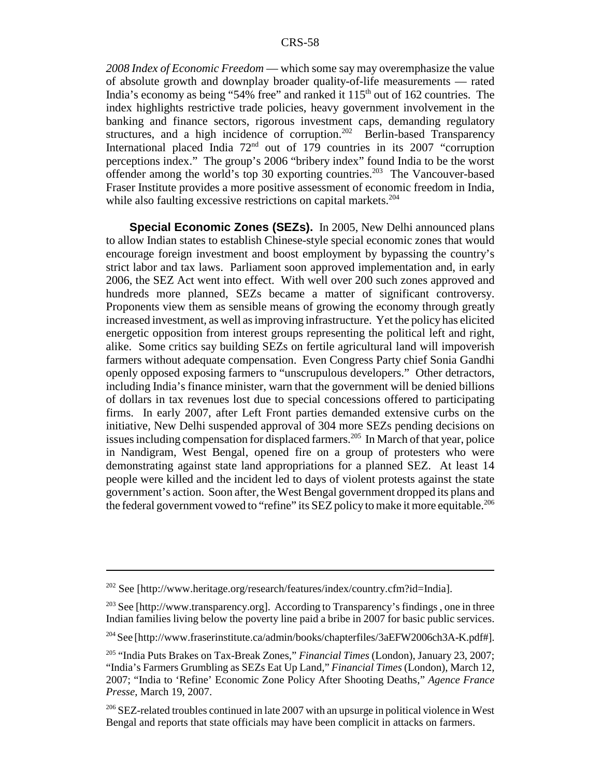*2008 Index of Economic Freedom* — which some say may overemphasize the value of absolute growth and downplay broader quality-of-life measurements — rated India's economy as being "54% free" and ranked it  $115<sup>th</sup>$  out of 162 countries. The index highlights restrictive trade policies, heavy government involvement in the banking and finance sectors, rigorous investment caps, demanding regulatory structures, and a high incidence of corruption.<sup>202</sup> Berlin-based Transparency International placed India  $72<sup>nd</sup>$  out of 179 countries in its 2007 "corruption perceptions index." The group's 2006 "bribery index" found India to be the worst offender among the world's top 30 exporting countries.<sup>203</sup> The Vancouver-based Fraser Institute provides a more positive assessment of economic freedom in India, while also faulting excessive restrictions on capital markets.<sup>204</sup>

**Special Economic Zones (SEZs).** In 2005, New Delhi announced plans to allow Indian states to establish Chinese-style special economic zones that would encourage foreign investment and boost employment by bypassing the country's strict labor and tax laws. Parliament soon approved implementation and, in early 2006, the SEZ Act went into effect. With well over 200 such zones approved and hundreds more planned, SEZs became a matter of significant controversy. Proponents view them as sensible means of growing the economy through greatly increased investment, as well as improving infrastructure. Yet the policy has elicited energetic opposition from interest groups representing the political left and right, alike. Some critics say building SEZs on fertile agricultural land will impoverish farmers without adequate compensation. Even Congress Party chief Sonia Gandhi openly opposed exposing farmers to "unscrupulous developers." Other detractors, including India's finance minister, warn that the government will be denied billions of dollars in tax revenues lost due to special concessions offered to participating firms. In early 2007, after Left Front parties demanded extensive curbs on the initiative, New Delhi suspended approval of 304 more SEZs pending decisions on issues including compensation for displaced farmers.<sup>205</sup> In March of that year, police in Nandigram, West Bengal, opened fire on a group of protesters who were demonstrating against state land appropriations for a planned SEZ. At least 14 people were killed and the incident led to days of violent protests against the state government's action. Soon after, the West Bengal government dropped its plans and the federal government vowed to "refine" its SEZ policy to make it more equitable.<sup>206</sup>

<sup>202</sup> See [http://www.heritage.org/research/features/index/country.cfm?id=India].

<sup>&</sup>lt;sup>203</sup> See [http://www.transparency.org]. According to Transparency's findings, one in three Indian families living below the poverty line paid a bribe in 2007 for basic public services.

<sup>&</sup>lt;sup>204</sup> See [http://www.fraserinstitute.ca/admin/books/chapterfiles/3aEFW2006ch3A-K.pdf#].

<sup>205 &</sup>quot;India Puts Brakes on Tax-Break Zones," *Financial Times* (London), January 23, 2007; "India's Farmers Grumbling as SEZs Eat Up Land," *Financial Times* (London), March 12, 2007; "India to 'Refine' Economic Zone Policy After Shooting Deaths," *Agence France Presse*, March 19, 2007.

 $206$  SEZ-related troubles continued in late 2007 with an upsurge in political violence in West Bengal and reports that state officials may have been complicit in attacks on farmers.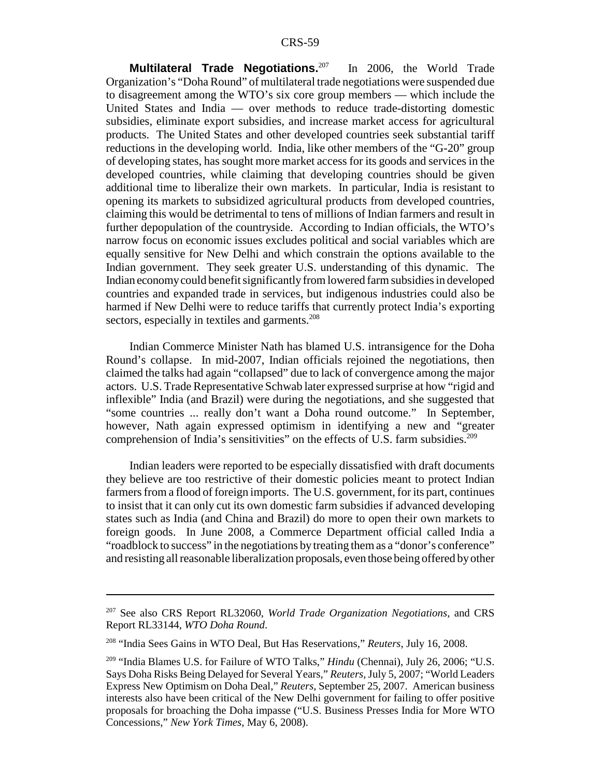**Multilateral Trade Negotiations.**<sup>207</sup> In 2006, the World Trade Organization's "Doha Round" of multilateral trade negotiations were suspended due to disagreement among the WTO's six core group members — which include the United States and India — over methods to reduce trade-distorting domestic subsidies, eliminate export subsidies, and increase market access for agricultural products. The United States and other developed countries seek substantial tariff reductions in the developing world. India, like other members of the "G-20" group of developing states, has sought more market access for its goods and services in the developed countries, while claiming that developing countries should be given additional time to liberalize their own markets. In particular, India is resistant to opening its markets to subsidized agricultural products from developed countries, claiming this would be detrimental to tens of millions of Indian farmers and result in further depopulation of the countryside. According to Indian officials, the WTO's narrow focus on economic issues excludes political and social variables which are equally sensitive for New Delhi and which constrain the options available to the Indian government. They seek greater U.S. understanding of this dynamic. The Indian economy could benefit significantly from lowered farm subsidies in developed countries and expanded trade in services, but indigenous industries could also be harmed if New Delhi were to reduce tariffs that currently protect India's exporting sectors, especially in textiles and garments.<sup>208</sup>

Indian Commerce Minister Nath has blamed U.S. intransigence for the Doha Round's collapse. In mid-2007, Indian officials rejoined the negotiations, then claimed the talks had again "collapsed" due to lack of convergence among the major actors. U.S. Trade Representative Schwab later expressed surprise at how "rigid and inflexible" India (and Brazil) were during the negotiations, and she suggested that "some countries ... really don't want a Doha round outcome." In September, however, Nath again expressed optimism in identifying a new and "greater comprehension of India's sensitivities" on the effects of U.S. farm subsidies.<sup>209</sup>

Indian leaders were reported to be especially dissatisfied with draft documents they believe are too restrictive of their domestic policies meant to protect Indian farmers from a flood of foreign imports. The U.S. government, for its part, continues to insist that it can only cut its own domestic farm subsidies if advanced developing states such as India (and China and Brazil) do more to open their own markets to foreign goods. In June 2008, a Commerce Department official called India a "roadblock to success" in the negotiations by treating them as a "donor's conference" and resisting all reasonable liberalization proposals, even those being offered by other

<sup>207</sup> See also CRS Report RL32060, *World Trade Organization Negotiations*, and CRS Report RL33144, *WTO Doha Round*.

<sup>208 &</sup>quot;India Sees Gains in WTO Deal, But Has Reservations," *Reuters*, July 16, 2008.

<sup>&</sup>lt;sup>209</sup> "India Blames U.S. for Failure of WTO Talks," *Hindu* (Chennai), July 26, 2006; "U.S. Says Doha Risks Being Delayed for Several Years," *Reuters*, July 5, 2007; "World Leaders Express New Optimism on Doha Deal," *Reuters*, September 25, 2007. American business interests also have been critical of the New Delhi government for failing to offer positive proposals for broaching the Doha impasse ("U.S. Business Presses India for More WTO Concessions," *New York Times*, May 6, 2008).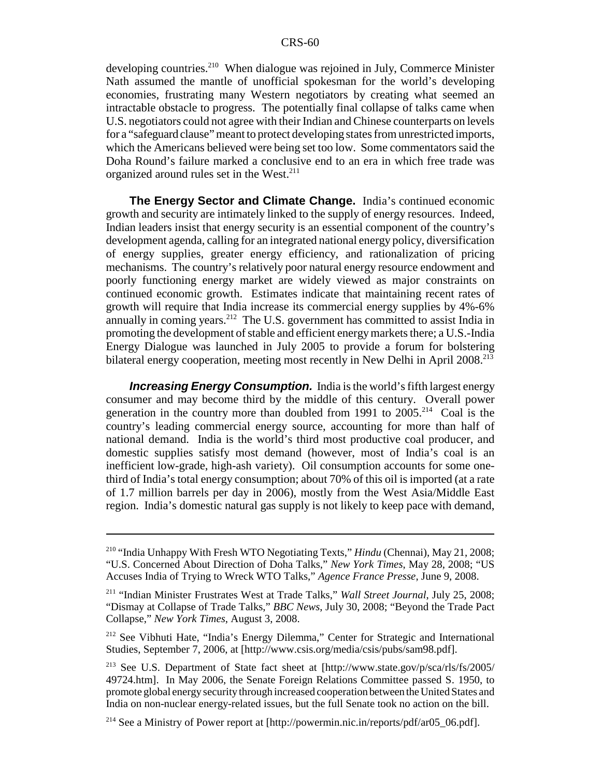developing countries.<sup>210</sup> When dialogue was rejoined in July, Commerce Minister Nath assumed the mantle of unofficial spokesman for the world's developing economies, frustrating many Western negotiators by creating what seemed an intractable obstacle to progress. The potentially final collapse of talks came when U.S. negotiators could not agree with their Indian and Chinese counterparts on levels for a "safeguard clause" meant to protect developing states from unrestricted imports, which the Americans believed were being set too low. Some commentators said the Doha Round's failure marked a conclusive end to an era in which free trade was organized around rules set in the West.<sup>211</sup>

**The Energy Sector and Climate Change.** India's continued economic growth and security are intimately linked to the supply of energy resources. Indeed, Indian leaders insist that energy security is an essential component of the country's development agenda, calling for an integrated national energy policy, diversification of energy supplies, greater energy efficiency, and rationalization of pricing mechanisms. The country's relatively poor natural energy resource endowment and poorly functioning energy market are widely viewed as major constraints on continued economic growth. Estimates indicate that maintaining recent rates of growth will require that India increase its commercial energy supplies by 4%-6% annually in coming years. $^{212}$  The U.S. government has committed to assist India in promoting the development of stable and efficient energy markets there; a U.S.-India Energy Dialogue was launched in July 2005 to provide a forum for bolstering bilateral energy cooperation, meeting most recently in New Delhi in April 2008.<sup>213</sup>

*Increasing Energy Consumption.* India is the world's fifth largest energy consumer and may become third by the middle of this century. Overall power generation in the country more than doubled from 1991 to  $2005.<sup>214</sup>$  Coal is the country's leading commercial energy source, accounting for more than half of national demand. India is the world's third most productive coal producer, and domestic supplies satisfy most demand (however, most of India's coal is an inefficient low-grade, high-ash variety). Oil consumption accounts for some onethird of India's total energy consumption; about 70% of this oil is imported (at a rate of 1.7 million barrels per day in 2006), mostly from the West Asia/Middle East region. India's domestic natural gas supply is not likely to keep pace with demand,

<sup>210 &</sup>quot;India Unhappy With Fresh WTO Negotiating Texts," *Hindu* (Chennai), May 21, 2008; "U.S. Concerned About Direction of Doha Talks," *New York Times*, May 28, 2008; "US Accuses India of Trying to Wreck WTO Talks," *Agence France Presse*, June 9, 2008.

<sup>211 &</sup>quot;Indian Minister Frustrates West at Trade Talks," *Wall Street Journal*, July 25, 2008; "Dismay at Collapse of Trade Talks," *BBC News*, July 30, 2008; "Beyond the Trade Pact Collapse," *New York Times*, August 3, 2008.

<sup>212</sup> See Vibhuti Hate, "India's Energy Dilemma," Center for Strategic and International Studies, September 7, 2006, at [http://www.csis.org/media/csis/pubs/sam98.pdf].

<sup>&</sup>lt;sup>213</sup> See U.S. Department of State fact sheet at  $\frac{[http://www.state.gov/p/seca/rls/fs/2005/]}{[http://www.state.gov/p/seca/rls/fs/2005/]}$ 49724.htm]. In May 2006, the Senate Foreign Relations Committee passed S. 1950, to promote global energy security through increased cooperation between the United States and India on non-nuclear energy-related issues, but the full Senate took no action on the bill.

<sup>&</sup>lt;sup>214</sup> See a Ministry of Power report at [http://powermin.nic.in/reports/pdf/ar05\_06.pdf].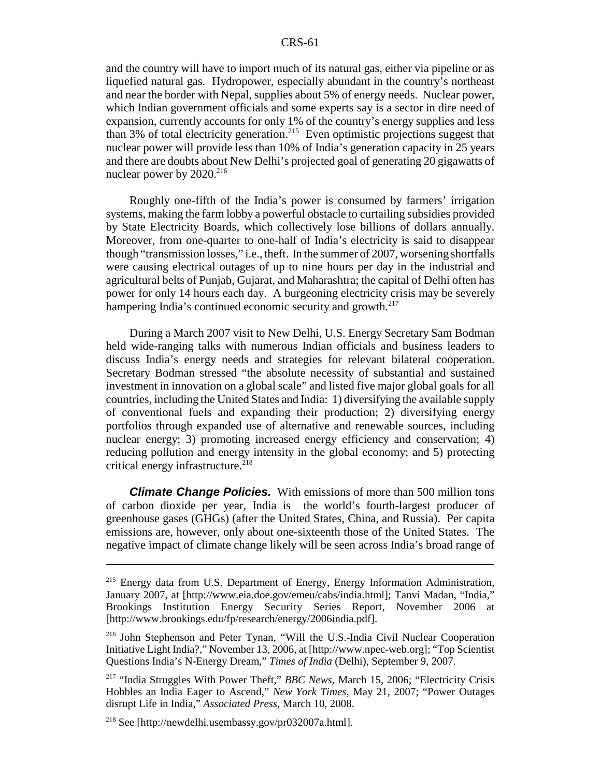and the country will have to import much of its natural gas, either via pipeline or as liquefied natural gas. Hydropower, especially abundant in the country's northeast and near the border with Nepal, supplies about 5% of energy needs. Nuclear power, which Indian government officials and some experts say is a sector in dire need of expansion, currently accounts for only 1% of the country's energy supplies and less than 3% of total electricity generation.<sup>215</sup> Even optimistic projections suggest that nuclear power will provide less than 10% of India's generation capacity in 25 years and there are doubts about New Delhi's projected goal of generating 20 gigawatts of nuclear power by  $2020.^{216}$ 

Roughly one-fifth of the India's power is consumed by farmers' irrigation systems, making the farm lobby a powerful obstacle to curtailing subsidies provided by State Electricity Boards, which collectively lose billions of dollars annually. Moreover, from one-quarter to one-half of India's electricity is said to disappear though "transmission losses," i.e., theft. In the summer of 2007, worsening shortfalls were causing electrical outages of up to nine hours per day in the industrial and agricultural belts of Punjab, Gujarat, and Maharashtra; the capital of Delhi often has power for only 14 hours each day. A burgeoning electricity crisis may be severely hampering India's continued economic security and growth.<sup>217</sup>

During a March 2007 visit to New Delhi, U.S. Energy Secretary Sam Bodman held wide-ranging talks with numerous Indian officials and business leaders to discuss India's energy needs and strategies for relevant bilateral cooperation. Secretary Bodman stressed "the absolute necessity of substantial and sustained investment in innovation on a global scale" and listed five major global goals for all countries, including the United States and India: 1) diversifying the available supply of conventional fuels and expanding their production; 2) diversifying energy portfolios through expanded use of alternative and renewable sources, including nuclear energy; 3) promoting increased energy efficiency and conservation; 4) reducing pollution and energy intensity in the global economy; and 5) protecting critical energy infrastructure.<sup>218</sup>

*Climate Change Policies.* With emissions of more than 500 million tons of carbon dioxide per year, India is the world's fourth-largest producer of greenhouse gases (GHGs) (after the United States, China, and Russia). Per capita emissions are, however, only about one-sixteenth those of the United States. The negative impact of climate change likely will be seen across India's broad range of

<sup>&</sup>lt;sup>215</sup> Energy data from U.S. Department of Energy, Energy Information Administration, January 2007, at [http://www.eia.doe.gov/emeu/cabs/india.html]; Tanvi Madan, "India," Brookings Institution Energy Security Series Report, November 2006 at [http://www.brookings.edu/fp/research/energy/2006india.pdf].

<sup>216</sup> John Stephenson and Peter Tynan, "Will the U.S.-India Civil Nuclear Cooperation Initiative Light India?," November 13, 2006, at [http://www.npec-web.org]; "Top Scientist Questions India's N-Energy Dream," *Times of India* (Delhi), September 9, 2007.

<sup>217 &</sup>quot;India Struggles With Power Theft," *BBC News*, March 15, 2006; "Electricity Crisis Hobbles an India Eager to Ascend," *New York Times*, May 21, 2007; "Power Outages disrupt Life in India," *Associated Press*, March 10, 2008.

<sup>218</sup> See [http://newdelhi.usembassy.gov/pr032007a.html].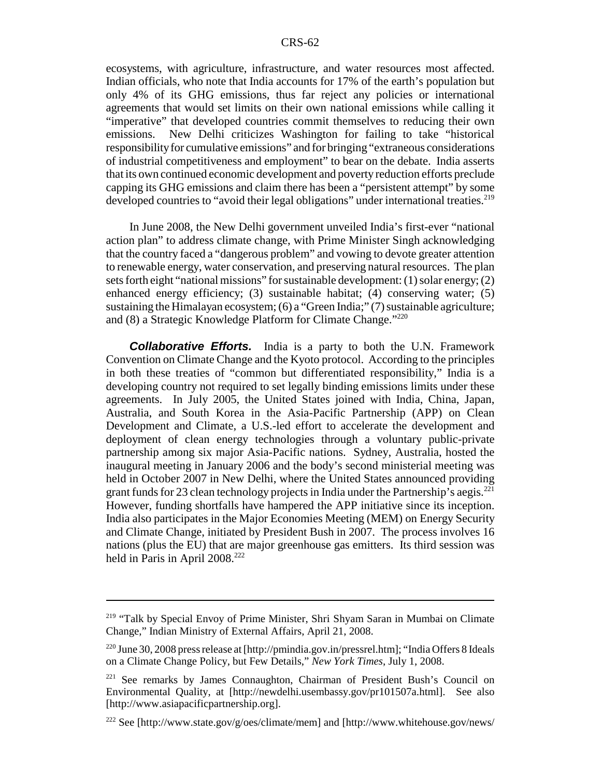ecosystems, with agriculture, infrastructure, and water resources most affected. Indian officials, who note that India accounts for 17% of the earth's population but only 4% of its GHG emissions, thus far reject any policies or international agreements that would set limits on their own national emissions while calling it "imperative" that developed countries commit themselves to reducing their own emissions. New Delhi criticizes Washington for failing to take "historical responsibility for cumulative emissions" and for bringing "extraneous considerations of industrial competitiveness and employment" to bear on the debate. India asserts that its own continued economic development and poverty reduction efforts preclude capping its GHG emissions and claim there has been a "persistent attempt" by some developed countries to "avoid their legal obligations" under international treaties.<sup>219</sup>

In June 2008, the New Delhi government unveiled India's first-ever "national action plan" to address climate change, with Prime Minister Singh acknowledging that the country faced a "dangerous problem" and vowing to devote greater attention to renewable energy, water conservation, and preserving natural resources. The plan sets forth eight "national missions" for sustainable development: (1) solar energy; (2) enhanced energy efficiency; (3) sustainable habitat; (4) conserving water; (5) sustaining the Himalayan ecosystem; (6) a "Green India;" (7) sustainable agriculture; and (8) a Strategic Knowledge Platform for Climate Change."220

**Collaborative Efforts.** India is a party to both the U.N. Framework Convention on Climate Change and the Kyoto protocol. According to the principles in both these treaties of "common but differentiated responsibility," India is a developing country not required to set legally binding emissions limits under these agreements. In July 2005, the United States joined with India, China, Japan, Australia, and South Korea in the Asia-Pacific Partnership (APP) on Clean Development and Climate, a U.S.-led effort to accelerate the development and deployment of clean energy technologies through a voluntary public-private partnership among six major Asia-Pacific nations. Sydney, Australia, hosted the inaugural meeting in January 2006 and the body's second ministerial meeting was held in October 2007 in New Delhi, where the United States announced providing grant funds for 23 clean technology projects in India under the Partnership's aegis.<sup>221</sup> However, funding shortfalls have hampered the APP initiative since its inception. India also participates in the Major Economies Meeting (MEM) on Energy Security and Climate Change, initiated by President Bush in 2007. The process involves 16 nations (plus the EU) that are major greenhouse gas emitters. Its third session was held in Paris in April 2008.<sup>222</sup>

<sup>&</sup>lt;sup>219</sup> "Talk by Special Envoy of Prime Minister, Shri Shyam Saran in Mumbai on Climate Change," Indian Ministry of External Affairs, April 21, 2008.

<sup>220</sup> June 30, 2008 press release at [http://pmindia.gov.in/pressrel.htm]; "India Offers 8 Ideals on a Climate Change Policy, but Few Details," *New York Times*, July 1, 2008.

<sup>221</sup> See remarks by James Connaughton, Chairman of President Bush's Council on Environmental Quality, at [http://newdelhi.usembassy.gov/pr101507a.html]. See also [http://www.asiapacificpartnership.org].

<sup>&</sup>lt;sup>222</sup> See [http://www.state.gov/g/oes/climate/mem] and [http://www.whitehouse.gov/news/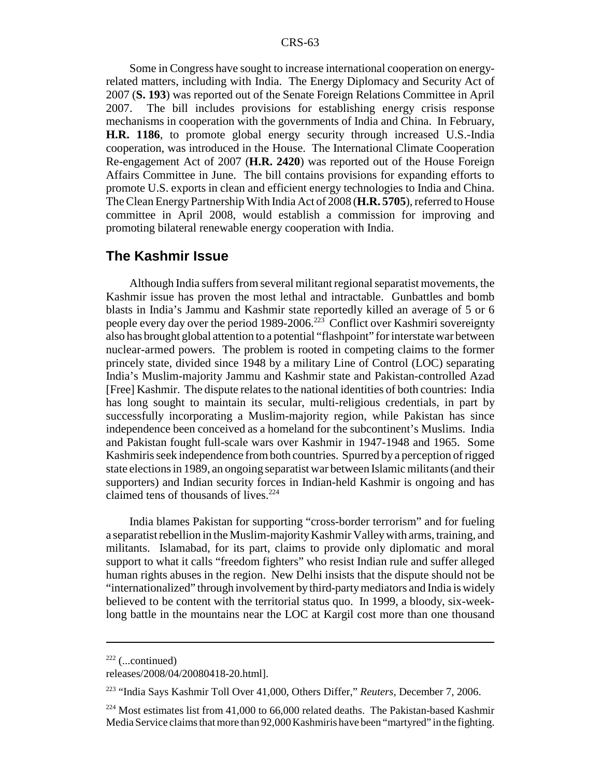Some in Congress have sought to increase international cooperation on energyrelated matters, including with India. The Energy Diplomacy and Security Act of 2007 (**S. 193**) was reported out of the Senate Foreign Relations Committee in April 2007. The bill includes provisions for establishing energy crisis response mechanisms in cooperation with the governments of India and China. In February, **H.R. 1186**, to promote global energy security through increased U.S.-India cooperation, was introduced in the House. The International Climate Cooperation Re-engagement Act of 2007 (**H.R. 2420**) was reported out of the House Foreign Affairs Committee in June. The bill contains provisions for expanding efforts to promote U.S. exports in clean and efficient energy technologies to India and China. The Clean Energy Partnership With India Act of 2008 (**H.R. 5705**), referred to House committee in April 2008, would establish a commission for improving and promoting bilateral renewable energy cooperation with India.

### **The Kashmir Issue**

Although India suffers from several militant regional separatist movements, the Kashmir issue has proven the most lethal and intractable. Gunbattles and bomb blasts in India's Jammu and Kashmir state reportedly killed an average of 5 or 6 people every day over the period 1989-2006.223 Conflict over Kashmiri sovereignty also has brought global attention to a potential "flashpoint" for interstate war between nuclear-armed powers. The problem is rooted in competing claims to the former princely state, divided since 1948 by a military Line of Control (LOC) separating India's Muslim-majority Jammu and Kashmir state and Pakistan-controlled Azad [Free] Kashmir. The dispute relates to the national identities of both countries: India has long sought to maintain its secular, multi-religious credentials, in part by successfully incorporating a Muslim-majority region, while Pakistan has since independence been conceived as a homeland for the subcontinent's Muslims. India and Pakistan fought full-scale wars over Kashmir in 1947-1948 and 1965. Some Kashmiris seek independence from both countries. Spurred by a perception of rigged state elections in 1989, an ongoing separatist war between Islamic militants (and their supporters) and Indian security forces in Indian-held Kashmir is ongoing and has claimed tens of thousands of lives. $224$ 

India blames Pakistan for supporting "cross-border terrorism" and for fueling a separatist rebellion in the Muslim-majority Kashmir Valley with arms, training, and militants. Islamabad, for its part, claims to provide only diplomatic and moral support to what it calls "freedom fighters" who resist Indian rule and suffer alleged human rights abuses in the region. New Delhi insists that the dispute should not be "internationalized" through involvement by third-party mediators and India is widely believed to be content with the territorial status quo. In 1999, a bloody, six-weeklong battle in the mountains near the LOC at Kargil cost more than one thousand

 $222$  (...continued)

releases/2008/04/20080418-20.html].

<sup>223 &</sup>quot;India Says Kashmir Toll Over 41,000, Others Differ," *Reuters*, December 7, 2006.

 $224$  Most estimates list from 41,000 to 66,000 related deaths. The Pakistan-based Kashmir Media Service claims that more than 92,000 Kashmiris have been "martyred" in the fighting.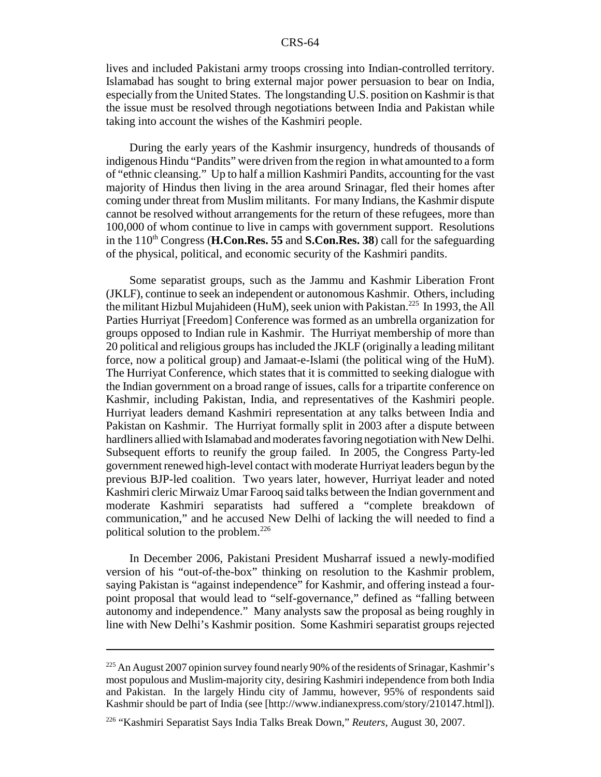lives and included Pakistani army troops crossing into Indian-controlled territory. Islamabad has sought to bring external major power persuasion to bear on India, especially from the United States. The longstanding U.S. position on Kashmir is that the issue must be resolved through negotiations between India and Pakistan while taking into account the wishes of the Kashmiri people.

During the early years of the Kashmir insurgency, hundreds of thousands of indigenous Hindu "Pandits" were driven from the region in what amounted to a form of "ethnic cleansing." Up to half a million Kashmiri Pandits, accounting for the vast majority of Hindus then living in the area around Srinagar, fled their homes after coming under threat from Muslim militants. For many Indians, the Kashmir dispute cannot be resolved without arrangements for the return of these refugees, more than 100,000 of whom continue to live in camps with government support. Resolutions in the  $110<sup>th</sup>$  Congress (**H.Con.Res. 55** and **S.Con.Res. 38**) call for the safeguarding of the physical, political, and economic security of the Kashmiri pandits.

Some separatist groups, such as the Jammu and Kashmir Liberation Front (JKLF), continue to seek an independent or autonomous Kashmir. Others, including the militant Hizbul Mujahideen (HuM), seek union with Pakistan.<sup>225</sup> In 1993, the All Parties Hurriyat [Freedom] Conference was formed as an umbrella organization for groups opposed to Indian rule in Kashmir. The Hurriyat membership of more than 20 political and religious groups has included the JKLF (originally a leading militant force, now a political group) and Jamaat-e-Islami (the political wing of the HuM). The Hurriyat Conference, which states that it is committed to seeking dialogue with the Indian government on a broad range of issues, calls for a tripartite conference on Kashmir, including Pakistan, India, and representatives of the Kashmiri people. Hurriyat leaders demand Kashmiri representation at any talks between India and Pakistan on Kashmir. The Hurriyat formally split in 2003 after a dispute between hardliners allied with Islamabad and moderates favoring negotiation with New Delhi. Subsequent efforts to reunify the group failed. In 2005, the Congress Party-led government renewed high-level contact with moderate Hurriyat leaders begun by the previous BJP-led coalition. Two years later, however, Hurriyat leader and noted Kashmiri cleric Mirwaiz Umar Farooq said talks between the Indian government and moderate Kashmiri separatists had suffered a "complete breakdown of communication," and he accused New Delhi of lacking the will needed to find a political solution to the problem.226

In December 2006, Pakistani President Musharraf issued a newly-modified version of his "out-of-the-box" thinking on resolution to the Kashmir problem, saying Pakistan is "against independence" for Kashmir, and offering instead a fourpoint proposal that would lead to "self-governance," defined as "falling between autonomy and independence." Many analysts saw the proposal as being roughly in line with New Delhi's Kashmir position. Some Kashmiri separatist groups rejected

<sup>&</sup>lt;sup>225</sup> An August 2007 opinion survey found nearly 90% of the residents of Srinagar, Kashmir's most populous and Muslim-majority city, desiring Kashmiri independence from both India and Pakistan. In the largely Hindu city of Jammu, however, 95% of respondents said Kashmir should be part of India (see [http://www.indianexpress.com/story/210147.html]).

<sup>226 &</sup>quot;Kashmiri Separatist Says India Talks Break Down," *Reuters*, August 30, 2007.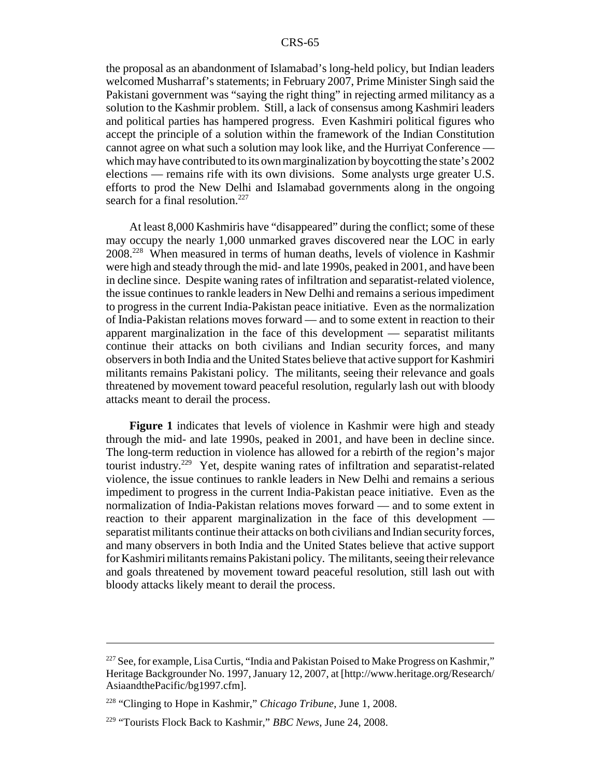the proposal as an abandonment of Islamabad's long-held policy, but Indian leaders welcomed Musharraf's statements; in February 2007, Prime Minister Singh said the Pakistani government was "saying the right thing" in rejecting armed militancy as a solution to the Kashmir problem. Still, a lack of consensus among Kashmiri leaders and political parties has hampered progress. Even Kashmiri political figures who accept the principle of a solution within the framework of the Indian Constitution cannot agree on what such a solution may look like, and the Hurriyat Conference which may have contributed to its own marginalization by boycotting the state's 2002 elections — remains rife with its own divisions. Some analysts urge greater U.S. efforts to prod the New Delhi and Islamabad governments along in the ongoing search for a final resolution.<sup>227</sup>

At least 8,000 Kashmiris have "disappeared" during the conflict; some of these may occupy the nearly 1,000 unmarked graves discovered near the LOC in early 2008.228 When measured in terms of human deaths, levels of violence in Kashmir were high and steady through the mid- and late 1990s, peaked in 2001, and have been in decline since. Despite waning rates of infiltration and separatist-related violence, the issue continues to rankle leaders in New Delhi and remains a serious impediment to progress in the current India-Pakistan peace initiative. Even as the normalization of India-Pakistan relations moves forward — and to some extent in reaction to their apparent marginalization in the face of this development — separatist militants continue their attacks on both civilians and Indian security forces, and many observers in both India and the United States believe that active support for Kashmiri militants remains Pakistani policy. The militants, seeing their relevance and goals threatened by movement toward peaceful resolution, regularly lash out with bloody attacks meant to derail the process.

**Figure 1** indicates that levels of violence in Kashmir were high and steady through the mid- and late 1990s, peaked in 2001, and have been in decline since. The long-term reduction in violence has allowed for a rebirth of the region's major tourist industry.229 Yet, despite waning rates of infiltration and separatist-related violence, the issue continues to rankle leaders in New Delhi and remains a serious impediment to progress in the current India-Pakistan peace initiative. Even as the normalization of India-Pakistan relations moves forward — and to some extent in reaction to their apparent marginalization in the face of this development separatist militants continue their attacks on both civilians and Indian security forces, and many observers in both India and the United States believe that active support for Kashmiri militants remains Pakistani policy. The militants, seeing their relevance and goals threatened by movement toward peaceful resolution, still lash out with bloody attacks likely meant to derail the process.

<sup>&</sup>lt;sup>227</sup> See, for example, Lisa Curtis, "India and Pakistan Poised to Make Progress on Kashmir," Heritage Backgrounder No. 1997, January 12, 2007, at [http://www.heritage.org/Research/ AsiaandthePacific/bg1997.cfm].

<sup>228 &</sup>quot;Clinging to Hope in Kashmir," *Chicago Tribune*, June 1, 2008.

<sup>229 &</sup>quot;Tourists Flock Back to Kashmir," *BBC News*, June 24, 2008.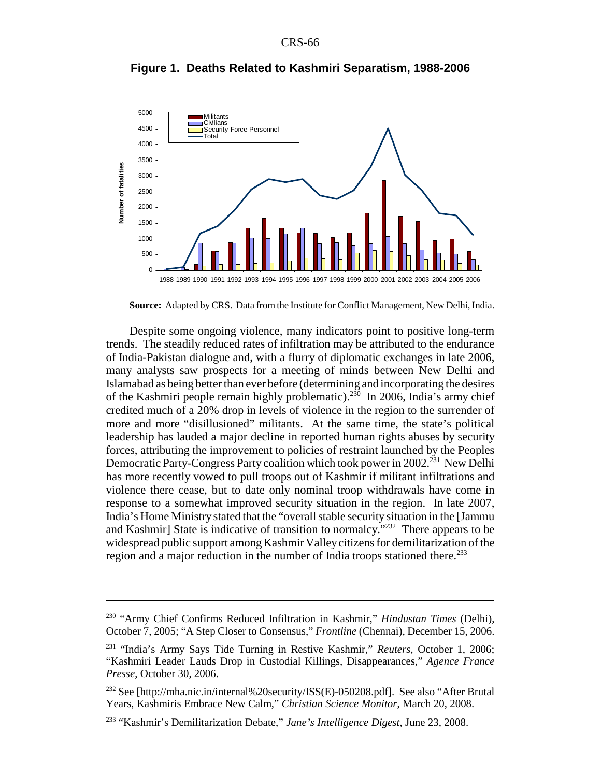

**Figure 1. Deaths Related to Kashmiri Separatism, 1988-2006**

**Source:** Adapted by CRS. Data from the Institute for Conflict Management, New Delhi, India.

Despite some ongoing violence, many indicators point to positive long-term trends. The steadily reduced rates of infiltration may be attributed to the endurance of India-Pakistan dialogue and, with a flurry of diplomatic exchanges in late 2006, many analysts saw prospects for a meeting of minds between New Delhi and Islamabad as being better than ever before (determining and incorporating the desires of the Kashmiri people remain highly problematic).<sup>230</sup> In 2006, India's army chief credited much of a 20% drop in levels of violence in the region to the surrender of more and more "disillusioned" militants. At the same time, the state's political leadership has lauded a major decline in reported human rights abuses by security forces, attributing the improvement to policies of restraint launched by the Peoples Democratic Party-Congress Party coalition which took power in 2002.<sup>231</sup> New Delhi has more recently vowed to pull troops out of Kashmir if militant infiltrations and violence there cease, but to date only nominal troop withdrawals have come in response to a somewhat improved security situation in the region. In late 2007, India's Home Ministry stated that the "overall stable security situation in the [Jammu and Kashmir] State is indicative of transition to normalcy."232 There appears to be widespread public support among Kashmir Valley citizens for demilitarization of the region and a major reduction in the number of India troops stationed there.<sup>233</sup>

<sup>230 &</sup>quot;Army Chief Confirms Reduced Infiltration in Kashmir," *Hindustan Times* (Delhi), October 7, 2005; "A Step Closer to Consensus," *Frontline* (Chennai), December 15, 2006.

<sup>231 &</sup>quot;India's Army Says Tide Turning in Restive Kashmir," *Reuters*, October 1, 2006; "Kashmiri Leader Lauds Drop in Custodial Killings, Disappearances," *Agence France Presse*, October 30, 2006.

<sup>232</sup> See [http://mha.nic.in/internal%20security/ISS(E)-050208.pdf]. See also "After Brutal Years, Kashmiris Embrace New Calm," *Christian Science Monitor*, March 20, 2008.

<sup>233 &</sup>quot;Kashmir's Demilitarization Debate," *Jane's Intelligence Digest*, June 23, 2008.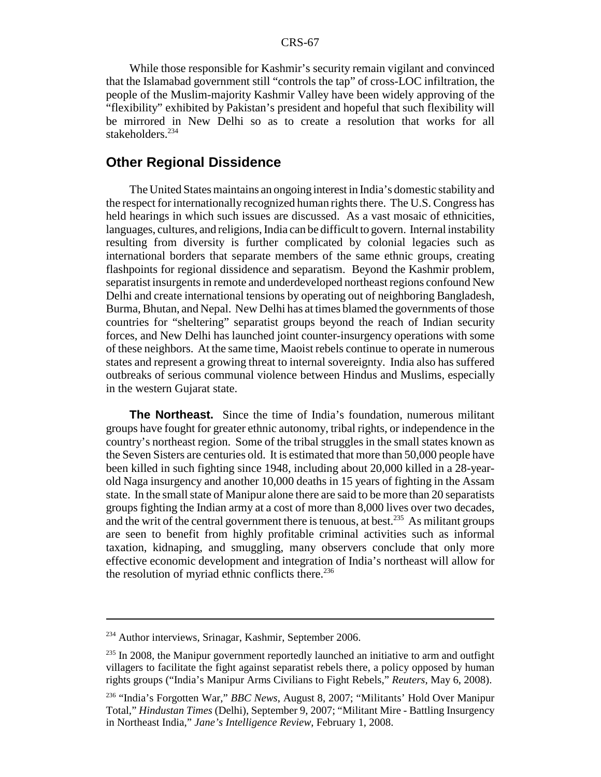While those responsible for Kashmir's security remain vigilant and convinced that the Islamabad government still "controls the tap" of cross-LOC infiltration, the people of the Muslim-majority Kashmir Valley have been widely approving of the "flexibility" exhibited by Pakistan's president and hopeful that such flexibility will be mirrored in New Delhi so as to create a resolution that works for all stakeholders.<sup>234</sup>

### **Other Regional Dissidence**

The United States maintains an ongoing interest in India's domestic stability and the respect for internationally recognized human rights there. The U.S. Congress has held hearings in which such issues are discussed. As a vast mosaic of ethnicities, languages, cultures, and religions, India can be difficult to govern. Internal instability resulting from diversity is further complicated by colonial legacies such as international borders that separate members of the same ethnic groups, creating flashpoints for regional dissidence and separatism. Beyond the Kashmir problem, separatist insurgents in remote and underdeveloped northeast regions confound New Delhi and create international tensions by operating out of neighboring Bangladesh, Burma, Bhutan, and Nepal. New Delhi has at times blamed the governments of those countries for "sheltering" separatist groups beyond the reach of Indian security forces, and New Delhi has launched joint counter-insurgency operations with some of these neighbors. At the same time, Maoist rebels continue to operate in numerous states and represent a growing threat to internal sovereignty. India also has suffered outbreaks of serious communal violence between Hindus and Muslims, especially in the western Gujarat state.

**The Northeast.** Since the time of India's foundation, numerous militant groups have fought for greater ethnic autonomy, tribal rights, or independence in the country's northeast region. Some of the tribal struggles in the small states known as the Seven Sisters are centuries old. It is estimated that more than 50,000 people have been killed in such fighting since 1948, including about 20,000 killed in a 28-yearold Naga insurgency and another 10,000 deaths in 15 years of fighting in the Assam state. In the small state of Manipur alone there are said to be more than 20 separatists groups fighting the Indian army at a cost of more than 8,000 lives over two decades, and the writ of the central government there is tenuous, at best.<sup>235</sup> As militant groups are seen to benefit from highly profitable criminal activities such as informal taxation, kidnaping, and smuggling, many observers conclude that only more effective economic development and integration of India's northeast will allow for the resolution of myriad ethnic conflicts there. $236$ 

<sup>234</sup> Author interviews, Srinagar, Kashmir, September 2006.

 $235$  In 2008, the Manipur government reportedly launched an initiative to arm and outfight villagers to facilitate the fight against separatist rebels there, a policy opposed by human rights groups ("India's Manipur Arms Civilians to Fight Rebels," *Reuters*, May 6, 2008).

<sup>236 &</sup>quot;India's Forgotten War," *BBC News*, August 8, 2007; "Militants' Hold Over Manipur Total," *Hindustan Times* (Delhi), September 9, 2007; "Militant Mire - Battling Insurgency in Northeast India," *Jane's Intelligence Review*, February 1, 2008.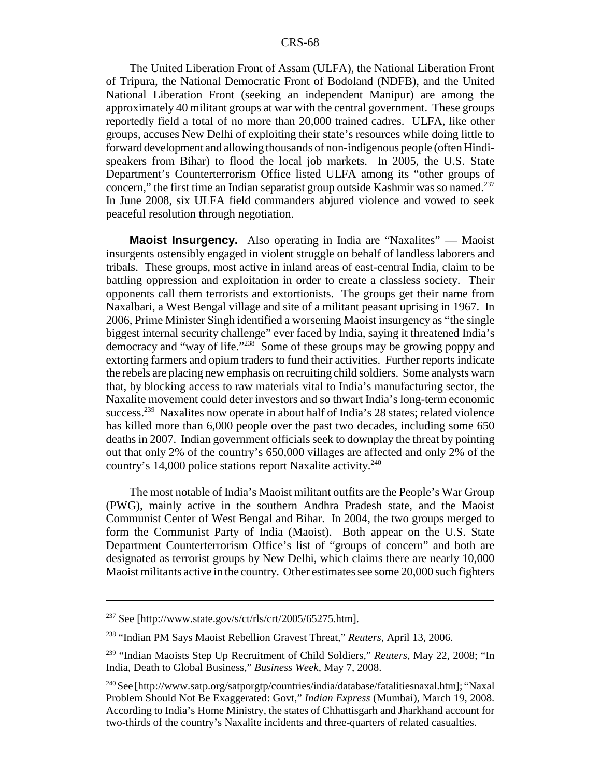The United Liberation Front of Assam (ULFA), the National Liberation Front of Tripura, the National Democratic Front of Bodoland (NDFB), and the United National Liberation Front (seeking an independent Manipur) are among the approximately 40 militant groups at war with the central government. These groups reportedly field a total of no more than 20,000 trained cadres. ULFA, like other groups, accuses New Delhi of exploiting their state's resources while doing little to forward development and allowing thousands of non-indigenous people (often Hindispeakers from Bihar) to flood the local job markets. In 2005, the U.S. State Department's Counterterrorism Office listed ULFA among its "other groups of concern," the first time an Indian separatist group outside Kashmir was so named.<sup>237</sup> In June 2008, six ULFA field commanders abjured violence and vowed to seek peaceful resolution through negotiation.

**Maoist Insurgency.** Also operating in India are "Naxalites" — Maoist insurgents ostensibly engaged in violent struggle on behalf of landless laborers and tribals. These groups, most active in inland areas of east-central India, claim to be battling oppression and exploitation in order to create a classless society. Their opponents call them terrorists and extortionists. The groups get their name from Naxalbari, a West Bengal village and site of a militant peasant uprising in 1967. In 2006, Prime Minister Singh identified a worsening Maoist insurgency as "the single biggest internal security challenge" ever faced by India, saying it threatened India's democracy and "way of life."238 Some of these groups may be growing poppy and extorting farmers and opium traders to fund their activities. Further reports indicate the rebels are placing new emphasis on recruiting child soldiers. Some analysts warn that, by blocking access to raw materials vital to India's manufacturing sector, the Naxalite movement could deter investors and so thwart India's long-term economic success.<sup>239</sup> Naxalites now operate in about half of India's 28 states; related violence has killed more than 6,000 people over the past two decades, including some 650 deaths in 2007. Indian government officials seek to downplay the threat by pointing out that only 2% of the country's 650,000 villages are affected and only 2% of the country's 14,000 police stations report Naxalite activity.<sup>240</sup>

The most notable of India's Maoist militant outfits are the People's War Group (PWG), mainly active in the southern Andhra Pradesh state, and the Maoist Communist Center of West Bengal and Bihar. In 2004, the two groups merged to form the Communist Party of India (Maoist). Both appear on the U.S. State Department Counterterrorism Office's list of "groups of concern" and both are designated as terrorist groups by New Delhi, which claims there are nearly 10,000 Maoist militants active in the country. Other estimates see some 20,000 such fighters

 $^{237}$  See [http://www.state.gov/s/ct/rls/crt/2005/65275.htm].

<sup>238 &</sup>quot;Indian PM Says Maoist Rebellion Gravest Threat," *Reuters*, April 13, 2006.

<sup>239 &</sup>quot;Indian Maoists Step Up Recruitment of Child Soldiers," *Reuters*, May 22, 2008; "In India, Death to Global Business," *Business Week*, May 7, 2008.

<sup>240</sup> See [http://www.satp.org/satporgtp/countries/india/database/fatalitiesnaxal.htm]; "Naxal Problem Should Not Be Exaggerated: Govt," *Indian Express* (Mumbai), March 19, 2008. According to India's Home Ministry, the states of Chhattisgarh and Jharkhand account for two-thirds of the country's Naxalite incidents and three-quarters of related casualties.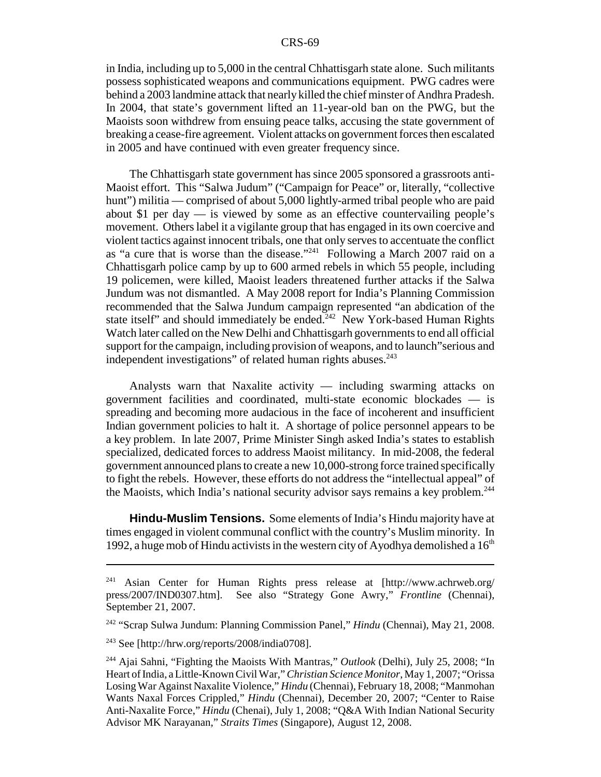in India, including up to 5,000 in the central Chhattisgarh state alone. Such militants possess sophisticated weapons and communications equipment. PWG cadres were behind a 2003 landmine attack that nearly killed the chief minster of Andhra Pradesh. In 2004, that state's government lifted an 11-year-old ban on the PWG, but the Maoists soon withdrew from ensuing peace talks, accusing the state government of breaking a cease-fire agreement. Violent attacks on government forces then escalated in 2005 and have continued with even greater frequency since.

The Chhattisgarh state government has since 2005 sponsored a grassroots anti-Maoist effort. This "Salwa Judum" ("Campaign for Peace" or, literally, "collective hunt") militia — comprised of about 5,000 lightly-armed tribal people who are paid about \$1 per day — is viewed by some as an effective countervailing people's movement. Others label it a vigilante group that has engaged in its own coercive and violent tactics against innocent tribals, one that only serves to accentuate the conflict as "a cure that is worse than the disease."<sup>241</sup> Following a March 2007 raid on a Chhattisgarh police camp by up to 600 armed rebels in which 55 people, including 19 policemen, were killed, Maoist leaders threatened further attacks if the Salwa Jundum was not dismantled. A May 2008 report for India's Planning Commission recommended that the Salwa Jundum campaign represented "an abdication of the state itself" and should immediately be ended.<sup>242</sup> New York-based Human Rights Watch later called on the New Delhi and Chhattisgarh governments to end all official support for the campaign, including provision of weapons, and to launch"serious and independent investigations" of related human rights abuses. $243$ 

Analysts warn that Naxalite activity — including swarming attacks on government facilities and coordinated, multi-state economic blockades — is spreading and becoming more audacious in the face of incoherent and insufficient Indian government policies to halt it. A shortage of police personnel appears to be a key problem. In late 2007, Prime Minister Singh asked India's states to establish specialized, dedicated forces to address Maoist militancy. In mid-2008, the federal government announced plans to create a new 10,000-strong force trained specifically to fight the rebels. However, these efforts do not address the "intellectual appeal" of the Maoists, which India's national security advisor says remains a key problem.<sup>244</sup>

**Hindu-Muslim Tensions.** Some elements of India's Hindu majority have at times engaged in violent communal conflict with the country's Muslim minority. In 1992, a huge mob of Hindu activists in the western city of Ayodhya demolished a  $16<sup>th</sup>$ 

Asian Center for Human Rights press release at [http://www.achrweb.org/ press/2007/IND0307.htm]. See also "Strategy Gone Awry," *Frontline* (Chennai), September 21, 2007.

<sup>&</sup>lt;sup>242</sup> "Scrap Sulwa Jundum: Planning Commission Panel," *Hindu* (Chennai), May 21, 2008.

<sup>243</sup> See [http://hrw.org/reports/2008/india0708].

<sup>244</sup> Ajai Sahni, "Fighting the Maoists With Mantras," *Outlook* (Delhi), July 25, 2008; "In Heart of India, a Little-Known Civil War," *Christian Science Monitor*, May 1, 2007; "Orissa Losing War Against Naxalite Violence," *Hindu* (Chennai), February 18, 2008; "Manmohan Wants Naxal Forces Crippled," *Hindu* (Chennai), December 20, 2007; "Center to Raise Anti-Naxalite Force," *Hindu* (Chenai), July 1, 2008; "Q&A With Indian National Security Advisor MK Narayanan," *Straits Times* (Singapore), August 12, 2008.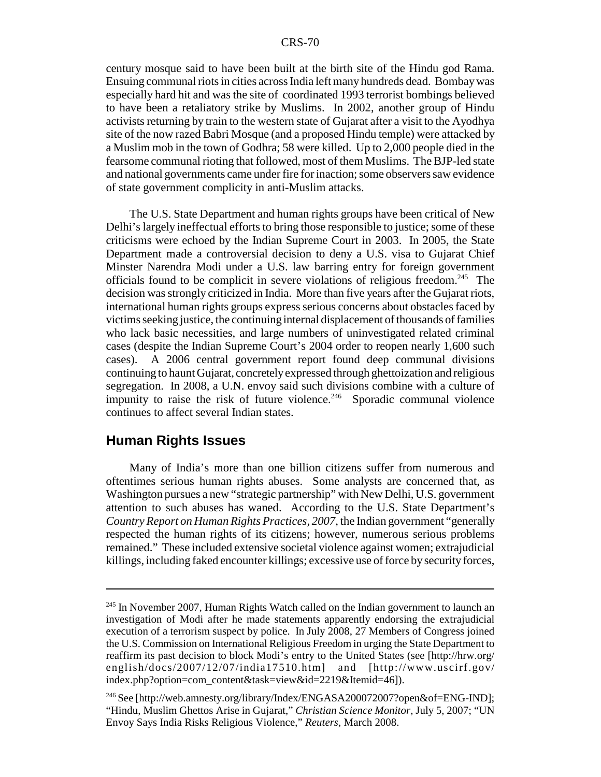century mosque said to have been built at the birth site of the Hindu god Rama. Ensuing communal riots in cities across India left many hundreds dead. Bombay was especially hard hit and was the site of coordinated 1993 terrorist bombings believed to have been a retaliatory strike by Muslims. In 2002, another group of Hindu activists returning by train to the western state of Gujarat after a visit to the Ayodhya site of the now razed Babri Mosque (and a proposed Hindu temple) were attacked by a Muslim mob in the town of Godhra; 58 were killed. Up to 2,000 people died in the fearsome communal rioting that followed, most of them Muslims. The BJP-led state and national governments came under fire for inaction; some observers saw evidence of state government complicity in anti-Muslim attacks.

The U.S. State Department and human rights groups have been critical of New Delhi's largely ineffectual efforts to bring those responsible to justice; some of these criticisms were echoed by the Indian Supreme Court in 2003. In 2005, the State Department made a controversial decision to deny a U.S. visa to Gujarat Chief Minster Narendra Modi under a U.S. law barring entry for foreign government officials found to be complicit in severe violations of religious freedom.<sup>245</sup> The decision was strongly criticized in India. More than five years after the Gujarat riots, international human rights groups express serious concerns about obstacles faced by victims seeking justice, the continuing internal displacement of thousands of families who lack basic necessities, and large numbers of uninvestigated related criminal cases (despite the Indian Supreme Court's 2004 order to reopen nearly 1,600 such cases). A 2006 central government report found deep communal divisions continuing to haunt Gujarat, concretely expressed through ghettoization and religious segregation. In 2008, a U.N. envoy said such divisions combine with a culture of impunity to raise the risk of future violence.<sup>246</sup> Sporadic communal violence continues to affect several Indian states.

## **Human Rights Issues**

Many of India's more than one billion citizens suffer from numerous and oftentimes serious human rights abuses. Some analysts are concerned that, as Washington pursues a new "strategic partnership" with New Delhi, U.S. government attention to such abuses has waned. According to the U.S. State Department's *Country Report on Human Rights Practices, 2007*, the Indian government "generally respected the human rights of its citizens; however, numerous serious problems remained." These included extensive societal violence against women; extrajudicial killings, including faked encounter killings; excessive use of force by security forces,

<sup>&</sup>lt;sup>245</sup> In November 2007, Human Rights Watch called on the Indian government to launch an investigation of Modi after he made statements apparently endorsing the extrajudicial execution of a terrorism suspect by police. In July 2008, 27 Members of Congress joined the U.S. Commission on International Religious Freedom in urging the State Department to reaffirm its past decision to block Modi's entry to the United States (see [http://hrw.org/ english/docs/2007/12/07/india17510.htm] and [http://www.uscirf.gov/ index.php?option=com\_content&task=view&id=2219&Itemid=46]).

<sup>246</sup> See [http://web.amnesty.org/library/Index/ENGASA200072007?open&of=ENG-IND]; "Hindu, Muslim Ghettos Arise in Gujarat," *Christian Science Monitor*, July 5, 2007; "UN Envoy Says India Risks Religious Violence," *Reuters*, March 2008.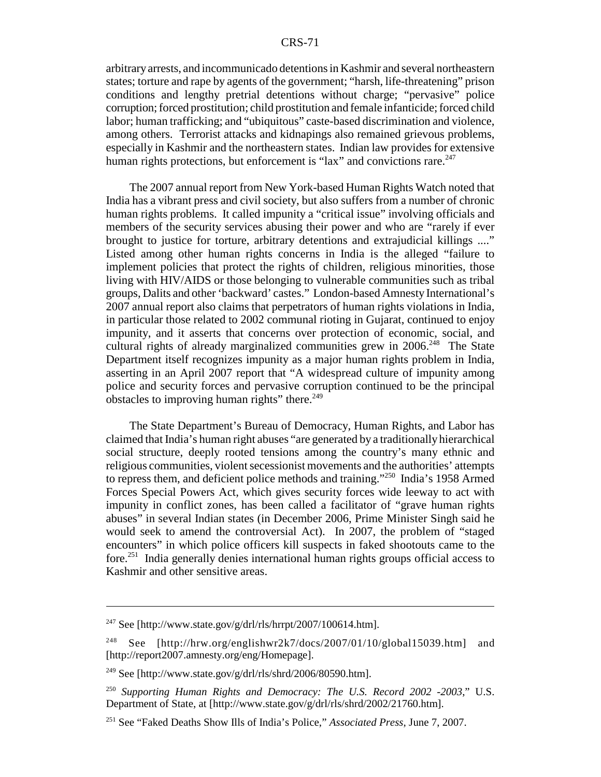### CRS-71

arbitrary arrests, and incommunicado detentions in Kashmir and several northeastern states; torture and rape by agents of the government; "harsh, life-threatening" prison conditions and lengthy pretrial detentions without charge; "pervasive" police corruption; forced prostitution; child prostitution and female infanticide; forced child labor; human trafficking; and "ubiquitous" caste-based discrimination and violence, among others. Terrorist attacks and kidnapings also remained grievous problems, especially in Kashmir and the northeastern states. Indian law provides for extensive human rights protections, but enforcement is "lax" and convictions rare.<sup>247</sup>

The 2007 annual report from New York-based Human Rights Watch noted that India has a vibrant press and civil society, but also suffers from a number of chronic human rights problems. It called impunity a "critical issue" involving officials and members of the security services abusing their power and who are "rarely if ever brought to justice for torture, arbitrary detentions and extrajudicial killings ...." Listed among other human rights concerns in India is the alleged "failure to implement policies that protect the rights of children, religious minorities, those living with HIV/AIDS or those belonging to vulnerable communities such as tribal groups, Dalits and other 'backward' castes." London-based Amnesty International's 2007 annual report also claims that perpetrators of human rights violations in India, in particular those related to 2002 communal rioting in Gujarat, continued to enjoy impunity, and it asserts that concerns over protection of economic, social, and cultural rights of already marginalized communities grew in  $2006<sup>248</sup>$  The State Department itself recognizes impunity as a major human rights problem in India, asserting in an April 2007 report that "A widespread culture of impunity among police and security forces and pervasive corruption continued to be the principal obstacles to improving human rights" there.<sup>249</sup>

The State Department's Bureau of Democracy, Human Rights, and Labor has claimed that India's human right abuses "are generated by a traditionally hierarchical social structure, deeply rooted tensions among the country's many ethnic and religious communities, violent secessionist movements and the authorities' attempts to repress them, and deficient police methods and training."<sup>250</sup> India's 1958 Armed Forces Special Powers Act, which gives security forces wide leeway to act with impunity in conflict zones, has been called a facilitator of "grave human rights abuses" in several Indian states (in December 2006, Prime Minister Singh said he would seek to amend the controversial Act). In 2007, the problem of "staged encounters" in which police officers kill suspects in faked shootouts came to the fore.251 India generally denies international human rights groups official access to Kashmir and other sensitive areas.

<sup>&</sup>lt;sup>247</sup> See [http://www.state.gov/g/drl/rls/hrrpt/2007/100614.htm].

<sup>&</sup>lt;sup>248</sup> See [http://hrw.org/englishwr2k7/docs/2007/01/10/global15039.htm] and [http://report2007.amnesty.org/eng/Homepage].

<sup>&</sup>lt;sup>249</sup> See [http://www.state.gov/g/drl/rls/shrd/2006/80590.htm].

<sup>250</sup> *Supporting Human Rights and Democracy: The U.S. Record 2002 -2003*," U.S. Department of State, at [http://www.state.gov/g/drl/rls/shrd/2002/21760.htm].

<sup>251</sup> See "Faked Deaths Show Ills of India's Police," *Associated Press*, June 7, 2007.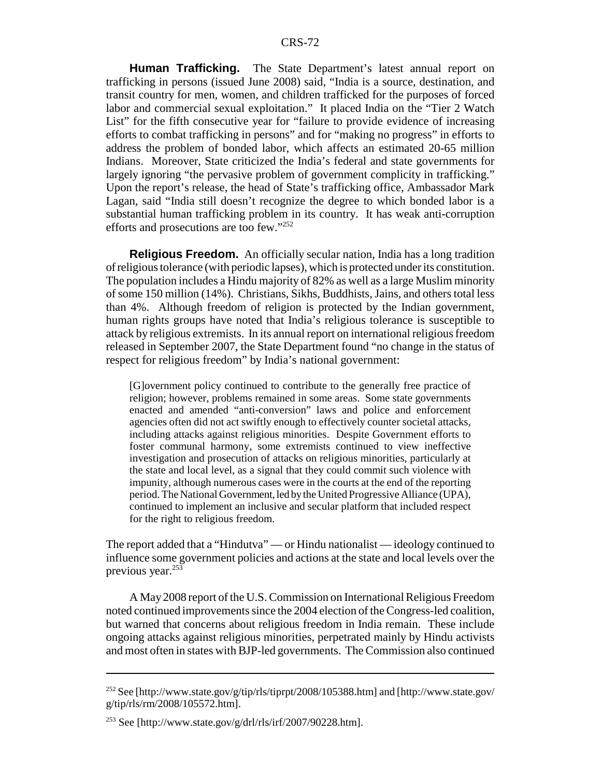**Human Trafficking.** The State Department's latest annual report on trafficking in persons (issued June 2008) said, "India is a source, destination, and transit country for men, women, and children trafficked for the purposes of forced labor and commercial sexual exploitation." It placed India on the "Tier 2 Watch List" for the fifth consecutive year for "failure to provide evidence of increasing efforts to combat trafficking in persons" and for "making no progress" in efforts to address the problem of bonded labor, which affects an estimated 20-65 million Indians. Moreover, State criticized the India's federal and state governments for largely ignoring "the pervasive problem of government complicity in trafficking." Upon the report's release, the head of State's trafficking office, Ambassador Mark Lagan, said "India still doesn't recognize the degree to which bonded labor is a substantial human trafficking problem in its country. It has weak anti-corruption efforts and prosecutions are too few."252

**Religious Freedom.** An officially secular nation, India has a long tradition of religious tolerance (with periodic lapses), which is protected under its constitution. The population includes a Hindu majority of 82% as well as a large Muslim minority of some 150 million (14%). Christians, Sikhs, Buddhists, Jains, and others total less than 4%. Although freedom of religion is protected by the Indian government, human rights groups have noted that India's religious tolerance is susceptible to attack by religious extremists. In its annual report on international religious freedom released in September 2007, the State Department found "no change in the status of respect for religious freedom" by India's national government:

[G]overnment policy continued to contribute to the generally free practice of religion; however, problems remained in some areas. Some state governments enacted and amended "anti-conversion" laws and police and enforcement agencies often did not act swiftly enough to effectively counter societal attacks, including attacks against religious minorities. Despite Government efforts to foster communal harmony, some extremists continued to view ineffective investigation and prosecution of attacks on religious minorities, particularly at the state and local level, as a signal that they could commit such violence with impunity, although numerous cases were in the courts at the end of the reporting period. The National Government, led by the United Progressive Alliance (UPA), continued to implement an inclusive and secular platform that included respect for the right to religious freedom.

The report added that a "Hindutva" — or Hindu nationalist — ideology continued to influence some government policies and actions at the state and local levels over the previous year.<sup>253</sup>

A May 2008 report of the U.S. Commission on International Religious Freedom noted continued improvements since the 2004 election of the Congress-led coalition, but warned that concerns about religious freedom in India remain. These include ongoing attacks against religious minorities, perpetrated mainly by Hindu activists and most often in states with BJP-led governments. The Commission also continued

<sup>&</sup>lt;sup>252</sup> See [http://www.state.gov/g/tip/rls/tiprpt/2008/105388.htm] and [http://www.state.gov/ g/tip/rls/rm/2008/105572.htm].

<sup>&</sup>lt;sup>253</sup> See [http://www.state.gov/g/drl/rls/irf/2007/90228.htm].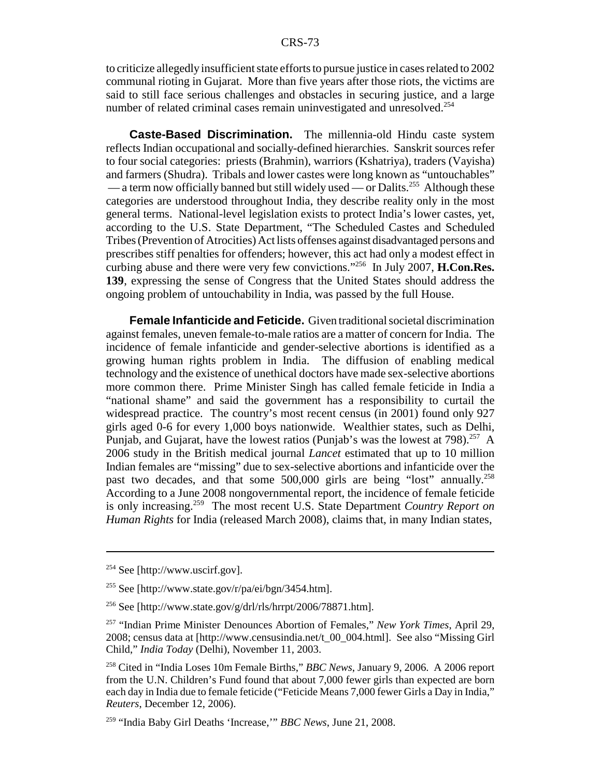### CRS-73

to criticize allegedly insufficient state efforts to pursue justice in cases related to 2002 communal rioting in Gujarat. More than five years after those riots, the victims are said to still face serious challenges and obstacles in securing justice, and a large number of related criminal cases remain uninvestigated and unresolved.<sup>254</sup>

**Caste-Based Discrimination.** The millennia-old Hindu caste system reflects Indian occupational and socially-defined hierarchies. Sanskrit sources refer to four social categories: priests (Brahmin), warriors (Kshatriya), traders (Vayisha) and farmers (Shudra). Tribals and lower castes were long known as "untouchables" — a term now officially banned but still widely used — or Dalits.<sup>255</sup> Although these categories are understood throughout India, they describe reality only in the most general terms. National-level legislation exists to protect India's lower castes, yet, according to the U.S. State Department, "The Scheduled Castes and Scheduled Tribes (Prevention of Atrocities) Act lists offenses against disadvantaged persons and prescribes stiff penalties for offenders; however, this act had only a modest effect in curbing abuse and there were very few convictions."256 In July 2007, **H.Con.Res. 139**, expressing the sense of Congress that the United States should address the ongoing problem of untouchability in India, was passed by the full House.

**Female Infanticide and Feticide.** Given traditional societal discrimination against females, uneven female-to-male ratios are a matter of concern for India. The incidence of female infanticide and gender-selective abortions is identified as a growing human rights problem in India. The diffusion of enabling medical technology and the existence of unethical doctors have made sex-selective abortions more common there. Prime Minister Singh has called female feticide in India a "national shame" and said the government has a responsibility to curtail the widespread practice. The country's most recent census (in 2001) found only 927 girls aged 0-6 for every 1,000 boys nationwide. Wealthier states, such as Delhi, Punjab, and Gujarat, have the lowest ratios (Punjab's was the lowest at  $798$ ).<sup>257</sup> A 2006 study in the British medical journal *Lancet* estimated that up to 10 million Indian females are "missing" due to sex-selective abortions and infanticide over the past two decades, and that some 500,000 girls are being "lost" annually.<sup>258</sup> According to a June 2008 nongovernmental report, the incidence of female feticide is only increasing.259 The most recent U.S. State Department *Country Report on Human Rights* for India (released March 2008), claims that, in many Indian states,

<sup>254</sup> See [http://www.uscirf.gov].

 $255$  See [http://www.state.gov/r/pa/ei/bgn/3454.htm].

<sup>&</sup>lt;sup>256</sup> See [http://www.state.gov/g/drl/rls/hrrpt/2006/78871.htm].

<sup>257 &</sup>quot;Indian Prime Minister Denounces Abortion of Females," *New York Times*, April 29, 2008; census data at [http://www.censusindia.net/t\_00\_004.html]. See also "Missing Girl Child," *India Today* (Delhi), November 11, 2003.

<sup>258</sup> Cited in "India Loses 10m Female Births," *BBC News*, January 9, 2006. A 2006 report from the U.N. Children's Fund found that about 7,000 fewer girls than expected are born each day in India due to female feticide ("Feticide Means 7,000 fewer Girls a Day in India," *Reuters*, December 12, 2006).

<sup>259 &</sup>quot;India Baby Girl Deaths 'Increase,'" *BBC News*, June 21, 2008.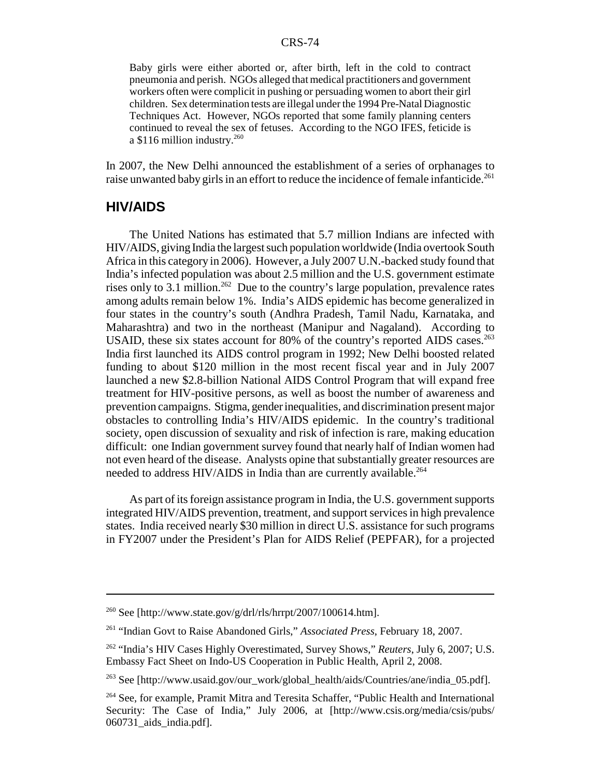Baby girls were either aborted or, after birth, left in the cold to contract pneumonia and perish. NGOs alleged that medical practitioners and government workers often were complicit in pushing or persuading women to abort their girl children. Sex determination tests are illegal under the 1994 Pre-Natal Diagnostic Techniques Act. However, NGOs reported that some family planning centers continued to reveal the sex of fetuses. According to the NGO IFES, feticide is a \$116 million industry.260

In 2007, the New Delhi announced the establishment of a series of orphanages to raise unwanted baby girls in an effort to reduce the incidence of female infanticide.<sup>261</sup>

## **HIV/AIDS**

The United Nations has estimated that 5.7 million Indians are infected with HIV/AIDS, giving India the largest such population worldwide (India overtook South Africa in this category in 2006). However, a July 2007 U.N.-backed study found that India's infected population was about 2.5 million and the U.S. government estimate rises only to  $3.1$  million.<sup>262</sup> Due to the country's large population, prevalence rates among adults remain below 1%. India's AIDS epidemic has become generalized in four states in the country's south (Andhra Pradesh, Tamil Nadu, Karnataka, and Maharashtra) and two in the northeast (Manipur and Nagaland). According to USAID, these six states account for  $80\%$  of the country's reported AIDS cases.<sup>263</sup> India first launched its AIDS control program in 1992; New Delhi boosted related funding to about \$120 million in the most recent fiscal year and in July 2007 launched a new \$2.8-billion National AIDS Control Program that will expand free treatment for HIV-positive persons, as well as boost the number of awareness and prevention campaigns. Stigma, gender inequalities, and discrimination present major obstacles to controlling India's HIV/AIDS epidemic. In the country's traditional society, open discussion of sexuality and risk of infection is rare, making education difficult: one Indian government survey found that nearly half of Indian women had not even heard of the disease. Analysts opine that substantially greater resources are needed to address HIV/AIDS in India than are currently available.<sup>264</sup>

As part of its foreign assistance program in India, the U.S. government supports integrated HIV/AIDS prevention, treatment, and support services in high prevalence states. India received nearly \$30 million in direct U.S. assistance for such programs in FY2007 under the President's Plan for AIDS Relief (PEPFAR), for a projected

<sup>&</sup>lt;sup>260</sup> See [http://www.state.gov/g/drl/rls/hrrpt/2007/100614.htm].

<sup>261 &</sup>quot;Indian Govt to Raise Abandoned Girls," *Associated Press*, February 18, 2007.

<sup>262 &</sup>quot;India's HIV Cases Highly Overestimated, Survey Shows," *Reuters*, July 6, 2007; U.S. Embassy Fact Sheet on Indo-US Cooperation in Public Health, April 2, 2008.

<sup>&</sup>lt;sup>263</sup> See [http://www.usaid.gov/our\_work/global\_health/aids/Countries/ane/india\_05.pdf].

<sup>264</sup> See, for example, Pramit Mitra and Teresita Schaffer, "Public Health and International Security: The Case of India," July 2006, at [http://www.csis.org/media/csis/pubs/ 060731\_aids\_india.pdf].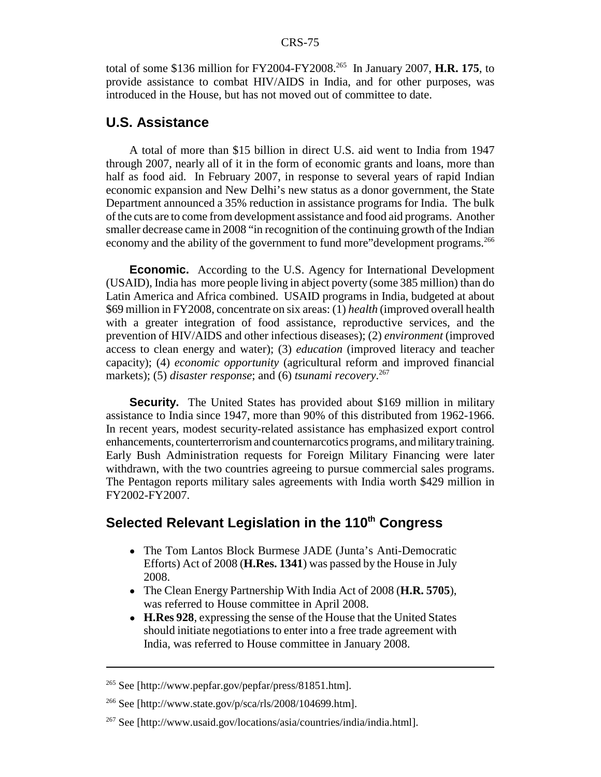#### CRS-75

total of some \$136 million for FY2004-FY2008.265 In January 2007, **H.R. 175**, to provide assistance to combat HIV/AIDS in India, and for other purposes, was introduced in the House, but has not moved out of committee to date.

## **U.S. Assistance**

A total of more than \$15 billion in direct U.S. aid went to India from 1947 through 2007, nearly all of it in the form of economic grants and loans, more than half as food aid. In February 2007, in response to several years of rapid Indian economic expansion and New Delhi's new status as a donor government, the State Department announced a 35% reduction in assistance programs for India. The bulk of the cuts are to come from development assistance and food aid programs. Another smaller decrease came in 2008 "in recognition of the continuing growth of the Indian economy and the ability of the government to fund more" development programs.<sup>266</sup>

**Economic.** According to the U.S. Agency for International Development (USAID), India has more people living in abject poverty (some 385 million) than do Latin America and Africa combined. USAID programs in India, budgeted at about \$69 million in FY2008, concentrate on six areas: (1) *health* (improved overall health with a greater integration of food assistance, reproductive services, and the prevention of HIV/AIDS and other infectious diseases); (2) *environment* (improved access to clean energy and water); (3) *education* (improved literacy and teacher capacity); (4) *economic opportunity* (agricultural reform and improved financial markets); (5) *disaster response*; and (6) *tsunami recovery*. 267

**Security.** The United States has provided about \$169 million in military assistance to India since 1947, more than 90% of this distributed from 1962-1966. In recent years, modest security-related assistance has emphasized export control enhancements, counterterrorism and counternarcotics programs, and military training. Early Bush Administration requests for Foreign Military Financing were later withdrawn, with the two countries agreeing to pursue commercial sales programs. The Pentagon reports military sales agreements with India worth \$429 million in FY2002-FY2007.

# **Selected Relevant Legislation in the 110<sup>th</sup> Congress**

- ! The Tom Lantos Block Burmese JADE (Junta's Anti-Democratic Efforts) Act of 2008 (**H.Res. 1341**) was passed by the House in July 2008.
- ! The Clean Energy Partnership With India Act of 2008 (**H.R. 5705**), was referred to House committee in April 2008.
- ! **H.Res 928**, expressing the sense of the House that the United States should initiate negotiations to enter into a free trade agreement with India, was referred to House committee in January 2008.

<sup>265</sup> See [http://www.pepfar.gov/pepfar/press/81851.htm].

<sup>&</sup>lt;sup>266</sup> See [http://www.state.gov/p/sca/rls/2008/104699.htm].

<sup>267</sup> See [http://www.usaid.gov/locations/asia/countries/india/india.html].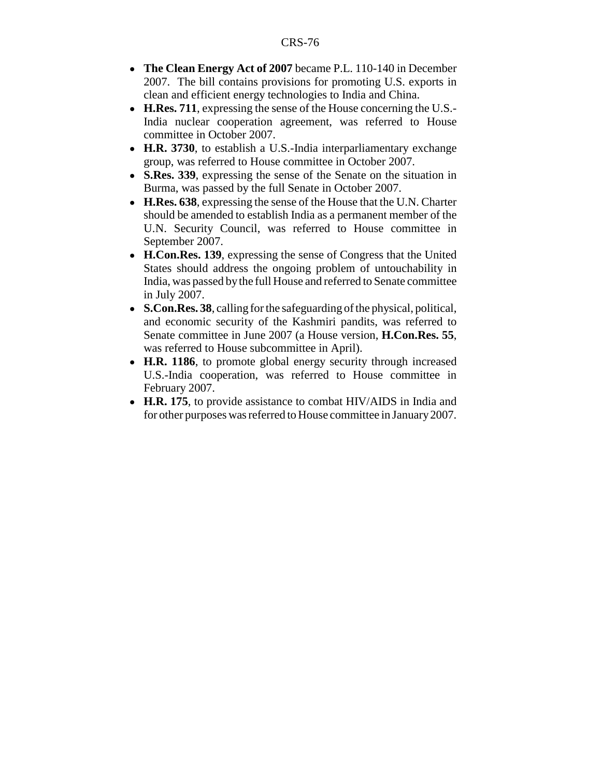- ! **The Clean Energy Act of 2007** became P.L. 110-140 in December 2007. The bill contains provisions for promoting U.S. exports in clean and efficient energy technologies to India and China.
- ! **H.Res. 711**, expressing the sense of the House concerning the U.S.- India nuclear cooperation agreement, was referred to House committee in October 2007.
- **H.R. 3730**, to establish a U.S.-India interparliamentary exchange group, was referred to House committee in October 2007.
- ! **S.Res. 339**, expressing the sense of the Senate on the situation in Burma, was passed by the full Senate in October 2007.
- ! **H.Res. 638**, expressing the sense of the House that the U.N. Charter should be amended to establish India as a permanent member of the U.N. Security Council, was referred to House committee in September 2007.
- ! **H.Con.Res. 139**, expressing the sense of Congress that the United States should address the ongoing problem of untouchability in India, was passed by the full House and referred to Senate committee in July 2007.
- ! **S.Con.Res. 38**, calling for the safeguarding of the physical, political, and economic security of the Kashmiri pandits, was referred to Senate committee in June 2007 (a House version, **H.Con.Res. 55**, was referred to House subcommittee in April).
- **H.R. 1186**, to promote global energy security through increased U.S.-India cooperation, was referred to House committee in February 2007.
- **H.R. 175**, to provide assistance to combat HIV/AIDS in India and for other purposes was referred to House committee in January 2007.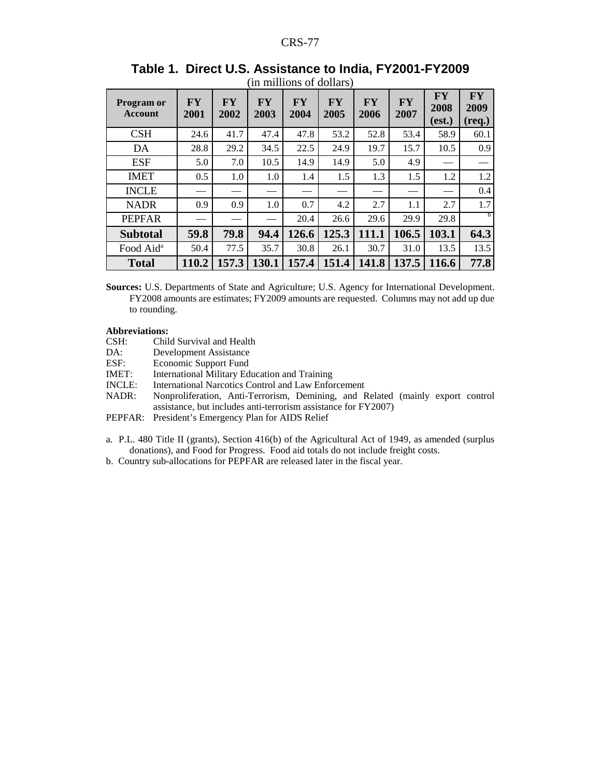| <b>Program or</b><br><b>Account</b> | <b>FY</b><br>2001 | <b>FY</b><br>2002 | <b>FY</b><br>2003 | <b>FY</b><br>2004 | <b>FY</b><br>2005 | <b>FY</b><br>2006 | <b>FY</b><br>2007 | <b>FY</b><br>2008<br>(est.) | $\mathbf{F}\mathbf{Y}$<br>2009<br>$(\text{req.})$ |
|-------------------------------------|-------------------|-------------------|-------------------|-------------------|-------------------|-------------------|-------------------|-----------------------------|---------------------------------------------------|
| <b>CSH</b>                          | 24.6              | 41.7              | 47.4              | 47.8              | 53.2              | 52.8              | 53.4              | 58.9                        | 60.1                                              |
| DA                                  | 28.8              | 29.2              | 34.5              | 22.5              | 24.9              | 19.7              | 15.7              | 10.5                        | 0.9                                               |
| <b>ESF</b>                          | 5.0               | 7.0               | 10.5              | 14.9              | 14.9              | 5.0               | 4.9               |                             |                                                   |
| <b>IMET</b>                         | 0.5               | 1.0               | 1.0               | 1.4               | 1.5               | 1.3               | 1.5               | 1.2                         | 1.2                                               |
| <b>INCLE</b>                        |                   |                   |                   |                   |                   |                   |                   |                             | 0.4                                               |
| <b>NADR</b>                         | 0.9               | 0.9               | 1.0               | 0.7               | 4.2               | 2.7               | 1.1               | 2.7                         | 1.7                                               |
| <b>PEPFAR</b>                       |                   |                   |                   | 20.4              | 26.6              | 29.6              | 29.9              | 29.8                        | ь                                                 |
| <b>Subtotal</b>                     | 59.8              | 79.8              | 94.4              | 126.6             | 125.3             | 111.1             | 106.5             | 103.1                       | 64.3                                              |
| Food Aid <sup>a</sup>               | 50.4              | 77.5              | 35.7              | 30.8              | 26.1              | 30.7              | 31.0              | 13.5                        | 13.5                                              |
| <b>Total</b>                        | 110.2             | 157.3             | 130.1             | 157.4             | 151.4             | 141.8             | 137.5             | 116.6                       | 77.8                                              |

| Table 1. Direct U.S. Assistance to India, FY2001-FY2009 |  |
|---------------------------------------------------------|--|
| (in millions of dollars)                                |  |

**Sources:** U.S. Departments of State and Agriculture; U.S. Agency for International Development. FY2008 amounts are estimates; FY2009 amounts are requested. Columns may not add up due to rounding.

#### **Abbreviations:**

| CSH: | Child Survival and Health |  |
|------|---------------------------|--|
|      |                           |  |

- DA: Development Assistance<br>ESF: Economic Support Fund
- ESF: Economic Support Fund<br>IMET: International Military Ed
- International Military Education and Training
- INCLE: International Narcotics Control and Law Enforcement

NADR: Nonproliferation, Anti-Terrorism, Demining, and Related (mainly export control assistance, but includes anti-terrorism assistance for FY2007)

- PEPFAR: President's Emergency Plan for AIDS Relief
- a. P.L. 480 Title II (grants), Section 416(b) of the Agricultural Act of 1949, as amended (surplus donations), and Food for Progress. Food aid totals do not include freight costs.
- b. Country sub-allocations for PEPFAR are released later in the fiscal year.